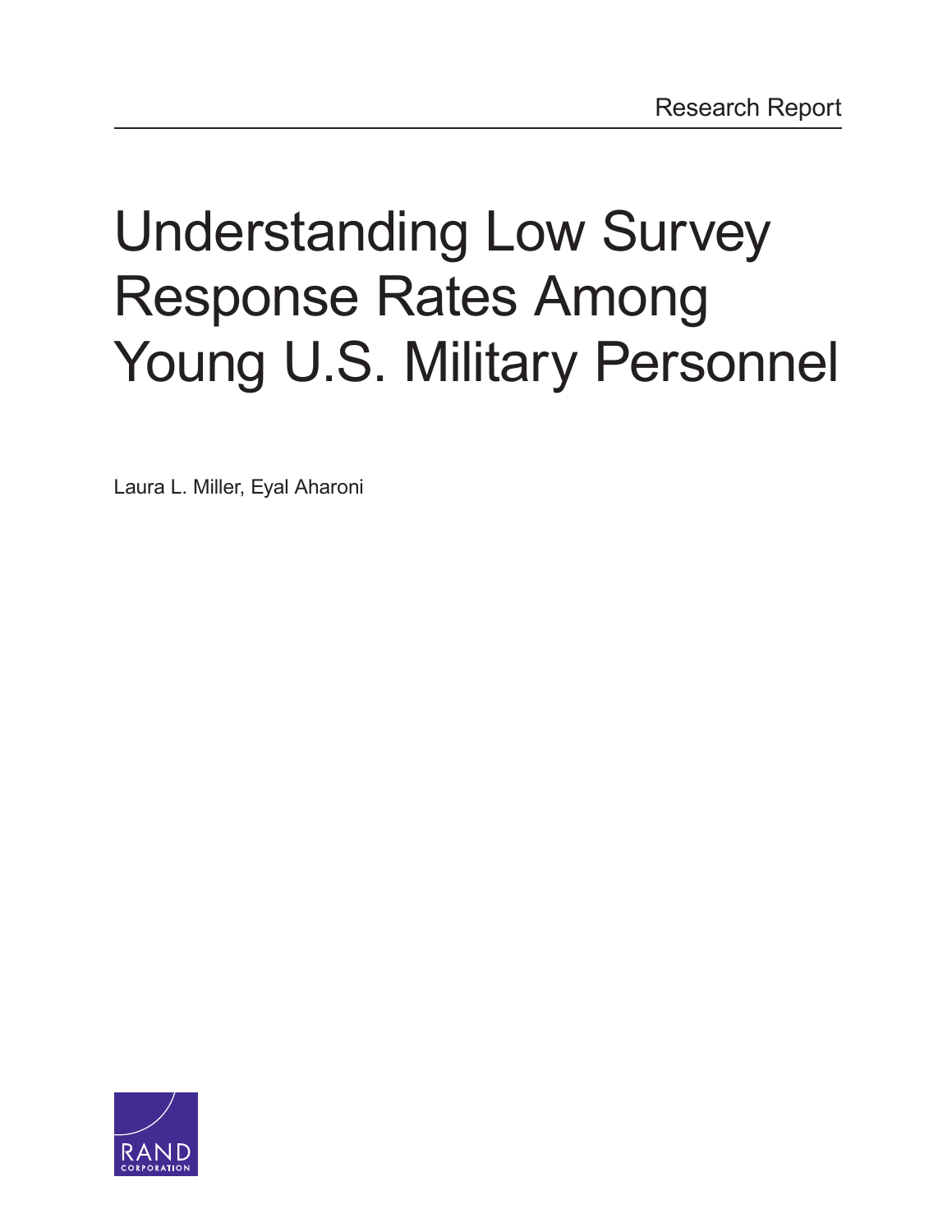# Understanding Low Survey Response Rates Among [Young U.S. Military Personnel](http://www.rand.org/pubs/research_reports/RR881.html)

Laura L. Miller, Eyal Aharoni

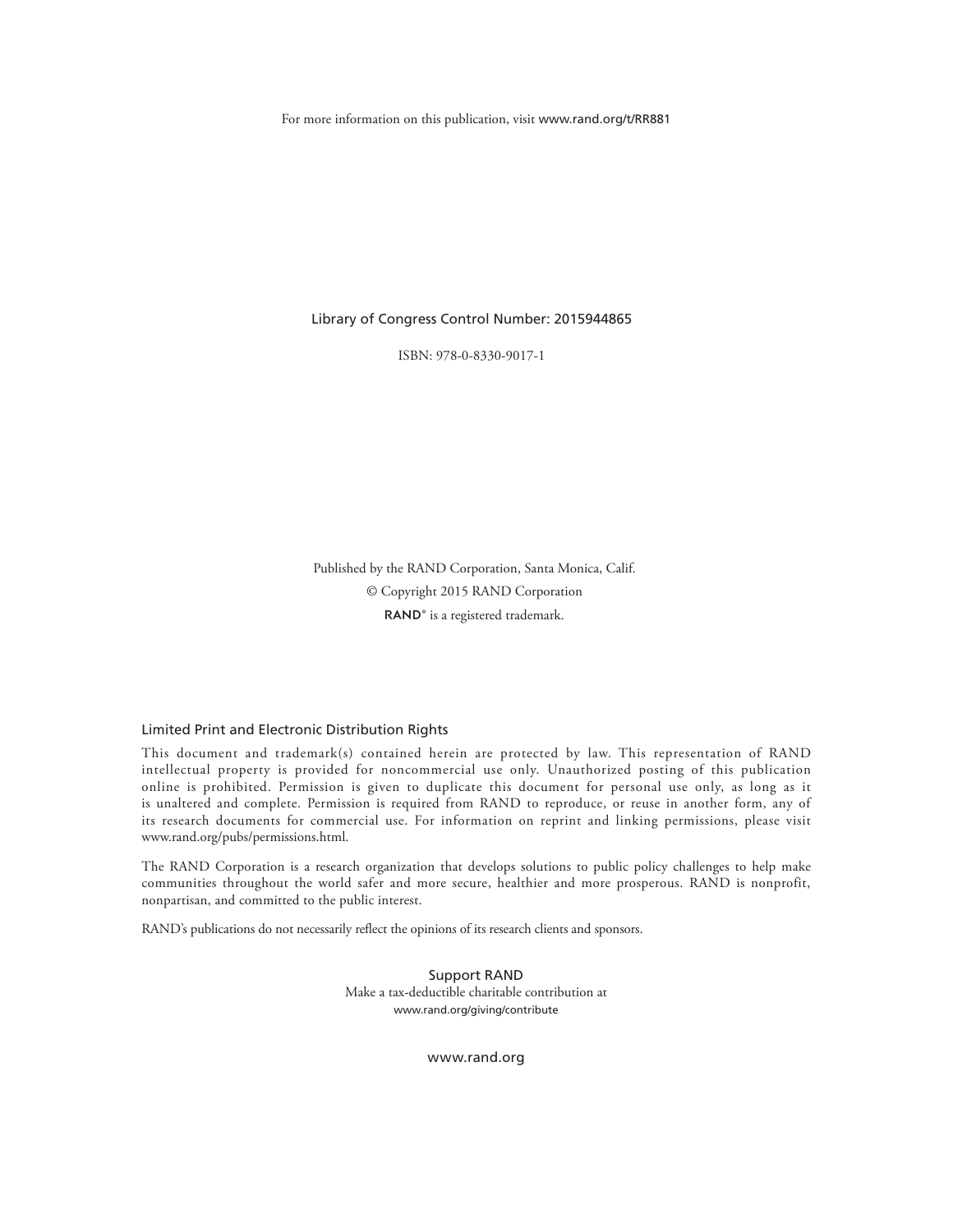For more information on this publication, visit [www.rand.org/t/RR881](http://www.rand.org/t/RR881)

Library of Congress Control Number: 2015944865

ISBN: 978-0-8330-9017-1

Published by the RAND Corporation, Santa Monica, Calif. © Copyright 2015 RAND Corporation RAND<sup>®</sup> is a registered trademark.

#### Limited Print and Electronic Distribution Rights

This document and trademark(s) contained herein are protected by law. This representation of RAND intellectual property is provided for noncommercial use only. Unauthorized posting of this publication online is prohibited. Permission is given to duplicate this document for personal use only, as long as it is unaltered and complete. Permission is required from RAND to reproduce, or reuse in another form, any of its research documents for commercial use. For information on reprint and linking permissions, please visit [www.rand.org/pubs/permissions.html.](http://www.rand.org/pubs/permissions.html)

The RAND Corporation is a research organization that develops solutions to public policy challenges to help make communities throughout the world safer and more secure, healthier and more prosperous. RAND is nonprofit, nonpartisan, and committed to the public interest.

RAND's publications do not necessarily reflect the opinions of its research clients and sponsors.

Support RAND Make a tax-deductible charitable contribution at [www.rand.org/giving/contribute](http://www.rand.org/giving/contribute)

[www.rand.org](http://www.rand.org)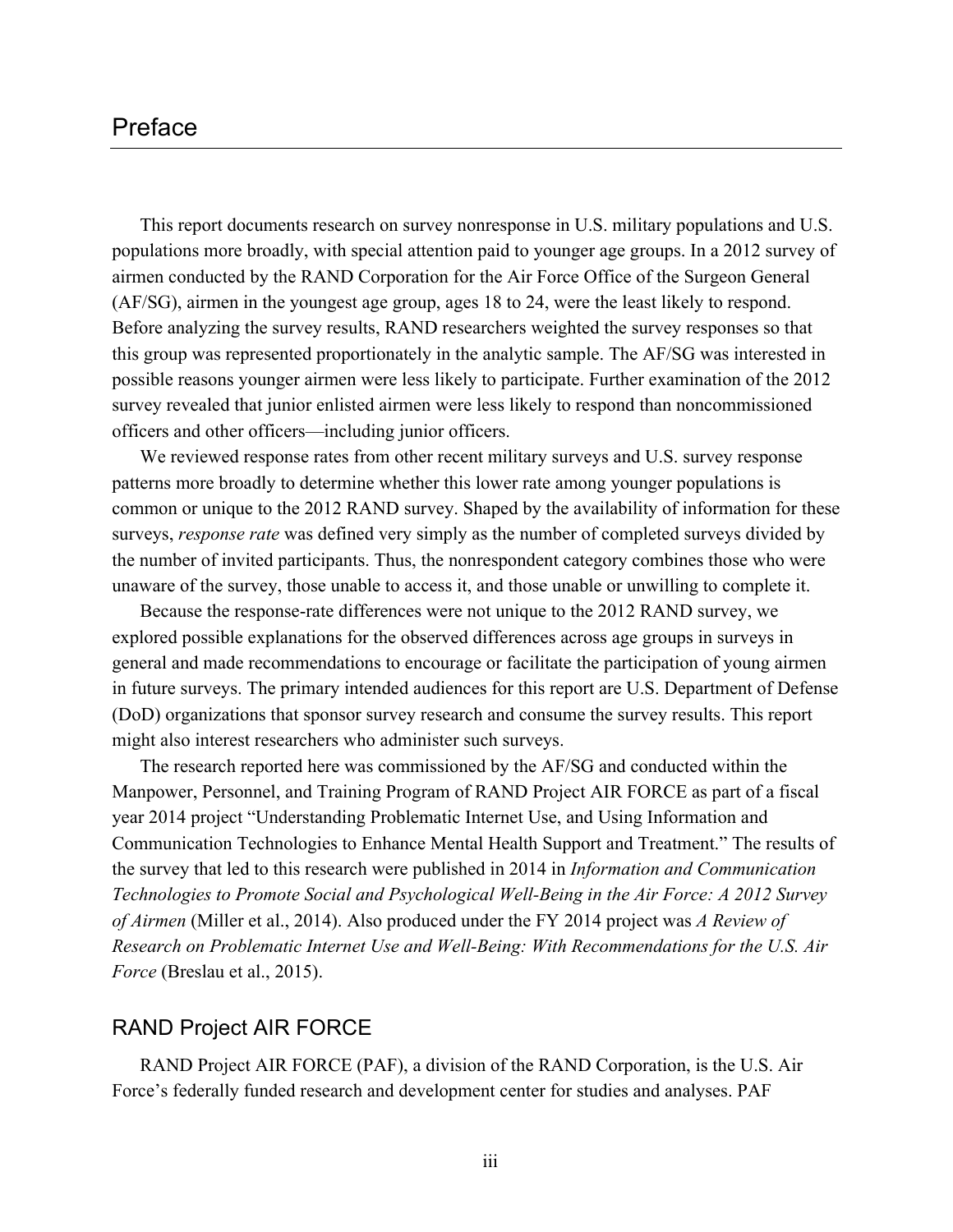## Preface

This report documents research on survey nonresponse in U.S. military populations and U.S. populations more broadly, with special attention paid to younger age groups. In a 2012 survey of airmen conducted by the RAND Corporation for the Air Force Office of the Surgeon General (AF/SG), airmen in the youngest age group, ages 18 to 24, were the least likely to respond. Before analyzing the survey results, RAND researchers weighted the survey responses so that this group was represented proportionately in the analytic sample. The AF/SG was interested in possible reasons younger airmen were less likely to participate. Further examination of the 2012 survey revealed that junior enlisted airmen were less likely to respond than noncommissioned officers and other officers—including junior officers.

We reviewed response rates from other recent military surveys and U.S. survey response patterns more broadly to determine whether this lower rate among younger populations is common or unique to the 2012 RAND survey. Shaped by the availability of information for these surveys, *response rate* was defined very simply as the number of completed surveys divided by the number of invited participants. Thus, the nonrespondent category combines those who were unaware of the survey, those unable to access it, and those unable or unwilling to complete it.

Because the response-rate differences were not unique to the 2012 RAND survey, we explored possible explanations for the observed differences across age groups in surveys in general and made recommendations to encourage or facilitate the participation of young airmen in future surveys. The primary intended audiences for this report are U.S. Department of Defense (DoD) organizations that sponsor survey research and consume the survey results. This report might also interest researchers who administer such surveys.

The research reported here was commissioned by the AF/SG and conducted within the Manpower, Personnel, and Training Program of RAND Project AIR FORCE as part of a fiscal year 2014 project "Understanding Problematic Internet Use, and Using Information and Communication Technologies to Enhance Mental Health Support and Treatment." The results of the survey that led to this research were published in 2014 in *Information and Communication Technologies to Promote Social and Psychological Well-Being in the Air Force: A 2012 Survey of Airmen* (Miller et al., 2014). Also produced under the FY 2014 project was *A Review of Research on Problematic Internet Use and Well-Being: With Recommendations for the U.S. Air Force* (Breslau et al., 2015).

## RAND Project AIR FORCE

RAND Project AIR FORCE (PAF), a division of the RAND Corporation, is the U.S. Air Force's federally funded research and development center for studies and analyses. PAF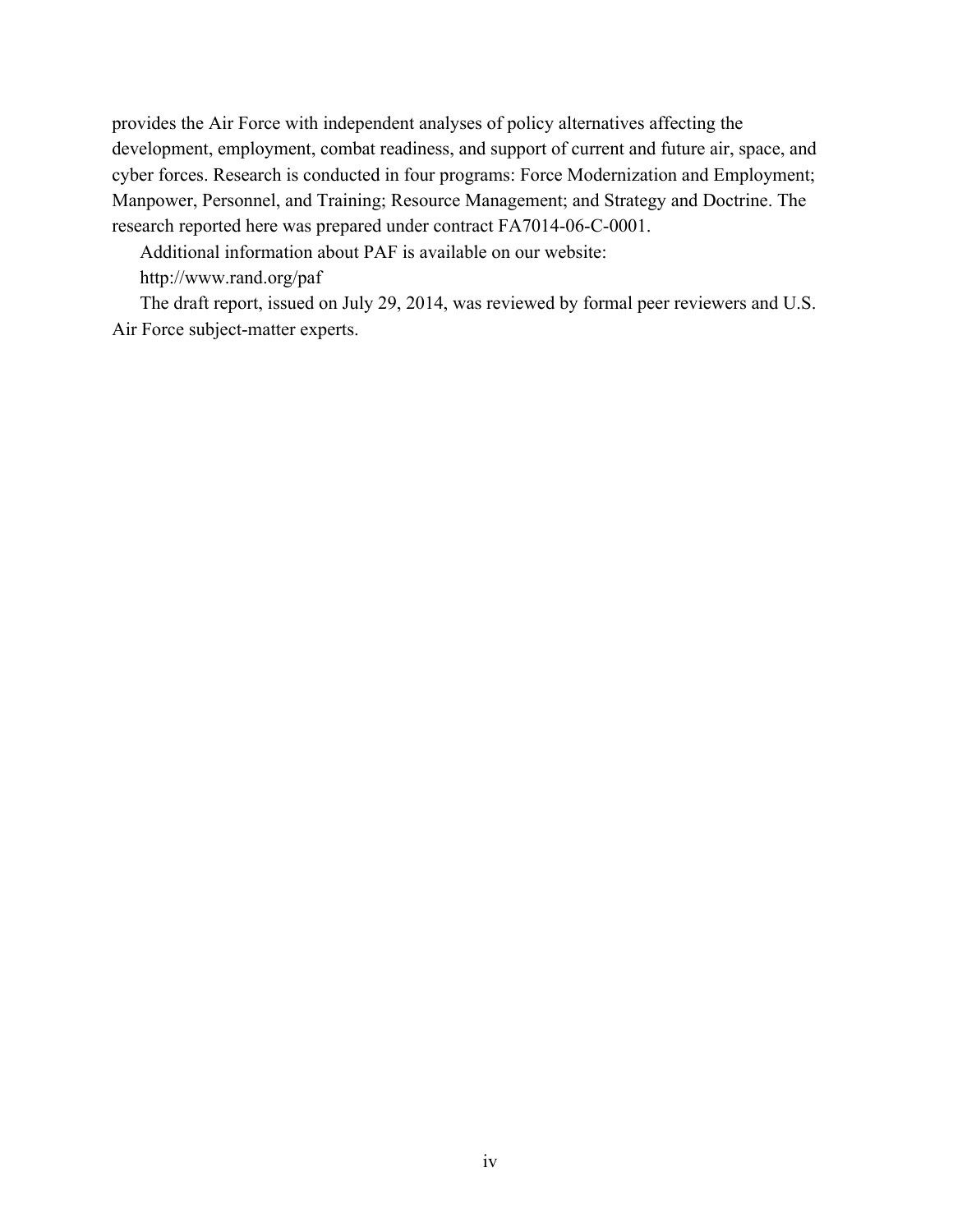provides the Air Force with independent analyses of policy alternatives affecting the development, employment, combat readiness, and support of current and future air, space, and cyber forces. Research is conducted in four programs: Force Modernization and Employment; Manpower, Personnel, and Training; Resource Management; and Strategy and Doctrine. The research reported here was prepared under contract FA7014-06-C-0001.

Additional information about PAF is available on our website:

<http://www.rand.org/paf>

The draft report, issued on July 29, 2014, was reviewed by formal peer reviewers and U.S. Air Force subject-matter experts.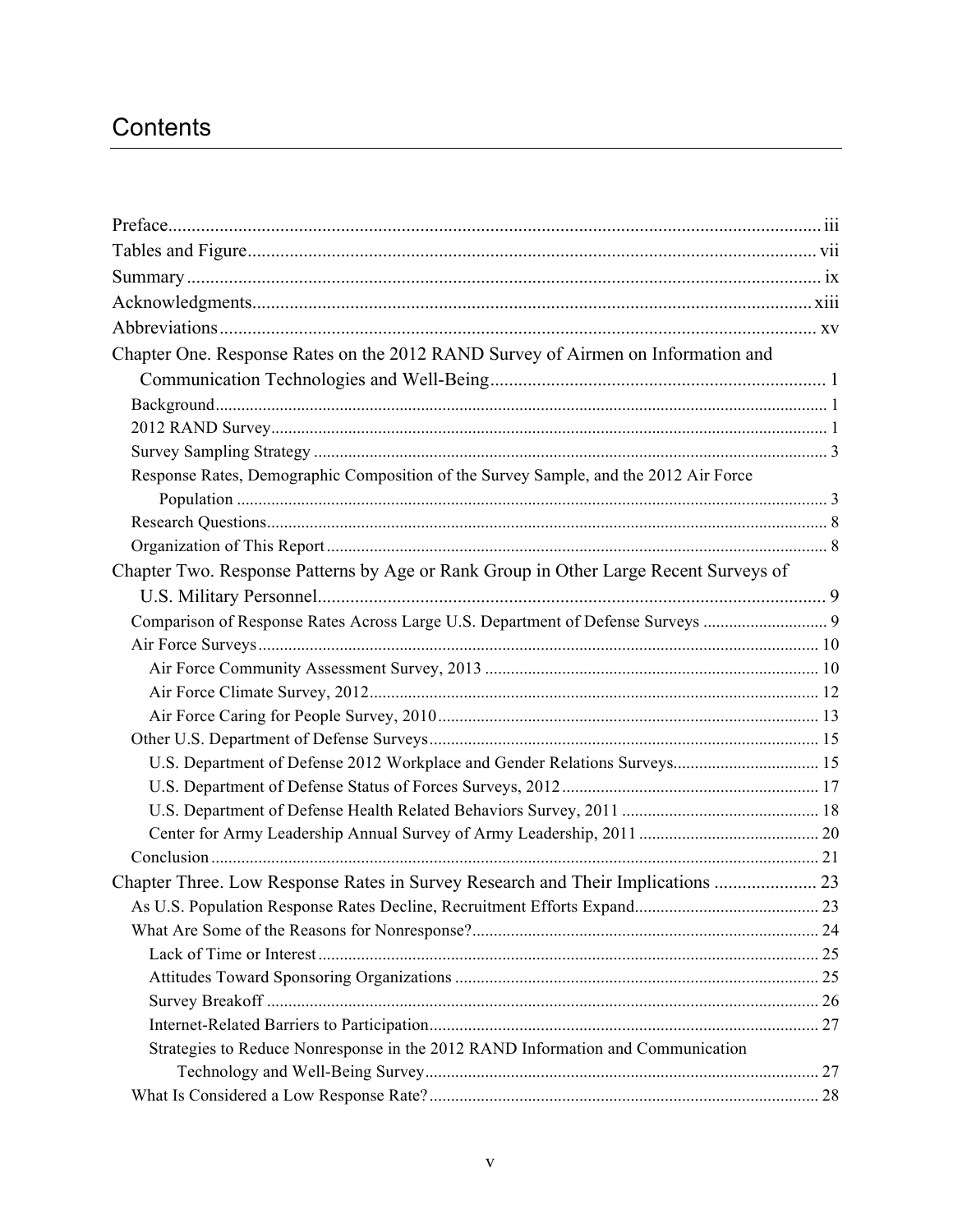# Contents

| Chapter One. Response Rates on the 2012 RAND Survey of Airmen on Information and     |  |
|--------------------------------------------------------------------------------------|--|
|                                                                                      |  |
|                                                                                      |  |
|                                                                                      |  |
|                                                                                      |  |
| Response Rates, Demographic Composition of the Survey Sample, and the 2012 Air Force |  |
|                                                                                      |  |
|                                                                                      |  |
|                                                                                      |  |
| Chapter Two. Response Patterns by Age or Rank Group in Other Large Recent Surveys of |  |
|                                                                                      |  |
| Comparison of Response Rates Across Large U.S. Department of Defense Surveys  9      |  |
|                                                                                      |  |
|                                                                                      |  |
|                                                                                      |  |
|                                                                                      |  |
|                                                                                      |  |
| U.S. Department of Defense 2012 Workplace and Gender Relations Surveys 15            |  |
|                                                                                      |  |
|                                                                                      |  |
|                                                                                      |  |
|                                                                                      |  |
| Chapter Three. Low Response Rates in Survey Research and Their Implications  23      |  |
|                                                                                      |  |
|                                                                                      |  |
|                                                                                      |  |
|                                                                                      |  |
|                                                                                      |  |
|                                                                                      |  |
| Strategies to Reduce Nonresponse in the 2012 RAND Information and Communication      |  |
|                                                                                      |  |
|                                                                                      |  |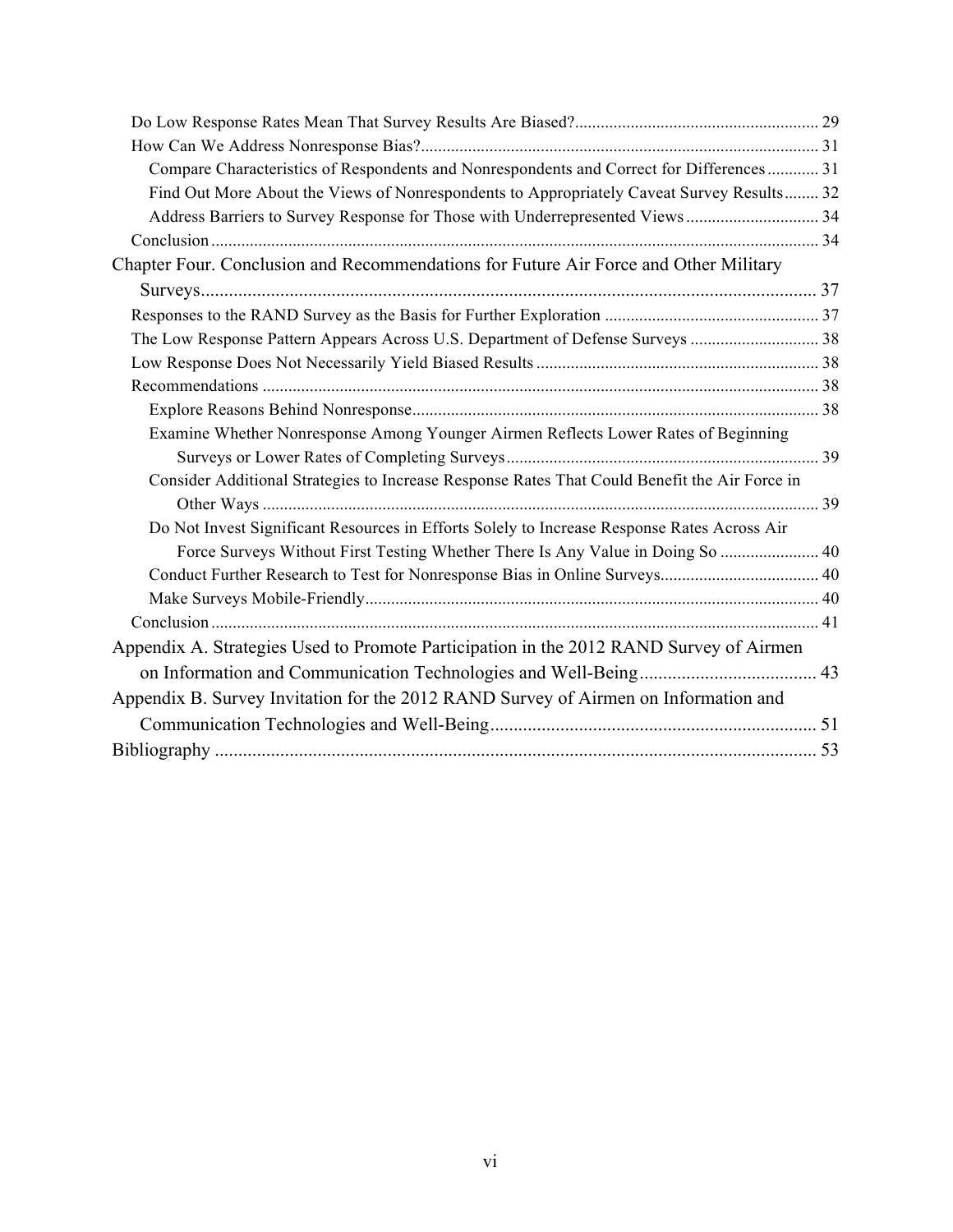| Compare Characteristics of Respondents and Nonrespondents and Correct for Differences 31      |  |
|-----------------------------------------------------------------------------------------------|--|
| Find Out More About the Views of Nonrespondents to Appropriately Caveat Survey Results 32     |  |
|                                                                                               |  |
|                                                                                               |  |
| Chapter Four. Conclusion and Recommendations for Future Air Force and Other Military          |  |
|                                                                                               |  |
|                                                                                               |  |
| The Low Response Pattern Appears Across U.S. Department of Defense Surveys  38                |  |
|                                                                                               |  |
|                                                                                               |  |
|                                                                                               |  |
| Examine Whether Nonresponse Among Younger Airmen Reflects Lower Rates of Beginning            |  |
|                                                                                               |  |
| Consider Additional Strategies to Increase Response Rates That Could Benefit the Air Force in |  |
|                                                                                               |  |
| Do Not Invest Significant Resources in Efforts Solely to Increase Response Rates Across Air   |  |
| Force Surveys Without First Testing Whether There Is Any Value in Doing So  40                |  |
|                                                                                               |  |
|                                                                                               |  |
|                                                                                               |  |
| Appendix A. Strategies Used to Promote Participation in the 2012 RAND Survey of Airmen        |  |
|                                                                                               |  |
| Appendix B. Survey Invitation for the 2012 RAND Survey of Airmen on Information and           |  |
|                                                                                               |  |
|                                                                                               |  |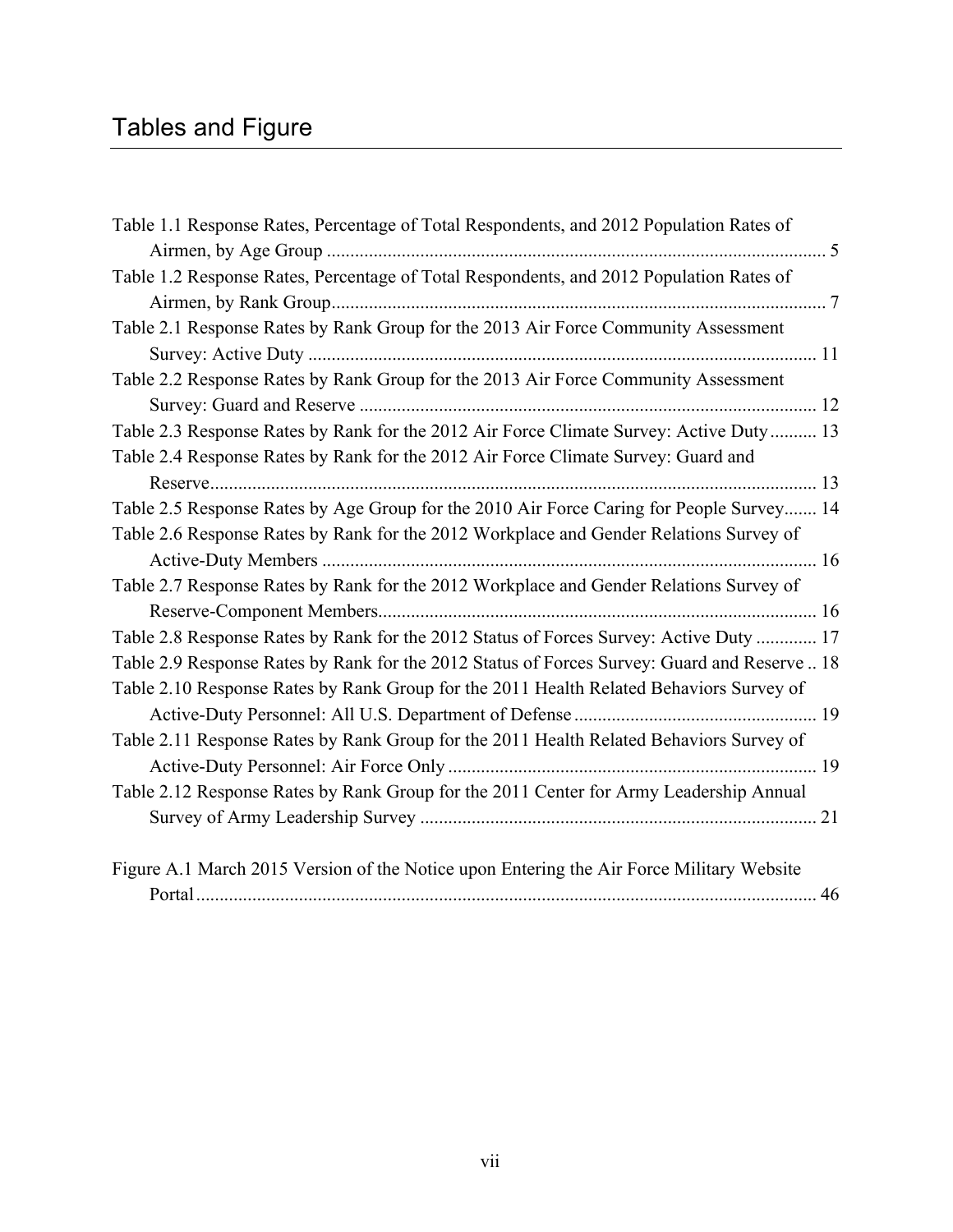# Tables and Figure

| Table 1.1 Response Rates, Percentage of Total Respondents, and 2012 Population Rates of      |  |
|----------------------------------------------------------------------------------------------|--|
|                                                                                              |  |
| Table 1.2 Response Rates, Percentage of Total Respondents, and 2012 Population Rates of      |  |
|                                                                                              |  |
| Table 2.1 Response Rates by Rank Group for the 2013 Air Force Community Assessment           |  |
|                                                                                              |  |
| Table 2.2 Response Rates by Rank Group for the 2013 Air Force Community Assessment           |  |
|                                                                                              |  |
| Table 2.3 Response Rates by Rank for the 2012 Air Force Climate Survey: Active Duty  13      |  |
| Table 2.4 Response Rates by Rank for the 2012 Air Force Climate Survey: Guard and            |  |
|                                                                                              |  |
| Table 2.5 Response Rates by Age Group for the 2010 Air Force Caring for People Survey 14     |  |
| Table 2.6 Response Rates by Rank for the 2012 Workplace and Gender Relations Survey of       |  |
|                                                                                              |  |
| Table 2.7 Response Rates by Rank for the 2012 Workplace and Gender Relations Survey of       |  |
|                                                                                              |  |
| Table 2.8 Response Rates by Rank for the 2012 Status of Forces Survey: Active Duty  17       |  |
| Table 2.9 Response Rates by Rank for the 2012 Status of Forces Survey: Guard and Reserve  18 |  |
| Table 2.10 Response Rates by Rank Group for the 2011 Health Related Behaviors Survey of      |  |
|                                                                                              |  |
| Table 2.11 Response Rates by Rank Group for the 2011 Health Related Behaviors Survey of      |  |
|                                                                                              |  |
| Table 2.12 Response Rates by Rank Group for the 2011 Center for Army Leadership Annual       |  |
|                                                                                              |  |
| Figure A.1 March 2015 Version of the Notice upon Entering the Air Force Military Website     |  |
|                                                                                              |  |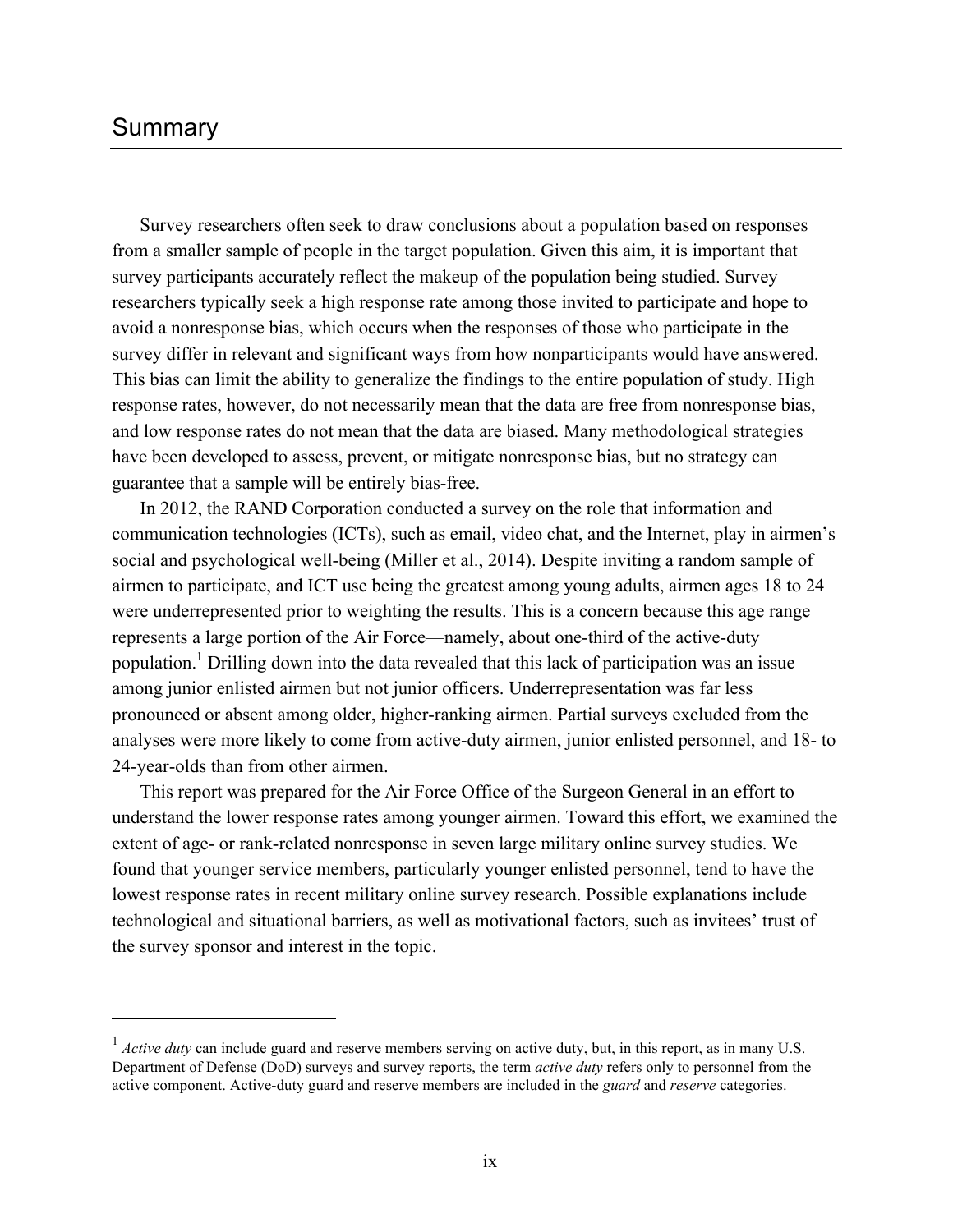## Summary

1

Survey researchers often seek to draw conclusions about a population based on responses from a smaller sample of people in the target population. Given this aim, it is important that survey participants accurately reflect the makeup of the population being studied. Survey researchers typically seek a high response rate among those invited to participate and hope to avoid a nonresponse bias, which occurs when the responses of those who participate in the survey differ in relevant and significant ways from how nonparticipants would have answered. This bias can limit the ability to generalize the findings to the entire population of study. High response rates, however, do not necessarily mean that the data are free from nonresponse bias, and low response rates do not mean that the data are biased. Many methodological strategies have been developed to assess, prevent, or mitigate nonresponse bias, but no strategy can guarantee that a sample will be entirely bias-free.

In 2012, the RAND Corporation conducted a survey on the role that information and communication technologies (ICTs), such as email, video chat, and the Internet, play in airmen's social and psychological well-being (Miller et al., 2014). Despite inviting a random sample of airmen to participate, and ICT use being the greatest among young adults, airmen ages 18 to 24 were underrepresented prior to weighting the results. This is a concern because this age range represents a large portion of the Air Force—namely, about one-third of the active-duty population.<sup>1</sup> Drilling down into the data revealed that this lack of participation was an issue among junior enlisted airmen but not junior officers. Underrepresentation was far less pronounced or absent among older, higher-ranking airmen. Partial surveys excluded from the analyses were more likely to come from active-duty airmen, junior enlisted personnel, and 18- to 24-year-olds than from other airmen.

This report was prepared for the Air Force Office of the Surgeon General in an effort to understand the lower response rates among younger airmen. Toward this effort, we examined the extent of age- or rank-related nonresponse in seven large military online survey studies. We found that younger service members, particularly younger enlisted personnel, tend to have the lowest response rates in recent military online survey research. Possible explanations include technological and situational barriers, as well as motivational factors, such as invitees' trust of the survey sponsor and interest in the topic.

<sup>&</sup>lt;sup>1</sup> *Active duty* can include guard and reserve members serving on active duty, but, in this report, as in many U.S. Department of Defense (DoD) surveys and survey reports, the term *active duty* refers only to personnel from the active component. Active-duty guard and reserve members are included in the *guard* and *reserve* categories.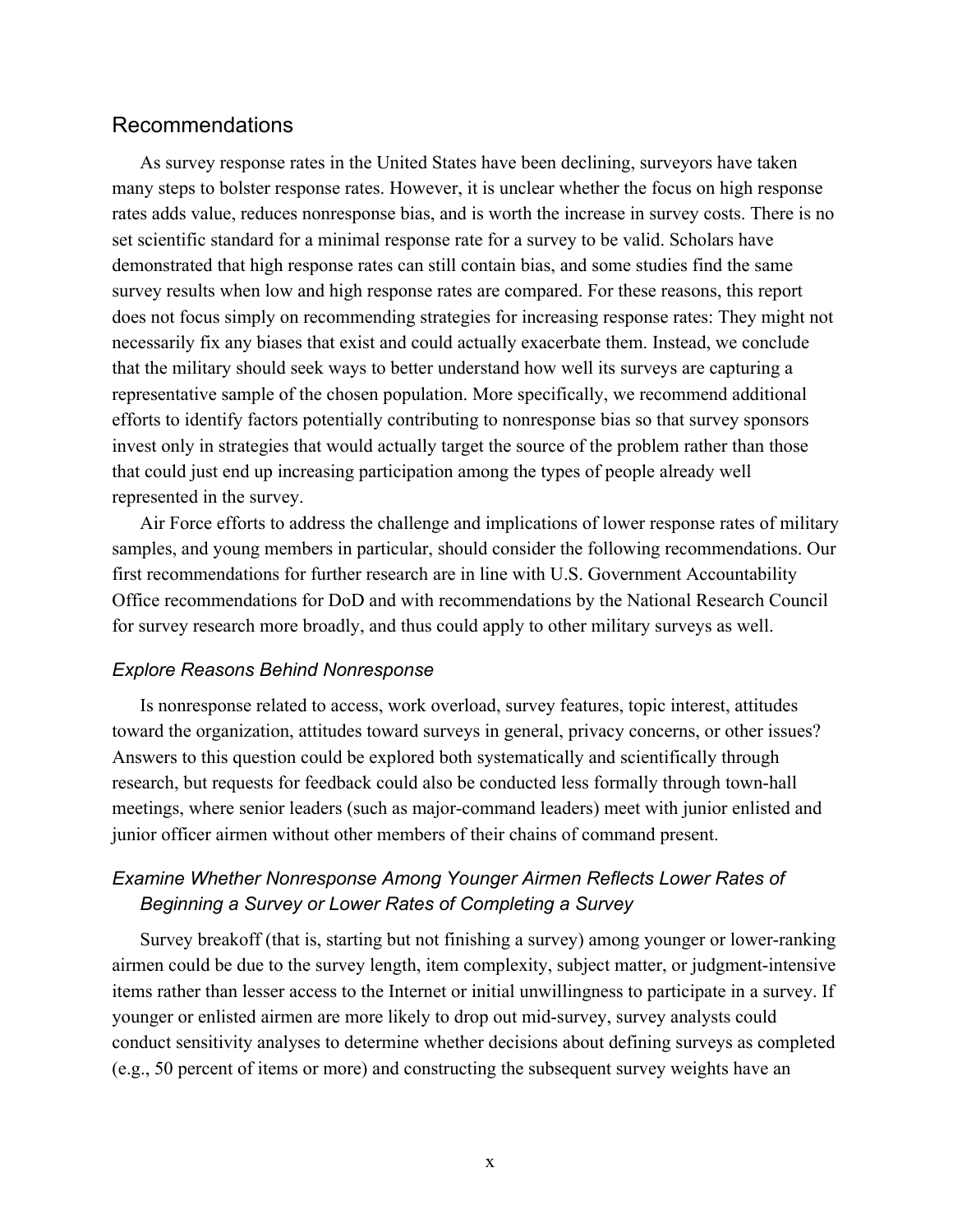## Recommendations

As survey response rates in the United States have been declining, surveyors have taken many steps to bolster response rates. However, it is unclear whether the focus on high response rates adds value, reduces nonresponse bias, and is worth the increase in survey costs. There is no set scientific standard for a minimal response rate for a survey to be valid. Scholars have demonstrated that high response rates can still contain bias, and some studies find the same survey results when low and high response rates are compared. For these reasons, this report does not focus simply on recommending strategies for increasing response rates: They might not necessarily fix any biases that exist and could actually exacerbate them. Instead, we conclude that the military should seek ways to better understand how well its surveys are capturing a representative sample of the chosen population. More specifically, we recommend additional efforts to identify factors potentially contributing to nonresponse bias so that survey sponsors invest only in strategies that would actually target the source of the problem rather than those that could just end up increasing participation among the types of people already well represented in the survey.

Air Force efforts to address the challenge and implications of lower response rates of military samples, and young members in particular, should consider the following recommendations. Our first recommendations for further research are in line with U.S. Government Accountability Office recommendations for DoD and with recommendations by the National Research Council for survey research more broadly, and thus could apply to other military surveys as well.

#### *Explore Reasons Behind Nonresponse*

Is nonresponse related to access, work overload, survey features, topic interest, attitudes toward the organization, attitudes toward surveys in general, privacy concerns, or other issues? Answers to this question could be explored both systematically and scientifically through research, but requests for feedback could also be conducted less formally through town-hall meetings, where senior leaders (such as major-command leaders) meet with junior enlisted and junior officer airmen without other members of their chains of command present.

## *Examine Whether Nonresponse Among Younger Airmen Reflects Lower Rates of Beginning a Survey or Lower Rates of Completing a Survey*

Survey breakoff (that is, starting but not finishing a survey) among younger or lower-ranking airmen could be due to the survey length, item complexity, subject matter, or judgment-intensive items rather than lesser access to the Internet or initial unwillingness to participate in a survey. If younger or enlisted airmen are more likely to drop out mid-survey, survey analysts could conduct sensitivity analyses to determine whether decisions about defining surveys as completed (e.g., 50 percent of items or more) and constructing the subsequent survey weights have an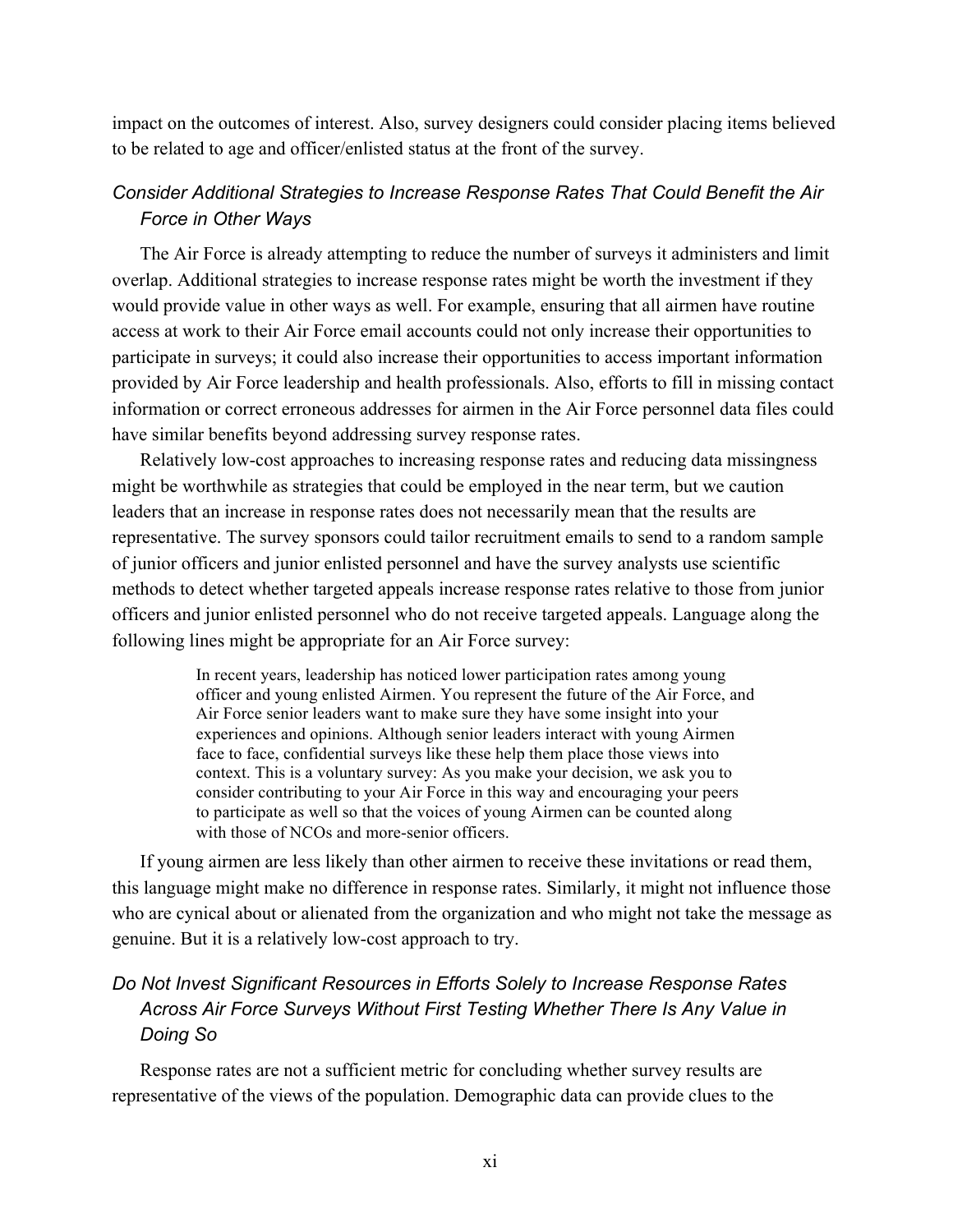impact on the outcomes of interest. Also, survey designers could consider placing items believed to be related to age and officer/enlisted status at the front of the survey.

## *Consider Additional Strategies to Increase Response Rates That Could Benefit the Air Force in Other Ways*

The Air Force is already attempting to reduce the number of surveys it administers and limit overlap. Additional strategies to increase response rates might be worth the investment if they would provide value in other ways as well. For example, ensuring that all airmen have routine access at work to their Air Force email accounts could not only increase their opportunities to participate in surveys; it could also increase their opportunities to access important information provided by Air Force leadership and health professionals. Also, efforts to fill in missing contact information or correct erroneous addresses for airmen in the Air Force personnel data files could have similar benefits beyond addressing survey response rates.

Relatively low-cost approaches to increasing response rates and reducing data missingness might be worthwhile as strategies that could be employed in the near term, but we caution leaders that an increase in response rates does not necessarily mean that the results are representative. The survey sponsors could tailor recruitment emails to send to a random sample of junior officers and junior enlisted personnel and have the survey analysts use scientific methods to detect whether targeted appeals increase response rates relative to those from junior officers and junior enlisted personnel who do not receive targeted appeals. Language along the following lines might be appropriate for an Air Force survey:

> In recent years, leadership has noticed lower participation rates among young officer and young enlisted Airmen. You represent the future of the Air Force, and Air Force senior leaders want to make sure they have some insight into your experiences and opinions. Although senior leaders interact with young Airmen face to face, confidential surveys like these help them place those views into context. This is a voluntary survey: As you make your decision, we ask you to consider contributing to your Air Force in this way and encouraging your peers to participate as well so that the voices of young Airmen can be counted along with those of NCOs and more-senior officers.

If young airmen are less likely than other airmen to receive these invitations or read them, this language might make no difference in response rates. Similarly, it might not influence those who are cynical about or alienated from the organization and who might not take the message as genuine. But it is a relatively low-cost approach to try.

## *Do Not Invest Significant Resources in Efforts Solely to Increase Response Rates Across Air Force Surveys Without First Testing Whether There Is Any Value in Doing So*

Response rates are not a sufficient metric for concluding whether survey results are representative of the views of the population. Demographic data can provide clues to the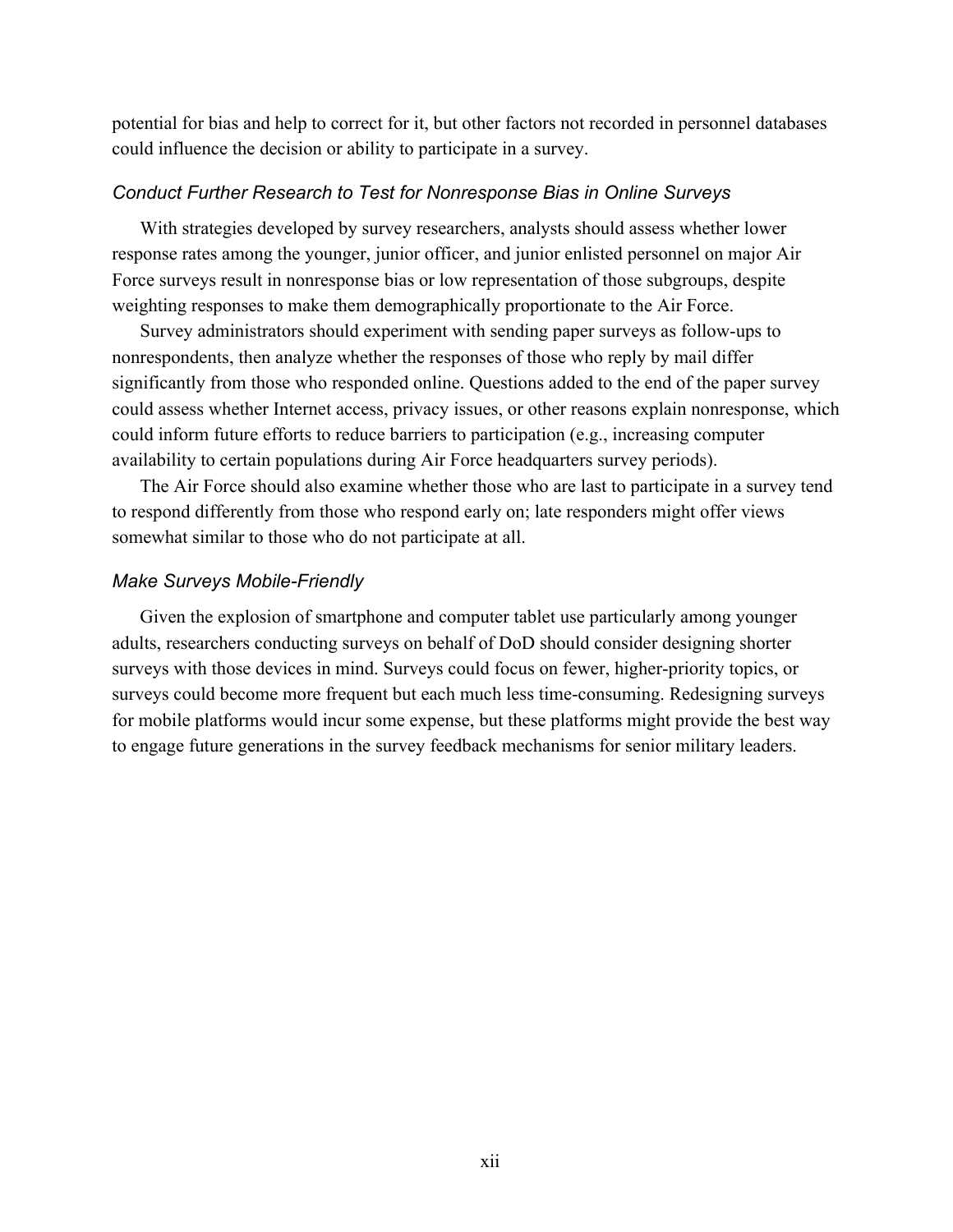potential for bias and help to correct for it, but other factors not recorded in personnel databases could influence the decision or ability to participate in a survey.

#### *Conduct Further Research to Test for Nonresponse Bias in Online Surveys*

With strategies developed by survey researchers, analysts should assess whether lower response rates among the younger, junior officer, and junior enlisted personnel on major Air Force surveys result in nonresponse bias or low representation of those subgroups, despite weighting responses to make them demographically proportionate to the Air Force.

Survey administrators should experiment with sending paper surveys as follow-ups to nonrespondents, then analyze whether the responses of those who reply by mail differ significantly from those who responded online. Questions added to the end of the paper survey could assess whether Internet access, privacy issues, or other reasons explain nonresponse, which could inform future efforts to reduce barriers to participation (e.g., increasing computer availability to certain populations during Air Force headquarters survey periods).

The Air Force should also examine whether those who are last to participate in a survey tend to respond differently from those who respond early on; late responders might offer views somewhat similar to those who do not participate at all.

#### *Make Surveys Mobile-Friendly*

Given the explosion of smartphone and computer tablet use particularly among younger adults, researchers conducting surveys on behalf of DoD should consider designing shorter surveys with those devices in mind. Surveys could focus on fewer, higher-priority topics, or surveys could become more frequent but each much less time-consuming. Redesigning surveys for mobile platforms would incur some expense, but these platforms might provide the best way to engage future generations in the survey feedback mechanisms for senior military leaders.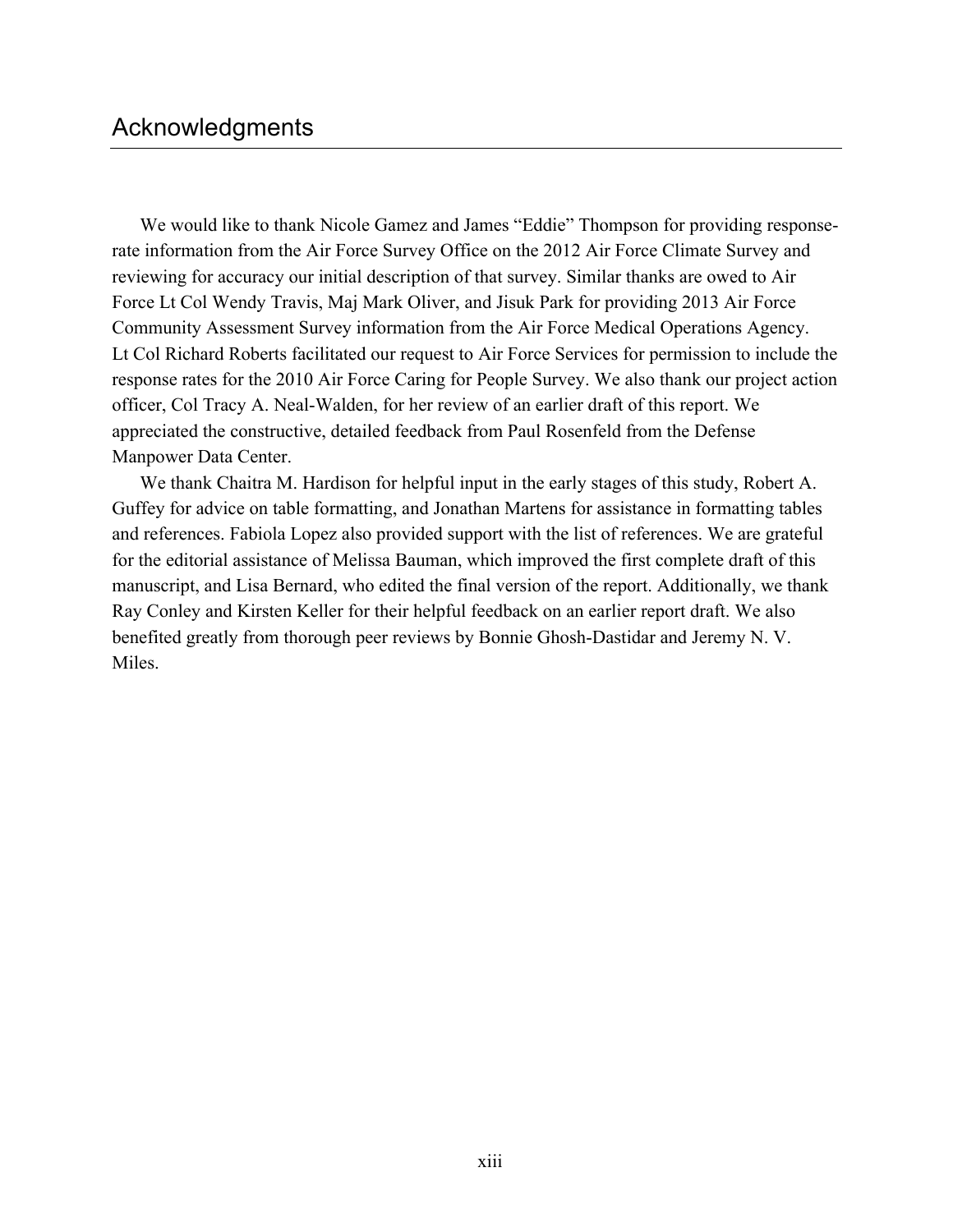## Acknowledgments

We would like to thank Nicole Gamez and James "Eddie" Thompson for providing responserate information from the Air Force Survey Office on the 2012 Air Force Climate Survey and reviewing for accuracy our initial description of that survey. Similar thanks are owed to Air Force Lt Col Wendy Travis, Maj Mark Oliver, and Jisuk Park for providing 2013 Air Force Community Assessment Survey information from the Air Force Medical Operations Agency. Lt Col Richard Roberts facilitated our request to Air Force Services for permission to include the response rates for the 2010 Air Force Caring for People Survey. We also thank our project action officer, Col Tracy A. Neal-Walden, for her review of an earlier draft of this report. We appreciated the constructive, detailed feedback from Paul Rosenfeld from the Defense Manpower Data Center.

We thank Chaitra M. Hardison for helpful input in the early stages of this study, Robert A. Guffey for advice on table formatting, and Jonathan Martens for assistance in formatting tables and references. Fabiola Lopez also provided support with the list of references. We are grateful for the editorial assistance of Melissa Bauman, which improved the first complete draft of this manuscript, and Lisa Bernard, who edited the final version of the report. Additionally, we thank Ray Conley and Kirsten Keller for their helpful feedback on an earlier report draft. We also benefited greatly from thorough peer reviews by Bonnie Ghosh-Dastidar and Jeremy N. V. Miles.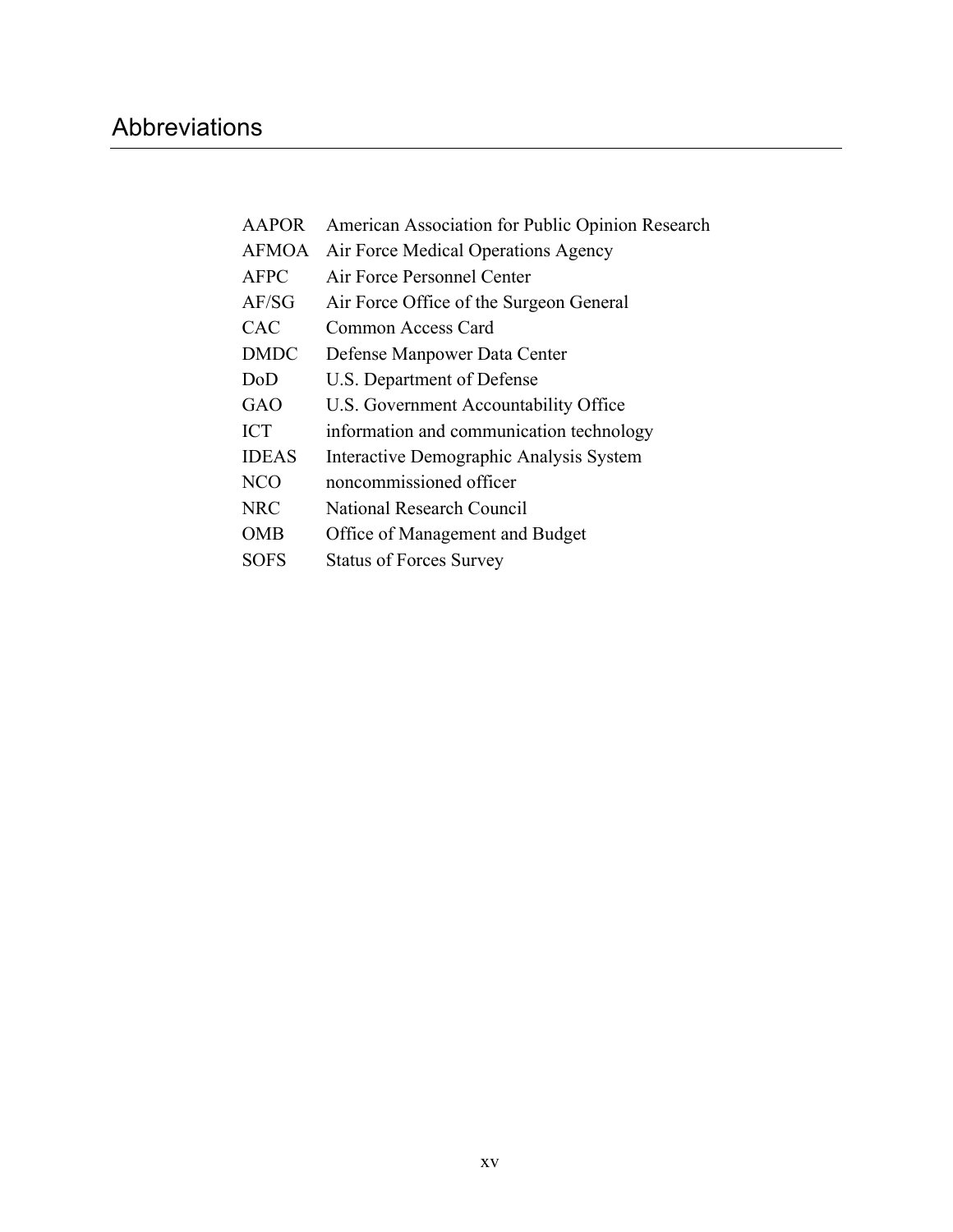# Abbreviations

| <b>AAPOR</b> | American Association for Public Opinion Research |
|--------------|--------------------------------------------------|
| <b>AFMOA</b> | Air Force Medical Operations Agency              |
| <b>AFPC</b>  | Air Force Personnel Center                       |
| AF/SG        | Air Force Office of the Surgeon General          |
| <b>CAC</b>   | Common Access Card                               |
| <b>DMDC</b>  | Defense Manpower Data Center                     |
| DoD          | U.S. Department of Defense                       |
| GAO          | U.S. Government Accountability Office            |
| <b>ICT</b>   | information and communication technology         |
| <b>IDEAS</b> | Interactive Demographic Analysis System          |
| <b>NCO</b>   | noncommissioned officer                          |
| <b>NRC</b>   | National Research Council                        |
| <b>OMB</b>   | Office of Management and Budget                  |
| <b>SOFS</b>  | <b>Status of Forces Survey</b>                   |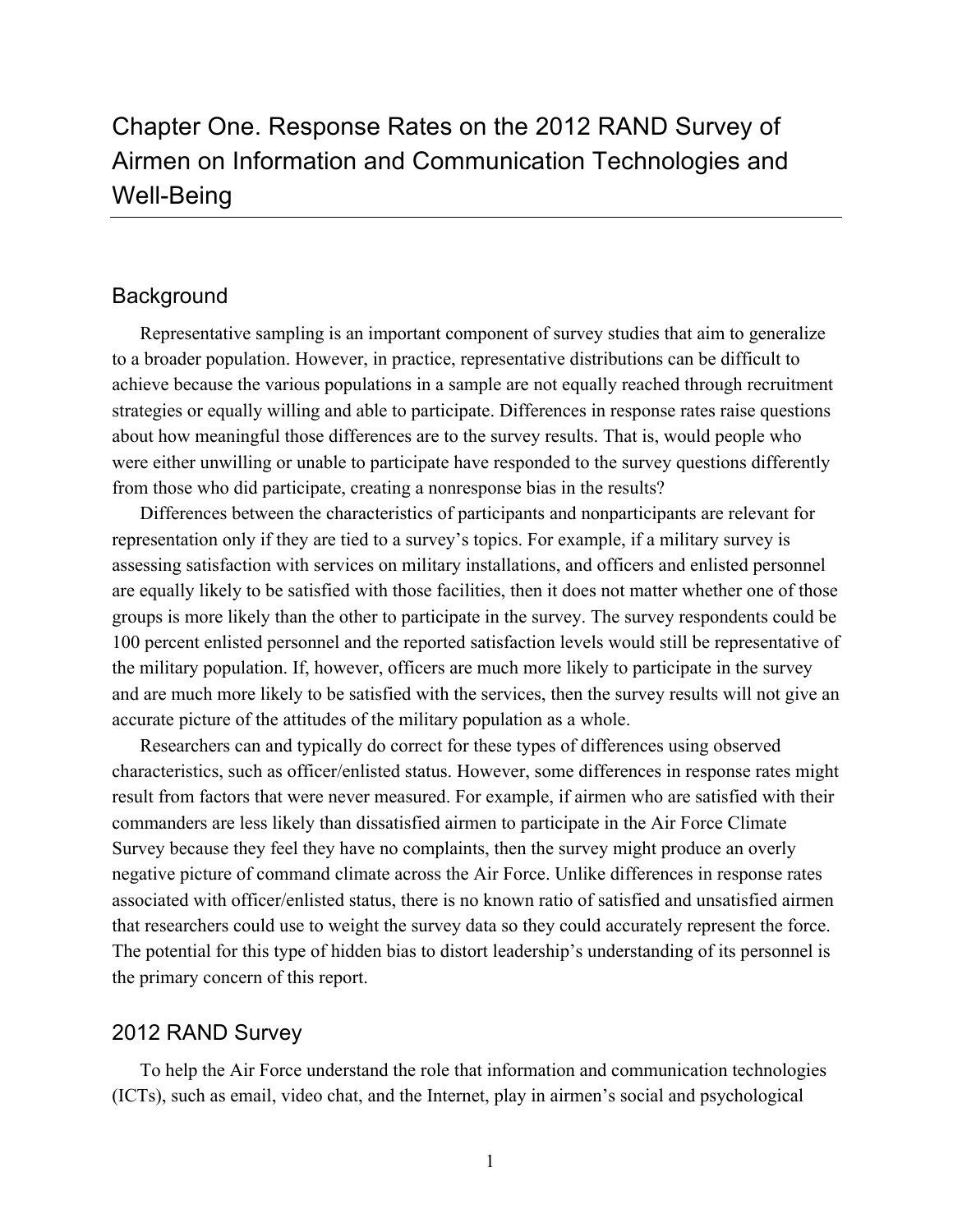# Chapter One. Response Rates on the 2012 RAND Survey of Airmen on Information and Communication Technologies and Well-Being

## **Background**

Representative sampling is an important component of survey studies that aim to generalize to a broader population. However, in practice, representative distributions can be difficult to achieve because the various populations in a sample are not equally reached through recruitment strategies or equally willing and able to participate. Differences in response rates raise questions about how meaningful those differences are to the survey results. That is, would people who were either unwilling or unable to participate have responded to the survey questions differently from those who did participate, creating a nonresponse bias in the results?

Differences between the characteristics of participants and nonparticipants are relevant for representation only if they are tied to a survey's topics. For example, if a military survey is assessing satisfaction with services on military installations, and officers and enlisted personnel are equally likely to be satisfied with those facilities, then it does not matter whether one of those groups is more likely than the other to participate in the survey. The survey respondents could be 100 percent enlisted personnel and the reported satisfaction levels would still be representative of the military population. If, however, officers are much more likely to participate in the survey and are much more likely to be satisfied with the services, then the survey results will not give an accurate picture of the attitudes of the military population as a whole.

Researchers can and typically do correct for these types of differences using observed characteristics, such as officer/enlisted status. However, some differences in response rates might result from factors that were never measured. For example, if airmen who are satisfied with their commanders are less likely than dissatisfied airmen to participate in the Air Force Climate Survey because they feel they have no complaints, then the survey might produce an overly negative picture of command climate across the Air Force. Unlike differences in response rates associated with officer/enlisted status, there is no known ratio of satisfied and unsatisfied airmen that researchers could use to weight the survey data so they could accurately represent the force. The potential for this type of hidden bias to distort leadership's understanding of its personnel is the primary concern of this report.

## 2012 RAND Survey

To help the Air Force understand the role that information and communication technologies (ICTs), such as email, video chat, and the Internet, play in airmen's social and psychological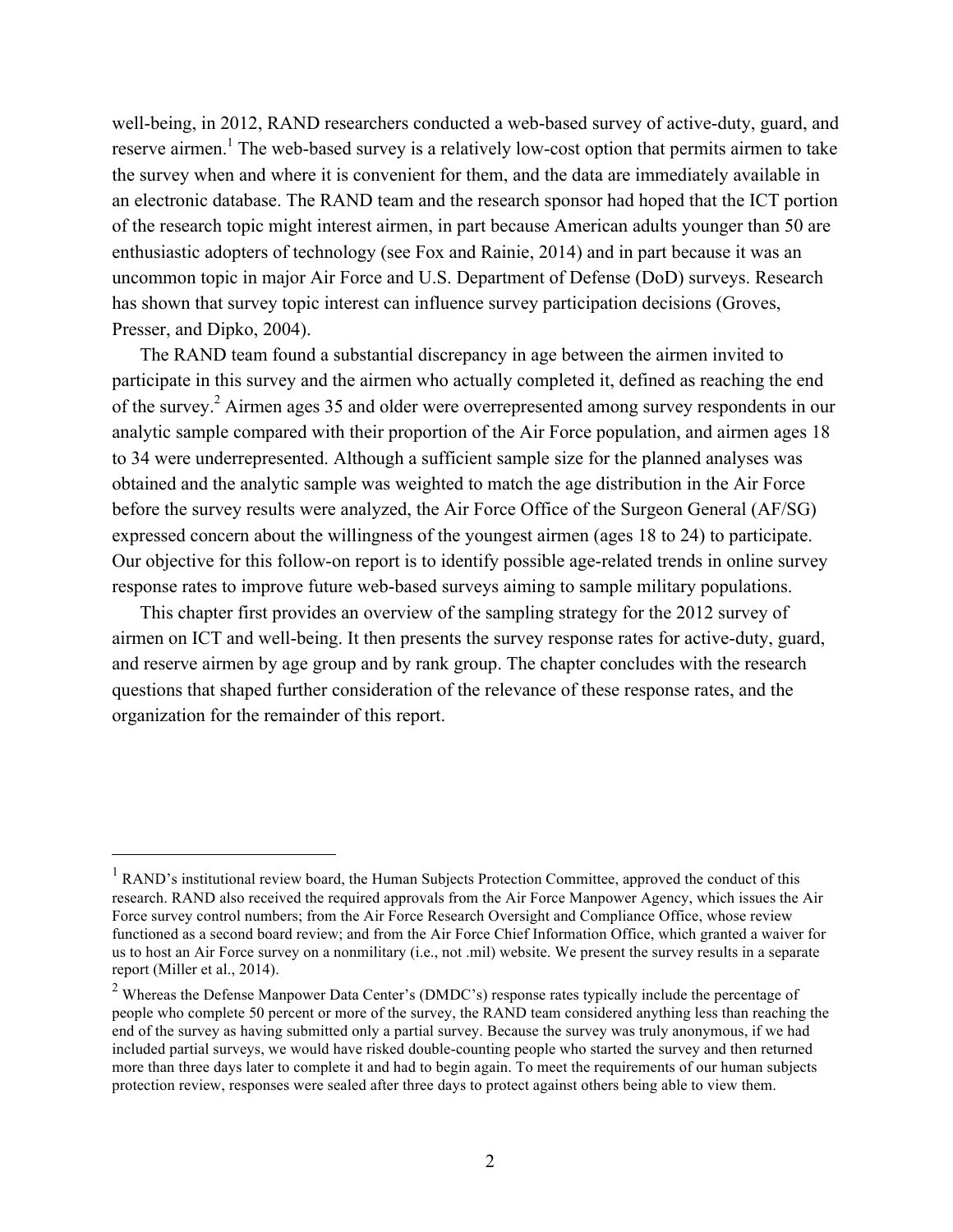well-being, in 2012, RAND researchers conducted a web-based survey of active-duty, guard, and reserve airmen.<sup>1</sup> The web-based survey is a relatively low-cost option that permits airmen to take the survey when and where it is convenient for them, and the data are immediately available in an electronic database. The RAND team and the research sponsor had hoped that the ICT portion of the research topic might interest airmen, in part because American adults younger than 50 are enthusiastic adopters of technology (see Fox and Rainie, 2014) and in part because it was an uncommon topic in major Air Force and U.S. Department of Defense (DoD) surveys. Research has shown that survey topic interest can influence survey participation decisions (Groves, Presser, and Dipko, 2004).

The RAND team found a substantial discrepancy in age between the airmen invited to participate in this survey and the airmen who actually completed it, defined as reaching the end of the survey.<sup>2</sup> Airmen ages 35 and older were overrepresented among survey respondents in our analytic sample compared with their proportion of the Air Force population, and airmen ages 18 to 34 were underrepresented. Although a sufficient sample size for the planned analyses was obtained and the analytic sample was weighted to match the age distribution in the Air Force before the survey results were analyzed, the Air Force Office of the Surgeon General (AF/SG) expressed concern about the willingness of the youngest airmen (ages 18 to 24) to participate. Our objective for this follow-on report is to identify possible age-related trends in online survey response rates to improve future web-based surveys aiming to sample military populations.

This chapter first provides an overview of the sampling strategy for the 2012 survey of airmen on ICT and well-being. It then presents the survey response rates for active-duty, guard, and reserve airmen by age group and by rank group. The chapter concludes with the research questions that shaped further consideration of the relevance of these response rates, and the organization for the remainder of this report.

 $\overline{a}$ 

<sup>&</sup>lt;sup>1</sup> RAND's institutional review board, the Human Subjects Protection Committee, approved the conduct of this research. RAND also received the required approvals from the Air Force Manpower Agency, which issues the Air Force survey control numbers; from the Air Force Research Oversight and Compliance Office, whose review functioned as a second board review; and from the Air Force Chief Information Office, which granted a waiver for us to host an Air Force survey on a nonmilitary (i.e., not .mil) website. We present the survey results in a separate report (Miller et al., 2014).

<sup>2</sup> Whereas the Defense Manpower Data Center's (DMDC's) response rates typically include the percentage of people who complete 50 percent or more of the survey, the RAND team considered anything less than reaching the end of the survey as having submitted only a partial survey. Because the survey was truly anonymous, if we had included partial surveys, we would have risked double-counting people who started the survey and then returned more than three days later to complete it and had to begin again. To meet the requirements of our human subjects protection review, responses were sealed after three days to protect against others being able to view them.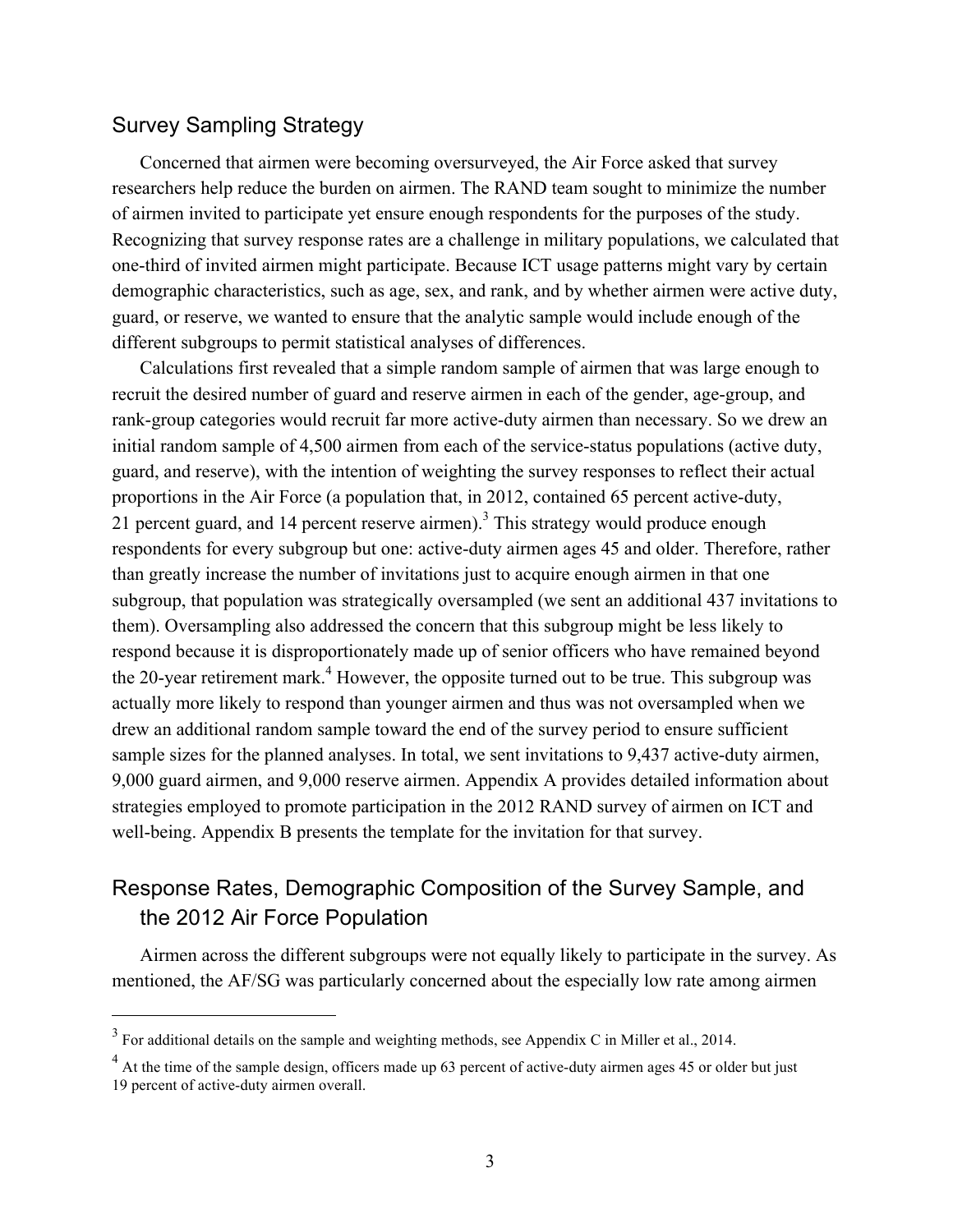## Survey Sampling Strategy

 $\overline{a}$ 

Concerned that airmen were becoming oversurveyed, the Air Force asked that survey researchers help reduce the burden on airmen. The RAND team sought to minimize the number of airmen invited to participate yet ensure enough respondents for the purposes of the study. Recognizing that survey response rates are a challenge in military populations, we calculated that one-third of invited airmen might participate. Because ICT usage patterns might vary by certain demographic characteristics, such as age, sex, and rank, and by whether airmen were active duty, guard, or reserve, we wanted to ensure that the analytic sample would include enough of the different subgroups to permit statistical analyses of differences.

Calculations first revealed that a simple random sample of airmen that was large enough to recruit the desired number of guard and reserve airmen in each of the gender, age-group, and rank-group categories would recruit far more active-duty airmen than necessary. So we drew an initial random sample of 4,500 airmen from each of the service-status populations (active duty, guard, and reserve), with the intention of weighting the survey responses to reflect their actual proportions in the Air Force (a population that, in 2012, contained 65 percent active-duty, 21 percent guard, and 14 percent reserve airmen).<sup>3</sup> This strategy would produce enough respondents for every subgroup but one: active-duty airmen ages 45 and older. Therefore, rather than greatly increase the number of invitations just to acquire enough airmen in that one subgroup, that population was strategically oversampled (we sent an additional 437 invitations to them). Oversampling also addressed the concern that this subgroup might be less likely to respond because it is disproportionately made up of senior officers who have remained beyond the 20-year retirement mark.<sup>4</sup> However, the opposite turned out to be true. This subgroup was actually more likely to respond than younger airmen and thus was not oversampled when we drew an additional random sample toward the end of the survey period to ensure sufficient sample sizes for the planned analyses. In total, we sent invitations to 9,437 active-duty airmen, 9,000 guard airmen, and 9,000 reserve airmen. Appendix A provides detailed information about strategies employed to promote participation in the 2012 RAND survey of airmen on ICT and well-being. Appendix B presents the template for the invitation for that survey.

## Response Rates, Demographic Composition of the Survey Sample, and the 2012 Air Force Population

Airmen across the different subgroups were not equally likely to participate in the survey. As mentioned, the AF/SG was particularly concerned about the especially low rate among airmen

<sup>&</sup>lt;sup>3</sup> For additional details on the sample and weighting methods, see Appendix C in Miller et al., 2014.

<sup>&</sup>lt;sup>4</sup> At the time of the sample design, officers made up 63 percent of active-duty airmen ages 45 or older but just 19 percent of active-duty airmen overall.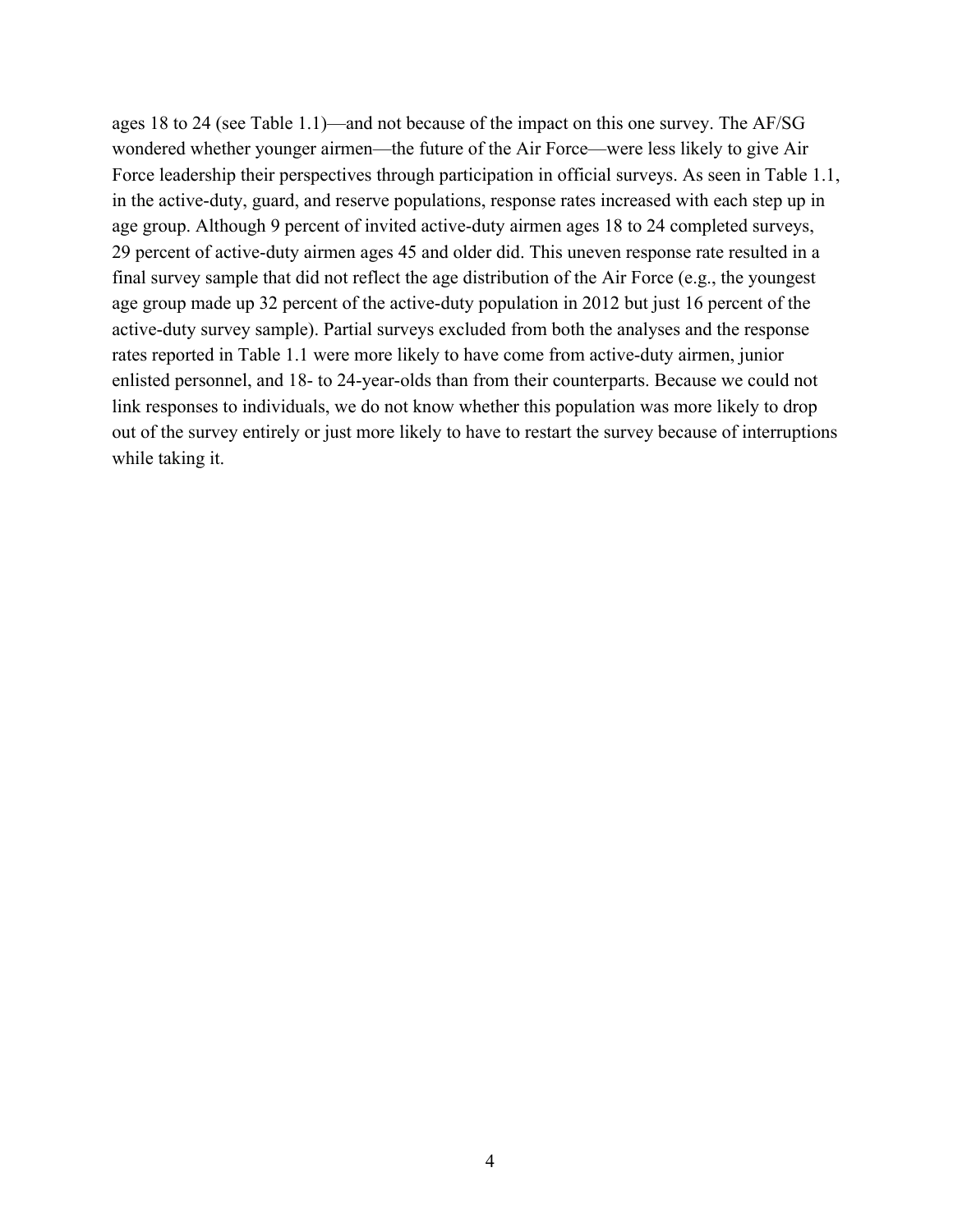ages 18 to 24 (see Table 1.1)—and not because of the impact on this one survey. The AF/SG wondered whether younger airmen—the future of the Air Force—were less likely to give Air Force leadership their perspectives through participation in official surveys. As seen in Table 1.1, in the active-duty, guard, and reserve populations, response rates increased with each step up in age group. Although 9 percent of invited active-duty airmen ages 18 to 24 completed surveys, 29 percent of active-duty airmen ages 45 and older did. This uneven response rate resulted in a final survey sample that did not reflect the age distribution of the Air Force (e.g., the youngest age group made up 32 percent of the active-duty population in 2012 but just 16 percent of the active-duty survey sample). Partial surveys excluded from both the analyses and the response rates reported in Table 1.1 were more likely to have come from active-duty airmen, junior enlisted personnel, and 18- to 24-year-olds than from their counterparts. Because we could not link responses to individuals, we do not know whether this population was more likely to drop out of the survey entirely or just more likely to have to restart the survey because of interruptions while taking it.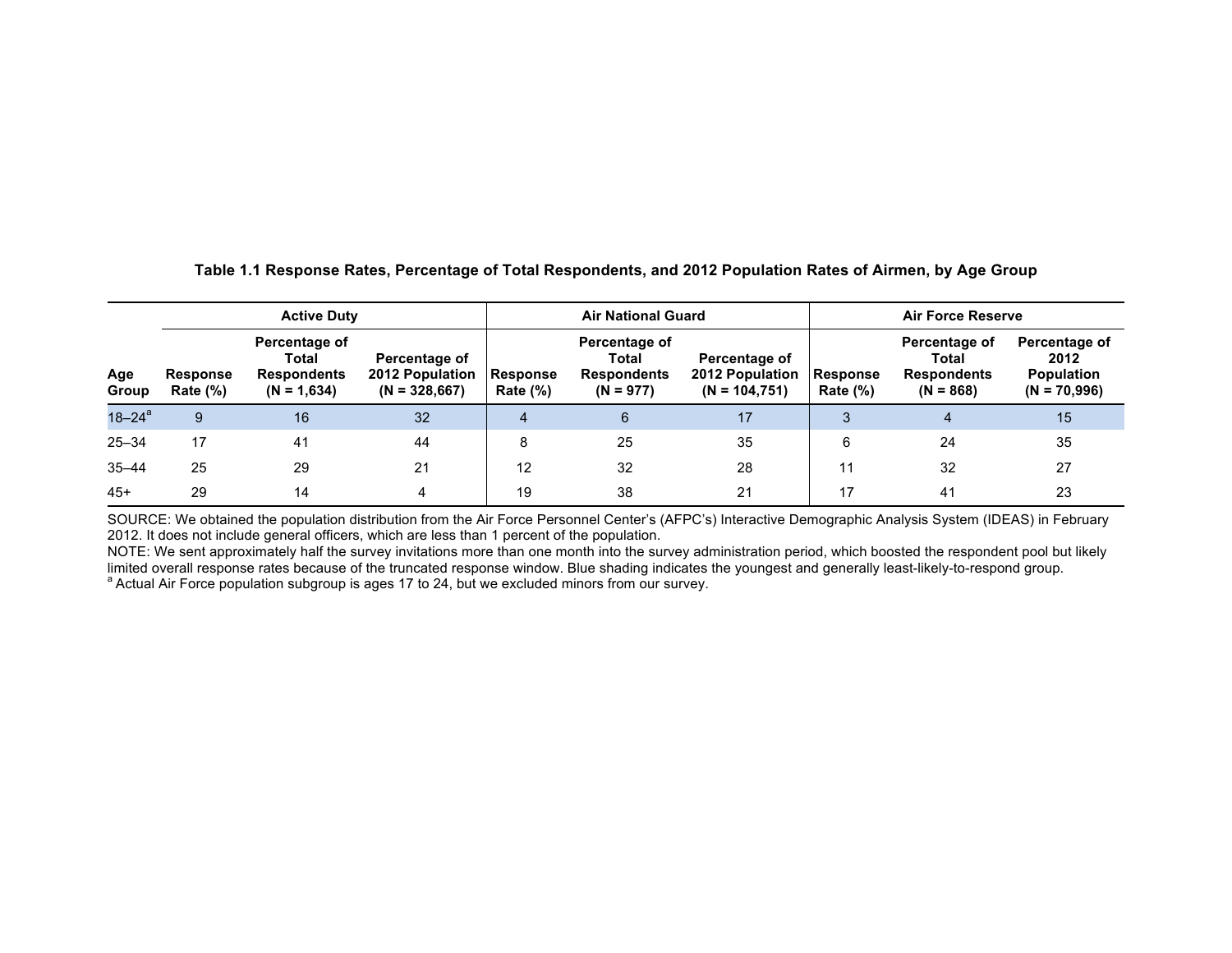|              | <b>Active Duty</b>             |                                                               |                                                     |                                | <b>Air National Guard</b>                                   |                                                     |                                | <b>Air Force Reserve</b>                                    |                                                              |  |
|--------------|--------------------------------|---------------------------------------------------------------|-----------------------------------------------------|--------------------------------|-------------------------------------------------------------|-----------------------------------------------------|--------------------------------|-------------------------------------------------------------|--------------------------------------------------------------|--|
| Age<br>Group | <b>Response</b><br>Rate $(\%)$ | Percentage of<br>Total<br><b>Respondents</b><br>$(N = 1,634)$ | Percentage of<br>2012 Population<br>$(N = 328,667)$ | <b>Response</b><br>Rate $(\%)$ | Percentage of<br>Total<br><b>Respondents</b><br>$(N = 977)$ | Percentage of<br>2012 Population<br>$(N = 104.751)$ | <b>Response</b><br>Rate $(\%)$ | Percentage of<br>Total<br><b>Respondents</b><br>$(N = 868)$ | Percentage of<br>2012<br><b>Population</b><br>$(N = 70,996)$ |  |
| $18 - 24^a$  | 9                              | 16                                                            | 32                                                  | 4                              | 6                                                           | 17                                                  | 3                              |                                                             | 15                                                           |  |
| $25 - 34$    | 17                             | 41                                                            | 44                                                  | 8                              | 25                                                          | 35                                                  | 6                              | 24                                                          | 35                                                           |  |
| $35 - 44$    | 25                             | 29                                                            | 21                                                  | 12                             | 32                                                          | 28                                                  | 11                             | 32                                                          | 27                                                           |  |
| $45+$        | 29                             | 14                                                            |                                                     | 19                             | 38                                                          | 21                                                  | 17                             | 41                                                          | 23                                                           |  |

**Table 1.1 Response Rates, Percentage of Total Respondents, and 2012 Population Rates of Airmen, by Age Group**

SOURCE: We obtained the population distribution from the Air Force Personnel Center's (AFPC's) Interactive Demographic Analysis System (IDEAS) in February 2012. It does not include general officers, which are less than 1 percent of the population.

NOTE: We sent approximately half the survey invitations more than one month into the survey administration period, which boosted the respondent pool but likely limited overall response rates because of the truncated response window. Blue shading indicates the youngest and generally least-likely-to-respond group.<br><sup>a</sup> Actual Air Force population subgroup is ages 17 to 24, but we ex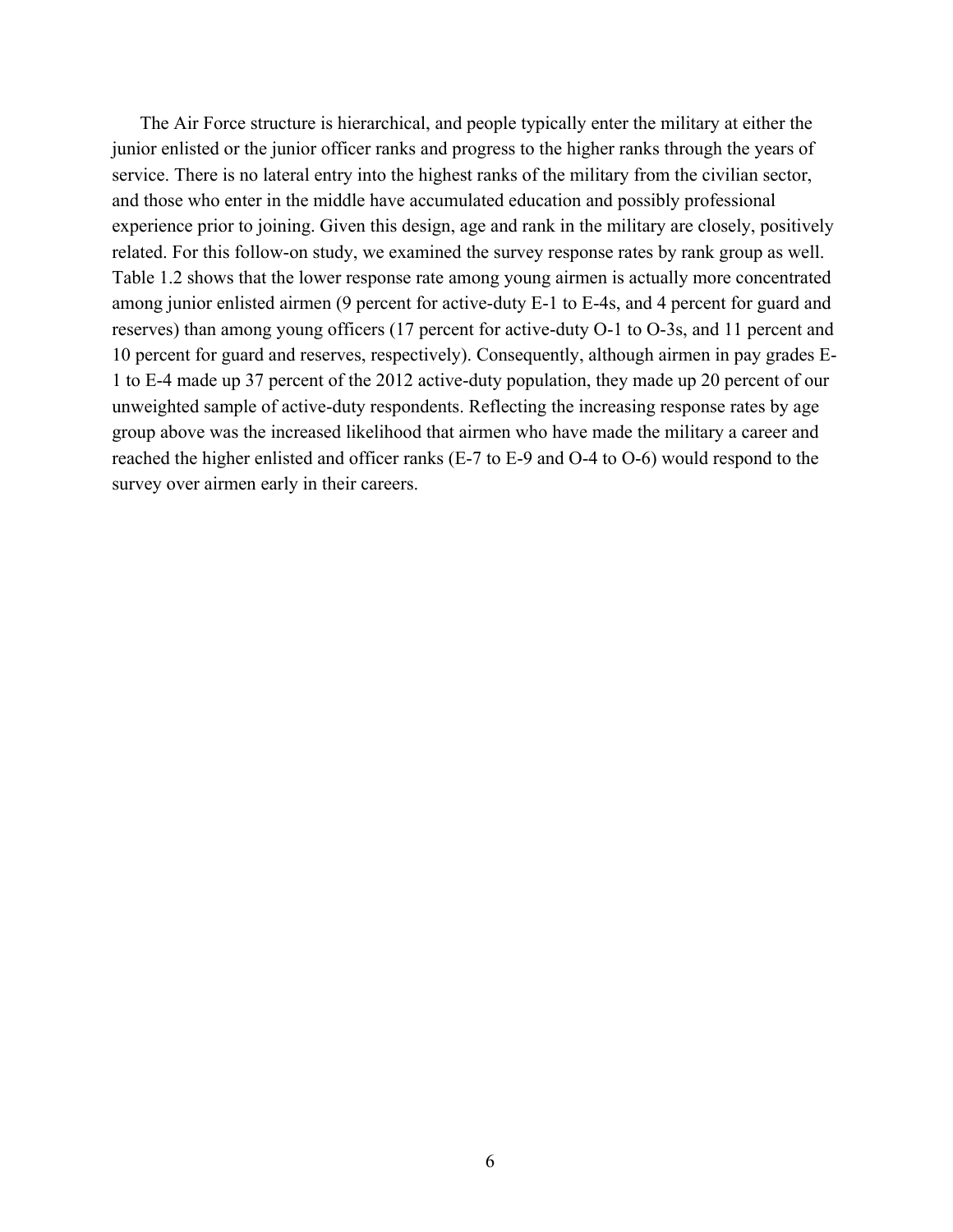The Air Force structure is hierarchical, and people typically enter the military at either the junior enlisted or the junior officer ranks and progress to the higher ranks through the years of service. There is no lateral entry into the highest ranks of the military from the civilian sector, and those who enter in the middle have accumulated education and possibly professional experience prior to joining. Given this design, age and rank in the military are closely, positively related. For this follow-on study, we examined the survey response rates by rank group as well. Table 1.2 shows that the lower response rate among young airmen is actually more concentrated among junior enlisted airmen (9 percent for active-duty E-1 to E-4s, and 4 percent for guard and reserves) than among young officers (17 percent for active-duty O-1 to O-3s, and 11 percent and 10 percent for guard and reserves, respectively). Consequently, although airmen in pay grades E-1 to E-4 made up 37 percent of the 2012 active-duty population, they made up 20 percent of our unweighted sample of active-duty respondents. Reflecting the increasing response rates by age group above was the increased likelihood that airmen who have made the military a career and reached the higher enlisted and officer ranks (E-7 to E-9 and O-4 to O-6) would respond to the survey over airmen early in their careers.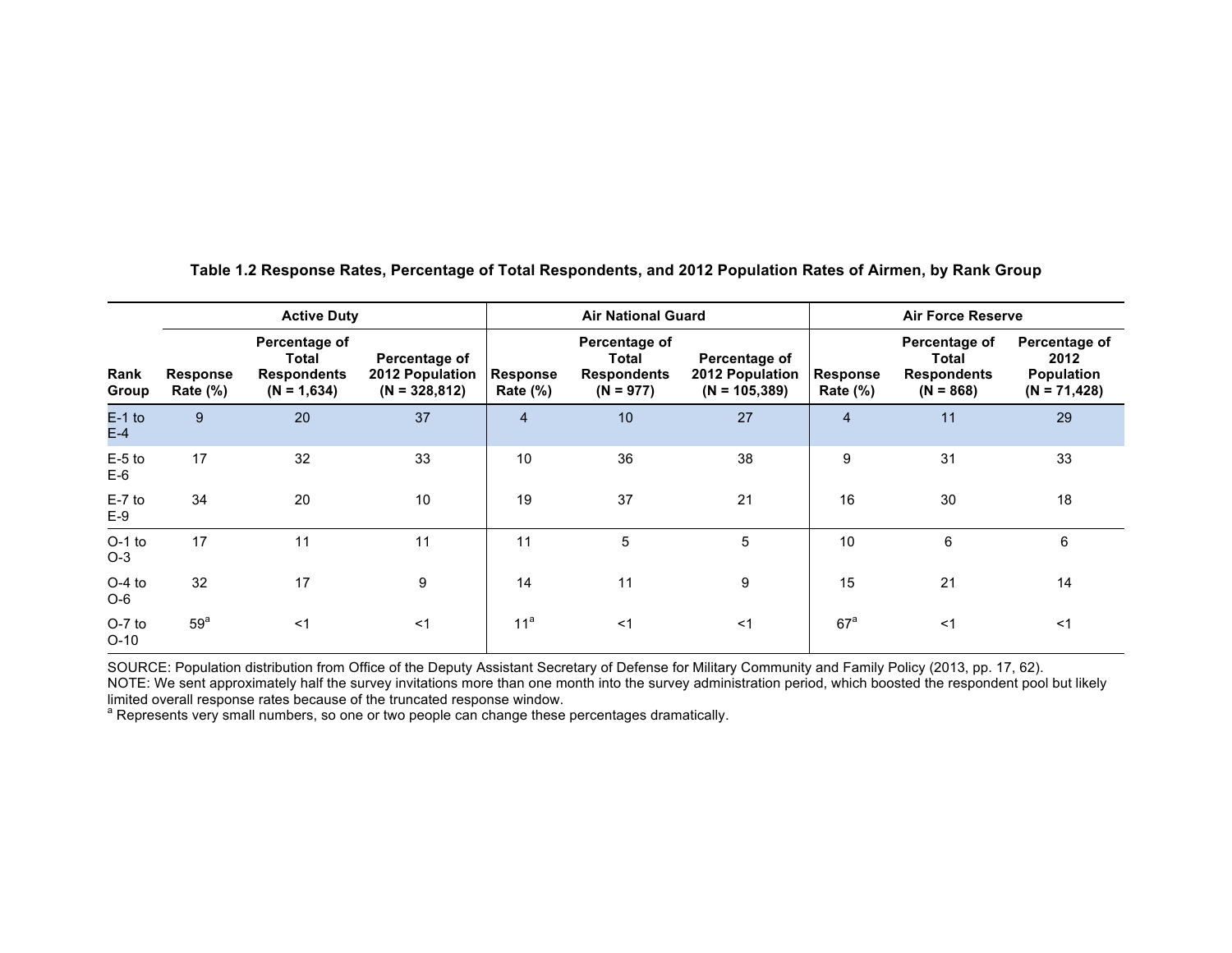|                     | <b>Active Duty</b>                 |                                                                      |                                                      |                             | <b>Air National Guard</b>                                          |                                                      |                             | <b>Air Force Reserve</b>                                           |                                                              |  |
|---------------------|------------------------------------|----------------------------------------------------------------------|------------------------------------------------------|-----------------------------|--------------------------------------------------------------------|------------------------------------------------------|-----------------------------|--------------------------------------------------------------------|--------------------------------------------------------------|--|
| Rank<br>Group       | <b>Response</b><br><b>Rate (%)</b> | Percentage of<br><b>Total</b><br><b>Respondents</b><br>$(N = 1,634)$ | Percentage of<br>2012 Population<br>$(N = 328, 812)$ | Response<br><b>Rate (%)</b> | Percentage of<br><b>Total</b><br><b>Respondents</b><br>$(N = 977)$ | Percentage of<br>2012 Population<br>$(N = 105, 389)$ | Response<br><b>Rate (%)</b> | Percentage of<br><b>Total</b><br><b>Respondents</b><br>$(N = 868)$ | Percentage of<br>2012<br><b>Population</b><br>$(N = 71,428)$ |  |
| $E-1$ to<br>$E-4$   | 9                                  | 20                                                                   | 37                                                   | $\overline{4}$              | 10                                                                 | 27                                                   | $\overline{4}$              | 11                                                                 | 29                                                           |  |
| $E-5$ to<br>E-6     | 17                                 | 32                                                                   | 33                                                   | 10                          | 36                                                                 | 38                                                   | 9                           | 31                                                                 | 33                                                           |  |
| $E - 7$ to<br>$E-9$ | 34                                 | 20                                                                   | 10                                                   | 19                          | 37                                                                 | 21                                                   | 16                          | 30                                                                 | 18                                                           |  |
| $O-1$ to<br>$O-3$   | 17                                 | 11                                                                   | 11                                                   | 11                          | 5                                                                  | 5                                                    | 10                          | 6                                                                  | 6                                                            |  |
| $O-4$ to<br>$O-6$   | 32                                 | 17                                                                   | 9                                                    | 14                          | 11                                                                 | 9                                                    | 15                          | 21                                                                 | 14                                                           |  |
| $O-7$ to<br>$O-10$  | 59 <sup>a</sup>                    | $<$ 1                                                                | $<$ 1                                                | 11 <sup>a</sup>             | $<$ 1                                                              | $<$ 1                                                | 67 <sup>a</sup>             | $<$ 1                                                              | $<$ 1                                                        |  |

**Table 1.2 Response Rates, Percentage of Total Respondents, and 2012 Population Rates of Airmen, by Rank Group**

SOURCE: Population distribution from Office of the Deputy Assistant Secretary of Defense for Military Community and Family Policy (2013, pp. 17, 62).

NOTE: We sent approximately half the survey invitations more than one month into the survey administration period, which boosted the respondent pool but likely limited overall response rates because of the truncated response window.

a Represents very small numbers, so one or two people can change these percentages dramatically.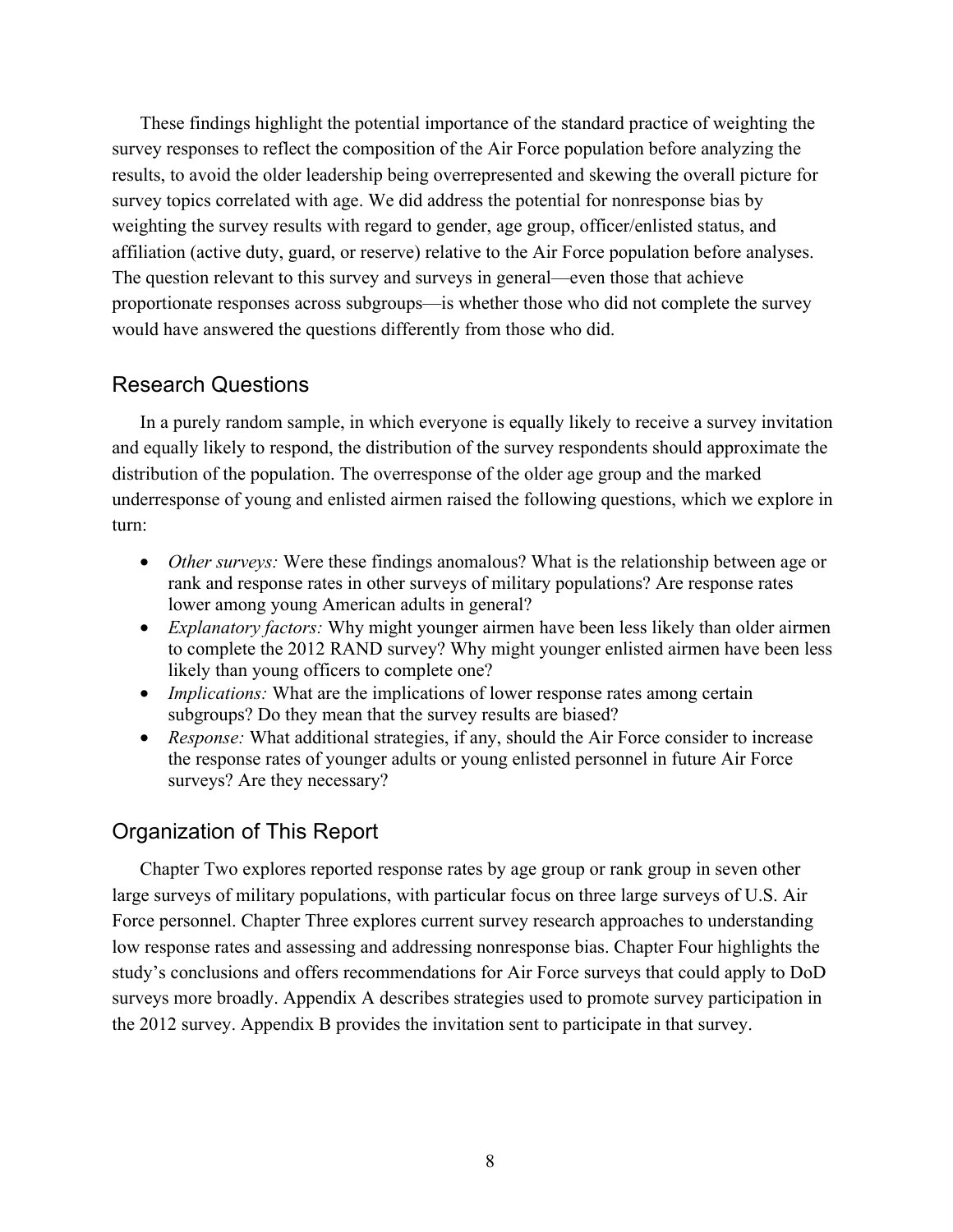These findings highlight the potential importance of the standard practice of weighting the survey responses to reflect the composition of the Air Force population before analyzing the results, to avoid the older leadership being overrepresented and skewing the overall picture for survey topics correlated with age. We did address the potential for nonresponse bias by weighting the survey results with regard to gender, age group, officer/enlisted status, and affiliation (active duty, guard, or reserve) relative to the Air Force population before analyses. The question relevant to this survey and surveys in general—even those that achieve proportionate responses across subgroups—is whether those who did not complete the survey would have answered the questions differently from those who did.

## Research Questions

In a purely random sample, in which everyone is equally likely to receive a survey invitation and equally likely to respond, the distribution of the survey respondents should approximate the distribution of the population. The overresponse of the older age group and the marked underresponse of young and enlisted airmen raised the following questions, which we explore in turn:

- *Other surveys:* Were these findings anomalous? What is the relationship between age or rank and response rates in other surveys of military populations? Are response rates lower among young American adults in general?
- *Explanatory factors:* Why might younger airmen have been less likely than older airmen to complete the 2012 RAND survey? Why might younger enlisted airmen have been less likely than young officers to complete one?
- *Implications:* What are the implications of lower response rates among certain subgroups? Do they mean that the survey results are biased?
- *Response:* What additional strategies, if any, should the Air Force consider to increase the response rates of younger adults or young enlisted personnel in future Air Force surveys? Are they necessary?

## Organization of This Report

Chapter Two explores reported response rates by age group or rank group in seven other large surveys of military populations, with particular focus on three large surveys of U.S. Air Force personnel. Chapter Three explores current survey research approaches to understanding low response rates and assessing and addressing nonresponse bias. Chapter Four highlights the study's conclusions and offers recommendations for Air Force surveys that could apply to DoD surveys more broadly. Appendix A describes strategies used to promote survey participation in the 2012 survey. Appendix B provides the invitation sent to participate in that survey.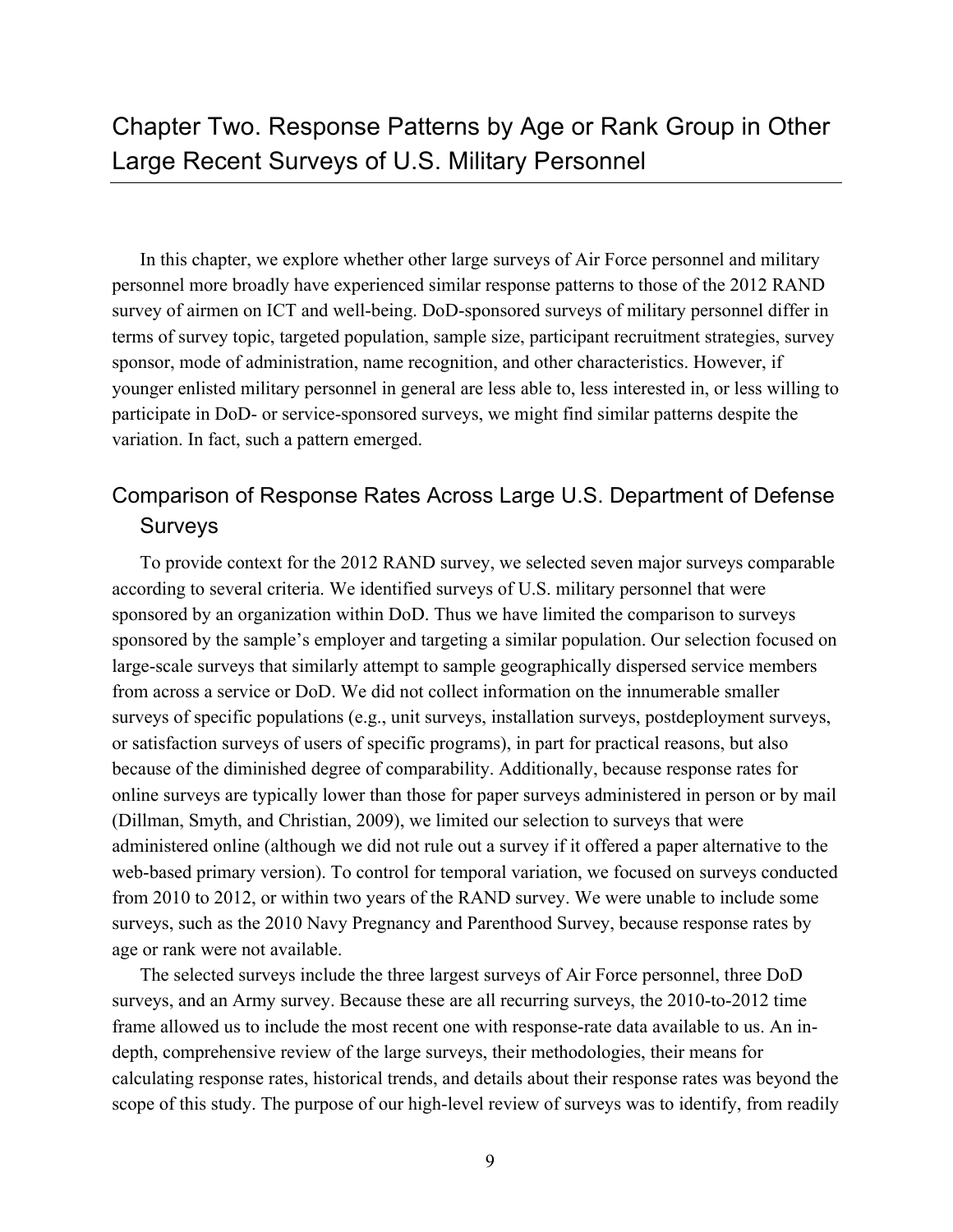## Chapter Two. Response Patterns by Age or Rank Group in Other Large Recent Surveys of U.S. Military Personnel

In this chapter, we explore whether other large surveys of Air Force personnel and military personnel more broadly have experienced similar response patterns to those of the 2012 RAND survey of airmen on ICT and well-being. DoD-sponsored surveys of military personnel differ in terms of survey topic, targeted population, sample size, participant recruitment strategies, survey sponsor, mode of administration, name recognition, and other characteristics. However, if younger enlisted military personnel in general are less able to, less interested in, or less willing to participate in DoD- or service-sponsored surveys, we might find similar patterns despite the variation. In fact, such a pattern emerged.

## Comparison of Response Rates Across Large U.S. Department of Defense Surveys

To provide context for the 2012 RAND survey, we selected seven major surveys comparable according to several criteria. We identified surveys of U.S. military personnel that were sponsored by an organization within DoD. Thus we have limited the comparison to surveys sponsored by the sample's employer and targeting a similar population. Our selection focused on large-scale surveys that similarly attempt to sample geographically dispersed service members from across a service or DoD. We did not collect information on the innumerable smaller surveys of specific populations (e.g., unit surveys, installation surveys, postdeployment surveys, or satisfaction surveys of users of specific programs), in part for practical reasons, but also because of the diminished degree of comparability. Additionally, because response rates for online surveys are typically lower than those for paper surveys administered in person or by mail (Dillman, Smyth, and Christian, 2009), we limited our selection to surveys that were administered online (although we did not rule out a survey if it offered a paper alternative to the web-based primary version). To control for temporal variation, we focused on surveys conducted from 2010 to 2012, or within two years of the RAND survey. We were unable to include some surveys, such as the 2010 Navy Pregnancy and Parenthood Survey, because response rates by age or rank were not available.

The selected surveys include the three largest surveys of Air Force personnel, three DoD surveys, and an Army survey. Because these are all recurring surveys, the 2010-to-2012 time frame allowed us to include the most recent one with response-rate data available to us. An indepth, comprehensive review of the large surveys, their methodologies, their means for calculating response rates, historical trends, and details about their response rates was beyond the scope of this study. The purpose of our high-level review of surveys was to identify, from readily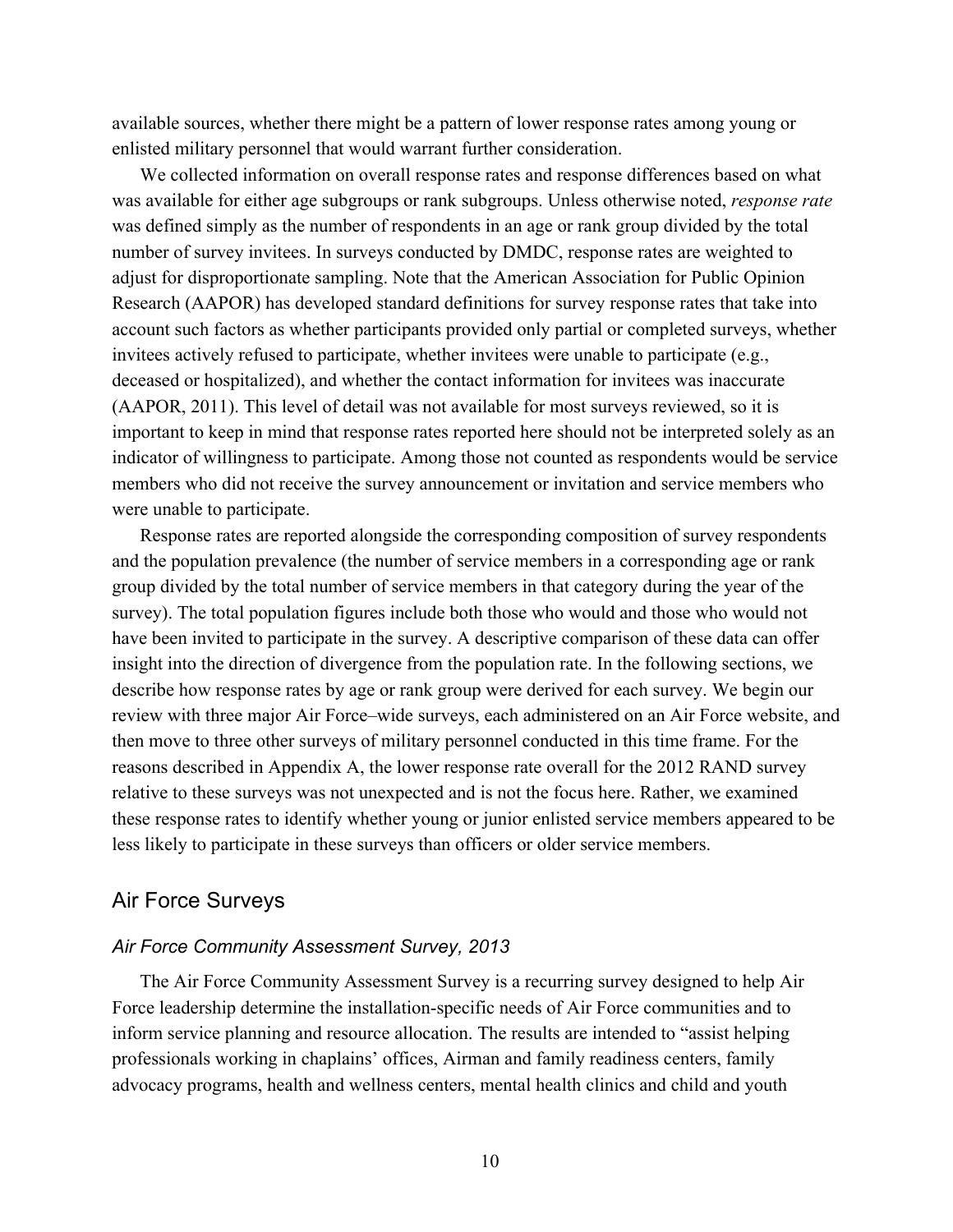available sources, whether there might be a pattern of lower response rates among young or enlisted military personnel that would warrant further consideration.

We collected information on overall response rates and response differences based on what was available for either age subgroups or rank subgroups. Unless otherwise noted, *response rate* was defined simply as the number of respondents in an age or rank group divided by the total number of survey invitees. In surveys conducted by DMDC, response rates are weighted to adjust for disproportionate sampling. Note that the American Association for Public Opinion Research (AAPOR) has developed standard definitions for survey response rates that take into account such factors as whether participants provided only partial or completed surveys, whether invitees actively refused to participate, whether invitees were unable to participate (e.g., deceased or hospitalized), and whether the contact information for invitees was inaccurate (AAPOR, 2011). This level of detail was not available for most surveys reviewed, so it is important to keep in mind that response rates reported here should not be interpreted solely as an indicator of willingness to participate. Among those not counted as respondents would be service members who did not receive the survey announcement or invitation and service members who were unable to participate.

Response rates are reported alongside the corresponding composition of survey respondents and the population prevalence (the number of service members in a corresponding age or rank group divided by the total number of service members in that category during the year of the survey). The total population figures include both those who would and those who would not have been invited to participate in the survey. A descriptive comparison of these data can offer insight into the direction of divergence from the population rate. In the following sections, we describe how response rates by age or rank group were derived for each survey. We begin our review with three major Air Force–wide surveys, each administered on an Air Force website, and then move to three other surveys of military personnel conducted in this time frame. For the reasons described in Appendix A, the lower response rate overall for the 2012 RAND survey relative to these surveys was not unexpected and is not the focus here. Rather, we examined these response rates to identify whether young or junior enlisted service members appeared to be less likely to participate in these surveys than officers or older service members.

## Air Force Surveys

#### *Air Force Community Assessment Survey, 2013*

The Air Force Community Assessment Survey is a recurring survey designed to help Air Force leadership determine the installation-specific needs of Air Force communities and to inform service planning and resource allocation. The results are intended to "assist helping professionals working in chaplains' offices, Airman and family readiness centers, family advocacy programs, health and wellness centers, mental health clinics and child and youth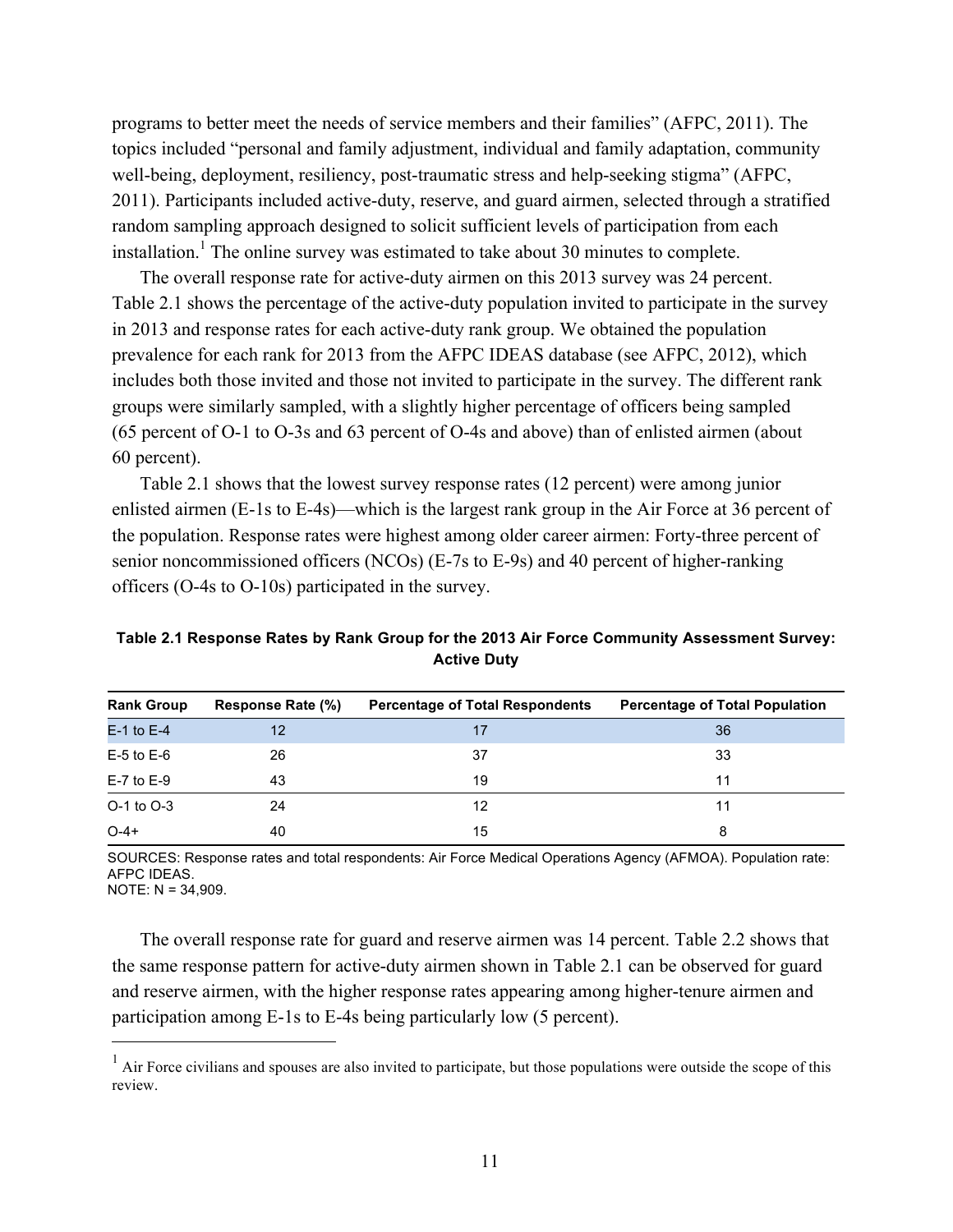programs to better meet the needs of service members and their families" (AFPC, 2011). The topics included "personal and family adjustment, individual and family adaptation, community well-being, deployment, resiliency, post-traumatic stress and help-seeking stigma" (AFPC, 2011). Participants included active-duty, reserve, and guard airmen, selected through a stratified random sampling approach designed to solicit sufficient levels of participation from each installation.<sup>1</sup> The online survey was estimated to take about 30 minutes to complete.

The overall response rate for active-duty airmen on this 2013 survey was 24 percent. Table 2.1 shows the percentage of the active-duty population invited to participate in the survey in 2013 and response rates for each active-duty rank group. We obtained the population prevalence for each rank for 2013 from the AFPC IDEAS database (see AFPC, 2012), which includes both those invited and those not invited to participate in the survey. The different rank groups were similarly sampled, with a slightly higher percentage of officers being sampled (65 percent of O-1 to O-3s and 63 percent of O-4s and above) than of enlisted airmen (about 60 percent).

Table 2.1 shows that the lowest survey response rates (12 percent) were among junior enlisted airmen (E-1s to E-4s)—which is the largest rank group in the Air Force at 36 percent of the population. Response rates were highest among older career airmen: Forty-three percent of senior noncommissioned officers (NCOs) (E-7s to E-9s) and 40 percent of higher-ranking officers (O-4s to O-10s) participated in the survey.

| <b>Rank Group</b> | Response Rate (%) | <b>Percentage of Total Respondents</b> | <b>Percentage of Total Population</b> |
|-------------------|-------------------|----------------------------------------|---------------------------------------|
| $E-1$ to $E-4$    | 12                | 17                                     | 36                                    |
| $E-5$ to $E-6$    | 26                | 37                                     | 33                                    |
| $E-7$ to $E-9$    | 43                | 19                                     | 11                                    |
| $O-1$ to $O-3$    | 24                | 12                                     | 11                                    |
| $O-4+$            | 40                | 15                                     | 8                                     |

**Table 2.1 Response Rates by Rank Group for the 2013 Air Force Community Assessment Survey: Active Duty**

SOURCES: Response rates and total respondents: Air Force Medical Operations Agency (AFMOA). Population rate: AFPC IDEAS.

NOTE: N = 34,909.

 $\overline{a}$ 

The overall response rate for guard and reserve airmen was 14 percent. Table 2.2 shows that the same response pattern for active-duty airmen shown in Table 2.1 can be observed for guard and reserve airmen, with the higher response rates appearing among higher-tenure airmen and participation among E-1s to E-4s being particularly low (5 percent).

 $<sup>1</sup>$  Air Force civilians and spouses are also invited to participate, but those populations were outside the scope of this</sup> review.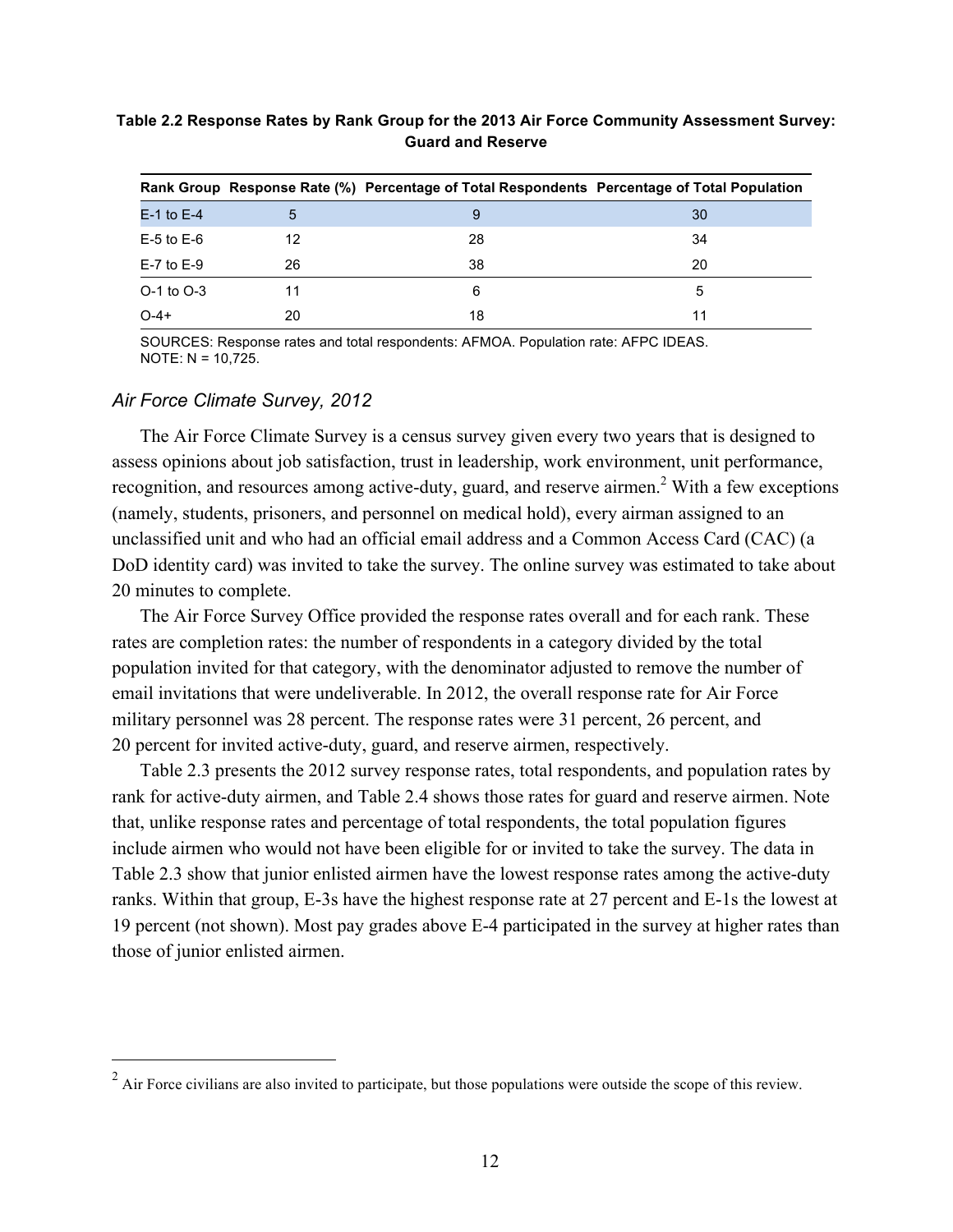#### **Table 2.2 Response Rates by Rank Group for the 2013 Air Force Community Assessment Survey: Guard and Reserve**

|                    |    | Rank Group Response Rate (%) Percentage of Total Respondents Percentage of Total Population |    |
|--------------------|----|---------------------------------------------------------------------------------------------|----|
| E-1 to E-4         |    | 9                                                                                           | 30 |
| $E-5$ to $E-6$     | 12 | 28                                                                                          | 34 |
| $E - 7$ to $E - 9$ | 26 | 38                                                                                          | 20 |
| $O-1$ to $O-3$     |    | 6                                                                                           | 5  |
| $O-4+$             | 20 | 18                                                                                          | 11 |

SOURCES: Response rates and total respondents: AFMOA. Population rate: AFPC IDEAS. NOTE: N = 10,725.

#### *Air Force Climate Survey, 2012*

 $\overline{a}$ 

The Air Force Climate Survey is a census survey given every two years that is designed to assess opinions about job satisfaction, trust in leadership, work environment, unit performance, recognition, and resources among active-duty, guard, and reserve airmen.<sup>2</sup> With a few exceptions (namely, students, prisoners, and personnel on medical hold), every airman assigned to an unclassified unit and who had an official email address and a Common Access Card (CAC) (a DoD identity card) was invited to take the survey. The online survey was estimated to take about 20 minutes to complete.

The Air Force Survey Office provided the response rates overall and for each rank. These rates are completion rates: the number of respondents in a category divided by the total population invited for that category, with the denominator adjusted to remove the number of email invitations that were undeliverable. In 2012, the overall response rate for Air Force military personnel was 28 percent. The response rates were 31 percent, 26 percent, and 20 percent for invited active-duty, guard, and reserve airmen, respectively.

Table 2.3 presents the 2012 survey response rates, total respondents, and population rates by rank for active-duty airmen, and Table 2.4 shows those rates for guard and reserve airmen. Note that, unlike response rates and percentage of total respondents, the total population figures include airmen who would not have been eligible for or invited to take the survey. The data in Table 2.3 show that junior enlisted airmen have the lowest response rates among the active-duty ranks. Within that group, E-3s have the highest response rate at 27 percent and E-1s the lowest at 19 percent (not shown). Most pay grades above E-4 participated in the survey at higher rates than those of junior enlisted airmen.

 $2$  Air Force civilians are also invited to participate, but those populations were outside the scope of this review.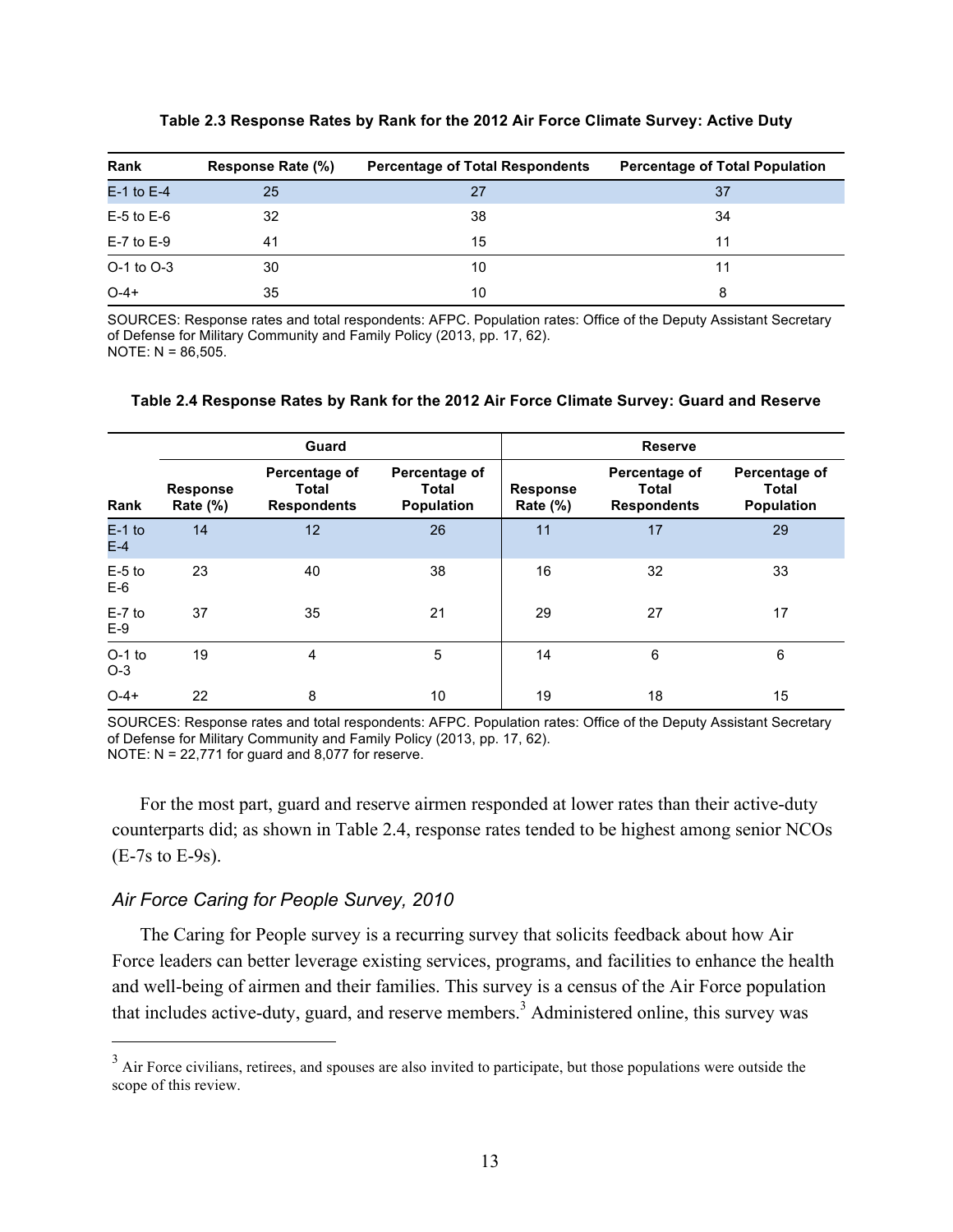| Rank           | Response Rate (%) | <b>Percentage of Total Respondents</b> | <b>Percentage of Total Population</b> |
|----------------|-------------------|----------------------------------------|---------------------------------------|
| $E-1$ to $E-4$ | 25                | 27                                     | 37                                    |
| $E-5$ to $E-6$ | 32                | 38                                     | 34                                    |
| $E-7$ to $E-9$ | 41                | 15                                     | 11                                    |
| $O-1$ to $O-3$ | 30                | 10                                     | 11                                    |
| $O-4+$         | 35                | 10                                     | 8                                     |

#### **Table 2.3 Response Rates by Rank for the 2012 Air Force Climate Survey: Active Duty**

SOURCES: Response rates and total respondents: AFPC. Population rates: Office of the Deputy Assistant Secretary of Defense for Military Community and Family Policy (2013, pp. 17, 62). NOTE: N = 86,505.

|                     |                                | Guard                                        |                                                    | <b>Reserve</b>                 |                                                     |                                                    |  |
|---------------------|--------------------------------|----------------------------------------------|----------------------------------------------------|--------------------------------|-----------------------------------------------------|----------------------------------------------------|--|
| Rank                | <b>Response</b><br>Rate $(\%)$ | Percentage of<br>Total<br><b>Respondents</b> | Percentage of<br><b>Total</b><br><b>Population</b> | <b>Response</b><br>Rate $(\%)$ | Percentage of<br><b>Total</b><br><b>Respondents</b> | Percentage of<br><b>Total</b><br><b>Population</b> |  |
| $E-1$ to<br>$E-4$   | 14                             | 12                                           | 26                                                 | 11                             | 17                                                  | 29                                                 |  |
| $E-5$ to<br>$E-6$   | 23                             | 40                                           | 38                                                 | 16                             | 32                                                  | 33                                                 |  |
| $E - 7$ to<br>$E-9$ | 37                             | 35                                           | 21                                                 | 29                             | 27                                                  | 17                                                 |  |
| $O-1$ to<br>$O-3$   | 19                             | 4                                            | 5                                                  | 14                             | 6                                                   | 6                                                  |  |
| $O-4+$              | 22                             | 8                                            | 10                                                 | 19                             | 18                                                  | 15                                                 |  |

#### **Table 2.4 Response Rates by Rank for the 2012 Air Force Climate Survey: Guard and Reserve**

SOURCES: Response rates and total respondents: AFPC. Population rates: Office of the Deputy Assistant Secretary of Defense for Military Community and Family Policy (2013, pp. 17, 62). NOTE:  $N = 22,771$  for guard and  $8,077$  for reserve.

For the most part, guard and reserve airmen responded at lower rates than their active-duty counterparts did; as shown in Table 2.4, response rates tended to be highest among senior NCOs (E-7s to E-9s).

#### *Air Force Caring for People Survey, 2010*

 $\overline{a}$ 

The Caring for People survey is a recurring survey that solicits feedback about how Air Force leaders can better leverage existing services, programs, and facilities to enhance the health and well-being of airmen and their families. This survey is a census of the Air Force population that includes active-duty, guard, and reserve members.<sup>3</sup> Administered online, this survey was

<sup>&</sup>lt;sup>3</sup> Air Force civilians, retirees, and spouses are also invited to participate, but those populations were outside the scope of this review.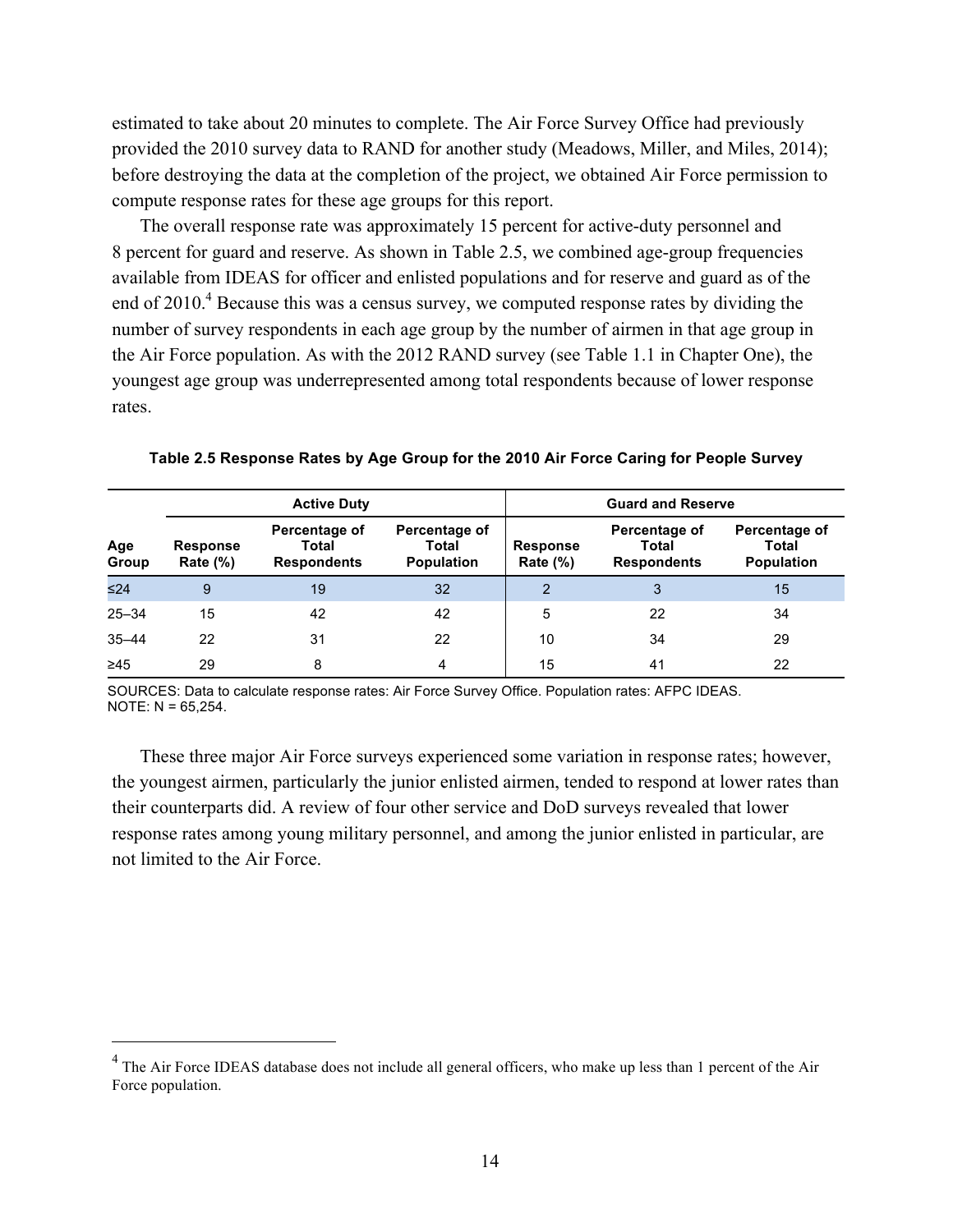estimated to take about 20 minutes to complete. The Air Force Survey Office had previously provided the 2010 survey data to RAND for another study (Meadows, Miller, and Miles, 2014); before destroying the data at the completion of the project, we obtained Air Force permission to compute response rates for these age groups for this report.

The overall response rate was approximately 15 percent for active-duty personnel and 8 percent for guard and reserve. As shown in Table 2.5, we combined age-group frequencies available from IDEAS for officer and enlisted populations and for reserve and guard as of the end of  $2010<sup>4</sup>$  Because this was a census survey, we computed response rates by dividing the number of survey respondents in each age group by the number of airmen in that age group in the Air Force population. As with the 2012 RAND survey (see Table 1.1 in Chapter One), the youngest age group was underrepresented among total respondents because of lower response rates.

|                     |                                | <b>Active Duty</b>                           |                                             | <b>Guard and Reserve</b>           |                                              |                                             |  |
|---------------------|--------------------------------|----------------------------------------------|---------------------------------------------|------------------------------------|----------------------------------------------|---------------------------------------------|--|
| Age<br><b>Group</b> | <b>Response</b><br>Rate $(\%)$ | Percentage of<br>Total<br><b>Respondents</b> | Percentage of<br>Total<br><b>Population</b> | <b>Response</b><br><b>Rate (%)</b> | Percentage of<br>Total<br><b>Respondents</b> | Percentage of<br>Total<br><b>Population</b> |  |
| $\leq$ 24           | 9                              | 19                                           | 32                                          | $\overline{2}$                     | 3                                            | 15                                          |  |
| $25 - 34$           | 15                             | 42                                           | 42                                          | 5                                  | 22                                           | 34                                          |  |
| $35 - 44$           | 22                             | 31                                           | 22                                          | 10                                 | 34                                           | 29                                          |  |
| $\geq 45$           | 29                             | 8                                            | 4                                           | 15                                 | 41                                           | 22                                          |  |

**Table 2.5 Response Rates by Age Group for the 2010 Air Force Caring for People Survey**

SOURCES: Data to calculate response rates: Air Force Survey Office. Population rates: AFPC IDEAS. NOTE: N = 65,254.

These three major Air Force surveys experienced some variation in response rates; however, the youngest airmen, particularly the junior enlisted airmen, tended to respond at lower rates than their counterparts did. A review of four other service and DoD surveys revealed that lower response rates among young military personnel, and among the junior enlisted in particular, are not limited to the Air Force.

 $\overline{a}$ 

<sup>&</sup>lt;sup>4</sup> The Air Force IDEAS database does not include all general officers, who make up less than 1 percent of the Air Force population.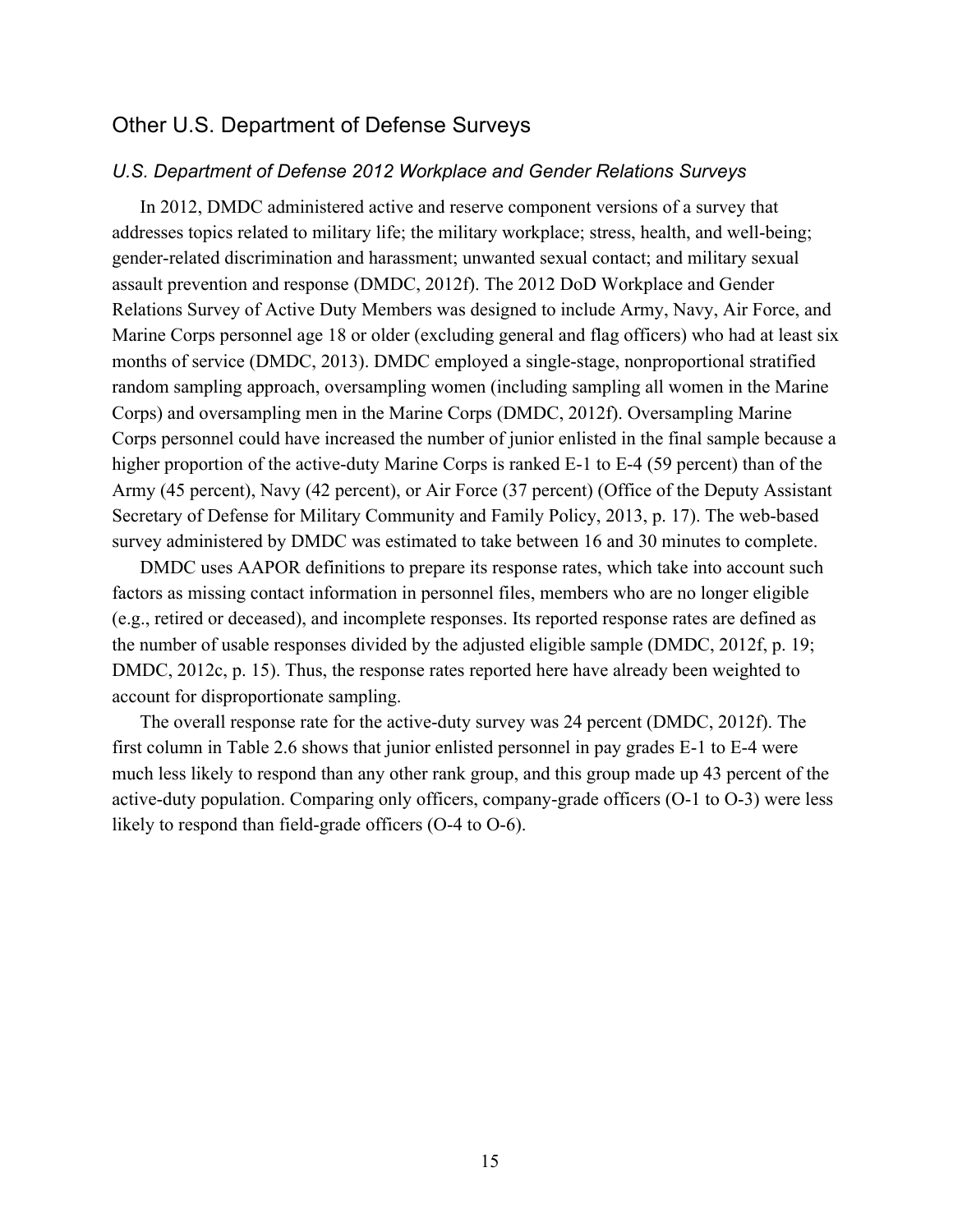## Other U.S. Department of Defense Surveys

#### *U.S. Department of Defense 2012 Workplace and Gender Relations Surveys*

In 2012, DMDC administered active and reserve component versions of a survey that addresses topics related to military life; the military workplace; stress, health, and well-being; gender-related discrimination and harassment; unwanted sexual contact; and military sexual assault prevention and response (DMDC, 2012f). The 2012 DoD Workplace and Gender Relations Survey of Active Duty Members was designed to include Army, Navy, Air Force, and Marine Corps personnel age 18 or older (excluding general and flag officers) who had at least six months of service (DMDC, 2013). DMDC employed a single-stage, nonproportional stratified random sampling approach, oversampling women (including sampling all women in the Marine Corps) and oversampling men in the Marine Corps (DMDC, 2012f). Oversampling Marine Corps personnel could have increased the number of junior enlisted in the final sample because a higher proportion of the active-duty Marine Corps is ranked E-1 to E-4 (59 percent) than of the Army (45 percent), Navy (42 percent), or Air Force (37 percent) (Office of the Deputy Assistant Secretary of Defense for Military Community and Family Policy, 2013, p. 17). The web-based survey administered by DMDC was estimated to take between 16 and 30 minutes to complete.

DMDC uses AAPOR definitions to prepare its response rates, which take into account such factors as missing contact information in personnel files, members who are no longer eligible (e.g., retired or deceased), and incomplete responses. Its reported response rates are defined as the number of usable responses divided by the adjusted eligible sample (DMDC, 2012f, p. 19; DMDC, 2012c, p. 15). Thus, the response rates reported here have already been weighted to account for disproportionate sampling.

The overall response rate for the active-duty survey was 24 percent (DMDC, 2012f). The first column in Table 2.6 shows that junior enlisted personnel in pay grades E-1 to E-4 were much less likely to respond than any other rank group, and this group made up 43 percent of the active-duty population. Comparing only officers, company-grade officers (O-1 to O-3) were less likely to respond than field-grade officers (O-4 to O-6).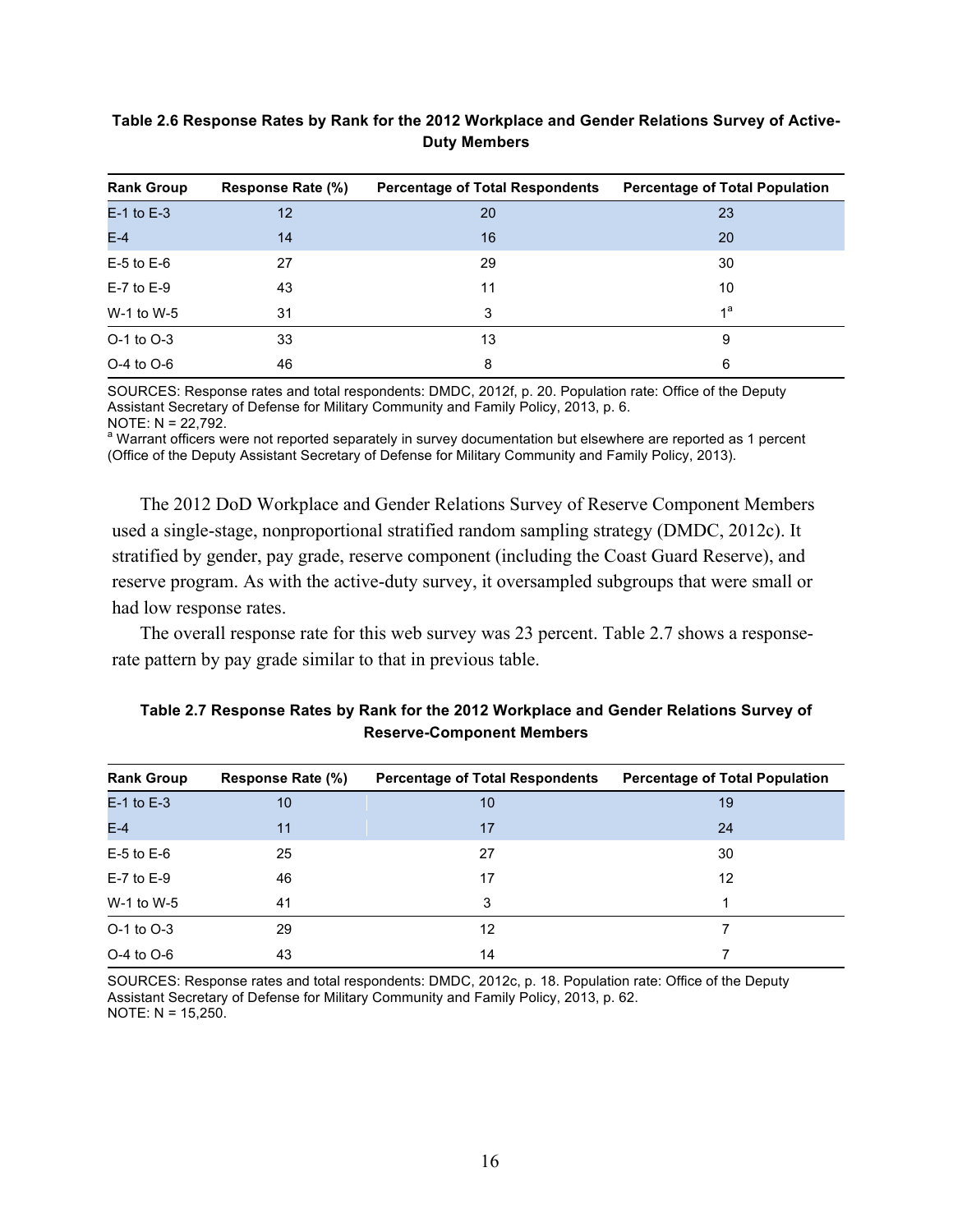| <b>Rank Group</b> | Response Rate (%) | <b>Percentage of Total Respondents</b> | <b>Percentage of Total Population</b> |
|-------------------|-------------------|----------------------------------------|---------------------------------------|
| $E-1$ to $E-3$    | 12                | 20                                     | 23                                    |
| $E-4$             | 14                | 16                                     | 20                                    |
| $E-5$ to $E-6$    | 27                | 29                                     | 30                                    |
| $E-7$ to $E-9$    | 43                | 11                                     | 10                                    |
| $W-1$ to $W-5$    | 31                | 3                                      | 1 <sup>a</sup>                        |
| O-1 to O-3        | 33                | 13                                     | 9                                     |
| $O-4$ to $O-6$    | 46                | 8                                      | 6                                     |

#### **Table 2.6 Response Rates by Rank for the 2012 Workplace and Gender Relations Survey of Active-Duty Members**

SOURCES: Response rates and total respondents: DMDC, 2012f, p. 20. Population rate: Office of the Deputy Assistant Secretary of Defense for Military Community and Family Policy, 2013, p. 6.

NOTE: N = 22,792.<br><sup>a</sup> Warrant officers were not reported separately in survey documentation but elsewhere are reported as 1 percent (Office of the Deputy Assistant Secretary of Defense for Military Community and Family Policy, 2013).

The 2012 DoD Workplace and Gender Relations Survey of Reserve Component Members used a single-stage, nonproportional stratified random sampling strategy (DMDC, 2012c). It stratified by gender, pay grade, reserve component (including the Coast Guard Reserve), and reserve program. As with the active-duty survey, it oversampled subgroups that were small or had low response rates.

The overall response rate for this web survey was 23 percent. Table 2.7 shows a responserate pattern by pay grade similar to that in previous table.

| <b>Rank Group</b> | Response Rate (%) | <b>Percentage of Total Respondents</b> | <b>Percentage of Total Population</b> |
|-------------------|-------------------|----------------------------------------|---------------------------------------|
| $E-1$ to $E-3$    | 10                | 10                                     | 19                                    |
| $E-4$             | 11                | 17                                     | 24                                    |
| $E-5$ to $E-6$    | 25                | 27                                     | 30                                    |
| $E-7$ to $E-9$    | 46                | 17                                     | 12                                    |
| W-1 to W-5        | 41                | 3                                      |                                       |
| O-1 to O-3        | 29                | 12                                     |                                       |
| $O-4$ to $O-6$    | 43                | 14                                     |                                       |

| Table 2.7 Response Rates by Rank for the 2012 Workplace and Gender Relations Survey of |
|----------------------------------------------------------------------------------------|
| <b>Reserve-Component Members</b>                                                       |

SOURCES: Response rates and total respondents: DMDC, 2012c, p. 18. Population rate: Office of the Deputy Assistant Secretary of Defense for Military Community and Family Policy, 2013, p. 62. NOTE: N = 15,250.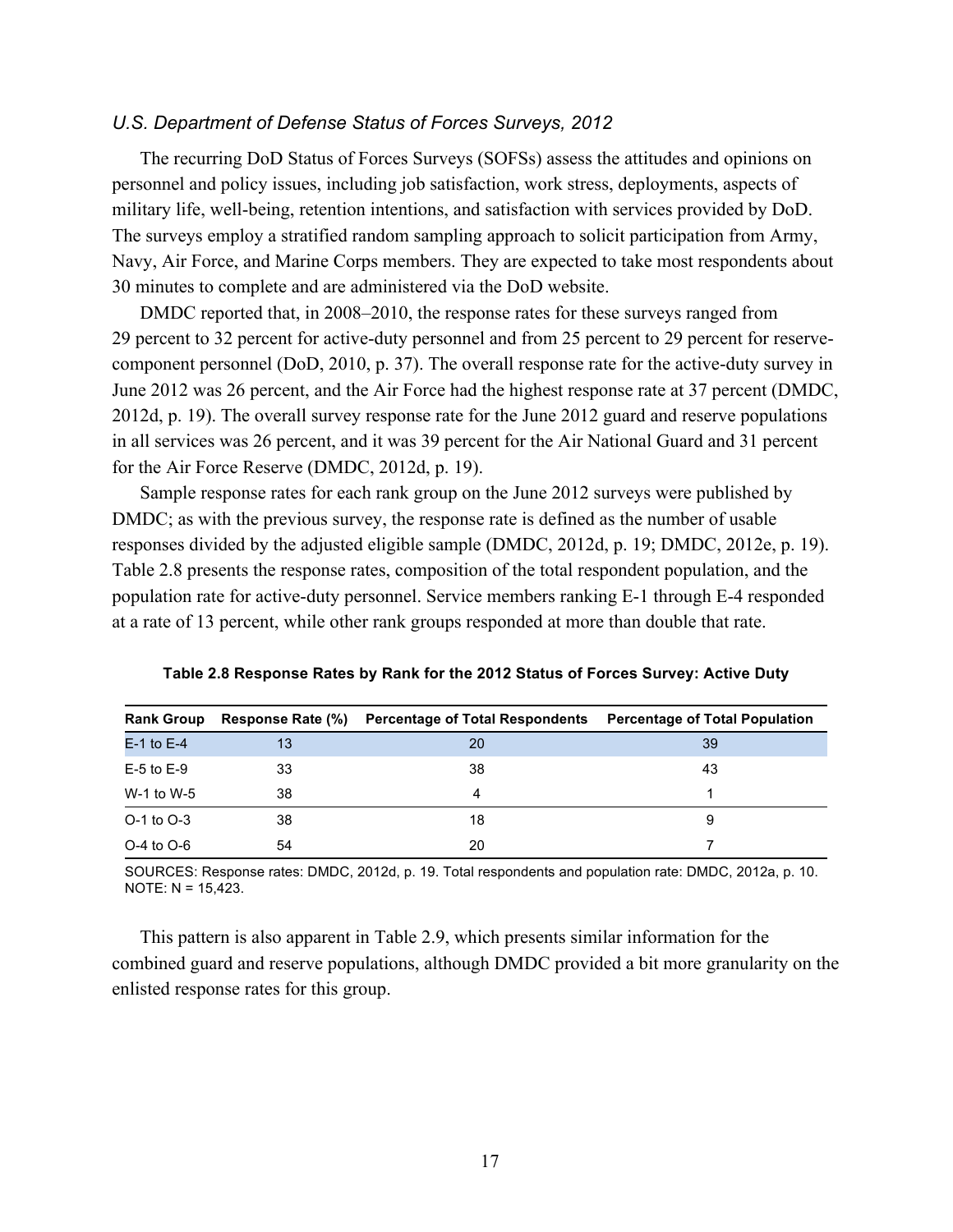#### *U.S. Department of Defense Status of Forces Surveys, 2012*

The recurring DoD Status of Forces Surveys (SOFSs) assess the attitudes and opinions on personnel and policy issues, including job satisfaction, work stress, deployments, aspects of military life, well-being, retention intentions, and satisfaction with services provided by DoD. The surveys employ a stratified random sampling approach to solicit participation from Army, Navy, Air Force, and Marine Corps members. They are expected to take most respondents about 30 minutes to complete and are administered via the DoD website.

DMDC reported that, in 2008–2010, the response rates for these surveys ranged from 29 percent to 32 percent for active-duty personnel and from 25 percent to 29 percent for reservecomponent personnel (DoD, 2010, p. 37). The overall response rate for the active-duty survey in June 2012 was 26 percent, and the Air Force had the highest response rate at 37 percent (DMDC, 2012d, p. 19). The overall survey response rate for the June 2012 guard and reserve populations in all services was 26 percent, and it was 39 percent for the Air National Guard and 31 percent for the Air Force Reserve (DMDC, 2012d, p. 19).

Sample response rates for each rank group on the June 2012 surveys were published by DMDC; as with the previous survey, the response rate is defined as the number of usable responses divided by the adjusted eligible sample (DMDC, 2012d, p. 19; DMDC, 2012e, p. 19). Table 2.8 presents the response rates, composition of the total respondent population, and the population rate for active-duty personnel. Service members ranking E-1 through E-4 responded at a rate of 13 percent, while other rank groups responded at more than double that rate.

| <b>Rank Group</b> | Response Rate (%) | <b>Percentage of Total Respondents</b> | <b>Percentage of Total Population</b> |
|-------------------|-------------------|----------------------------------------|---------------------------------------|
| $E-1$ to $E-4$    | 13                | 20                                     | 39                                    |
| $E-5$ to $E-9$    | 33                | 38                                     | 43                                    |
| W-1 to W-5        | 38                | 4                                      |                                       |
| $O-1$ to $O-3$    | 38                | 18                                     | 9                                     |
| $O-4$ to $O-6$    | 54                | 20                                     |                                       |

**Table 2.8 Response Rates by Rank for the 2012 Status of Forces Survey: Active Duty**

SOURCES: Response rates: DMDC, 2012d, p. 19. Total respondents and population rate: DMDC, 2012a, p. 10. NOTE: N = 15,423.

This pattern is also apparent in Table 2.9, which presents similar information for the combined guard and reserve populations, although DMDC provided a bit more granularity on the enlisted response rates for this group.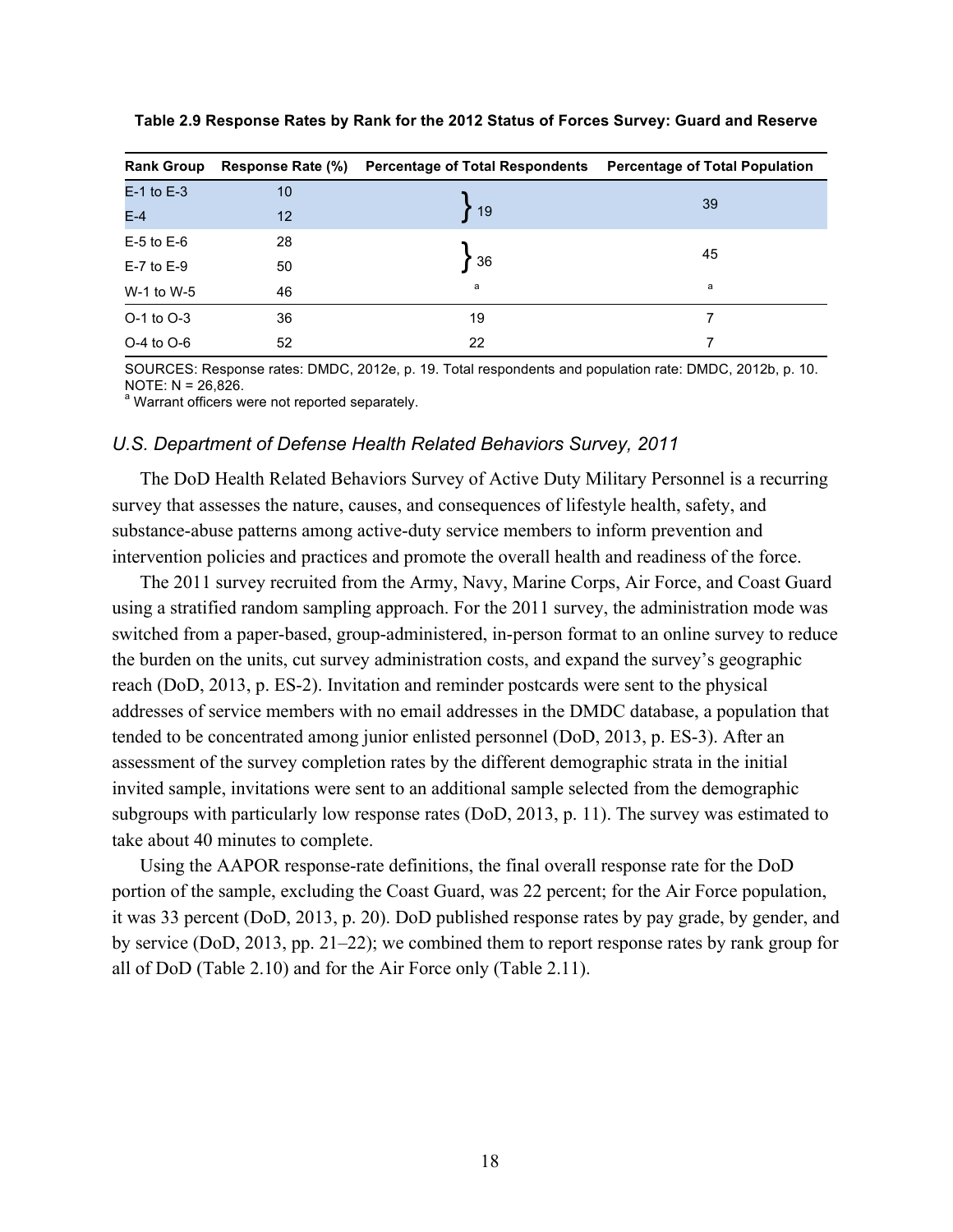| <b>Rank Group</b> | Response Rate (%) | <b>Percentage of Total Respondents</b> | <b>Percentage of Total Population</b> |
|-------------------|-------------------|----------------------------------------|---------------------------------------|
| $E-1$ to $E-3$    | 10                |                                        | 39                                    |
| $E-4$             | 12                | 19                                     |                                       |
| $E-5$ to $E-6$    | 28                |                                        | 45                                    |
| $E-7$ to $E-9$    | 50                | 36                                     |                                       |
| W-1 to W-5        | 46                | a                                      | a                                     |
| $O-1$ to $O-3$    | 36                | 19                                     |                                       |
| $O-4$ to $O-6$    | 52                | 22                                     |                                       |

**Table 2.9 Response Rates by Rank for the 2012 Status of Forces Survey: Guard and Reserve**

SOURCES: Response rates: DMDC, 2012e, p. 19. Total respondents and population rate: DMDC, 2012b, p. 10. NOTE: N = 26,826.<br><sup>a</sup> Warrant officers were not reported separately.

#### *U.S. Department of Defense Health Related Behaviors Survey, 2011*

The DoD Health Related Behaviors Survey of Active Duty Military Personnel is a recurring survey that assesses the nature, causes, and consequences of lifestyle health, safety, and substance-abuse patterns among active-duty service members to inform prevention and intervention policies and practices and promote the overall health and readiness of the force.

The 2011 survey recruited from the Army, Navy, Marine Corps, Air Force, and Coast Guard using a stratified random sampling approach. For the 2011 survey, the administration mode was switched from a paper-based, group-administered, in-person format to an online survey to reduce the burden on the units, cut survey administration costs, and expand the survey's geographic reach (DoD, 2013, p. ES-2). Invitation and reminder postcards were sent to the physical addresses of service members with no email addresses in the DMDC database, a population that tended to be concentrated among junior enlisted personnel (DoD, 2013, p. ES-3). After an assessment of the survey completion rates by the different demographic strata in the initial invited sample, invitations were sent to an additional sample selected from the demographic subgroups with particularly low response rates (DoD, 2013, p. 11). The survey was estimated to take about 40 minutes to complete.

Using the AAPOR response-rate definitions, the final overall response rate for the DoD portion of the sample, excluding the Coast Guard, was 22 percent; for the Air Force population, it was 33 percent (DoD, 2013, p. 20). DoD published response rates by pay grade, by gender, and by service (DoD, 2013, pp. 21–22); we combined them to report response rates by rank group for all of DoD (Table 2.10) and for the Air Force only (Table 2.11).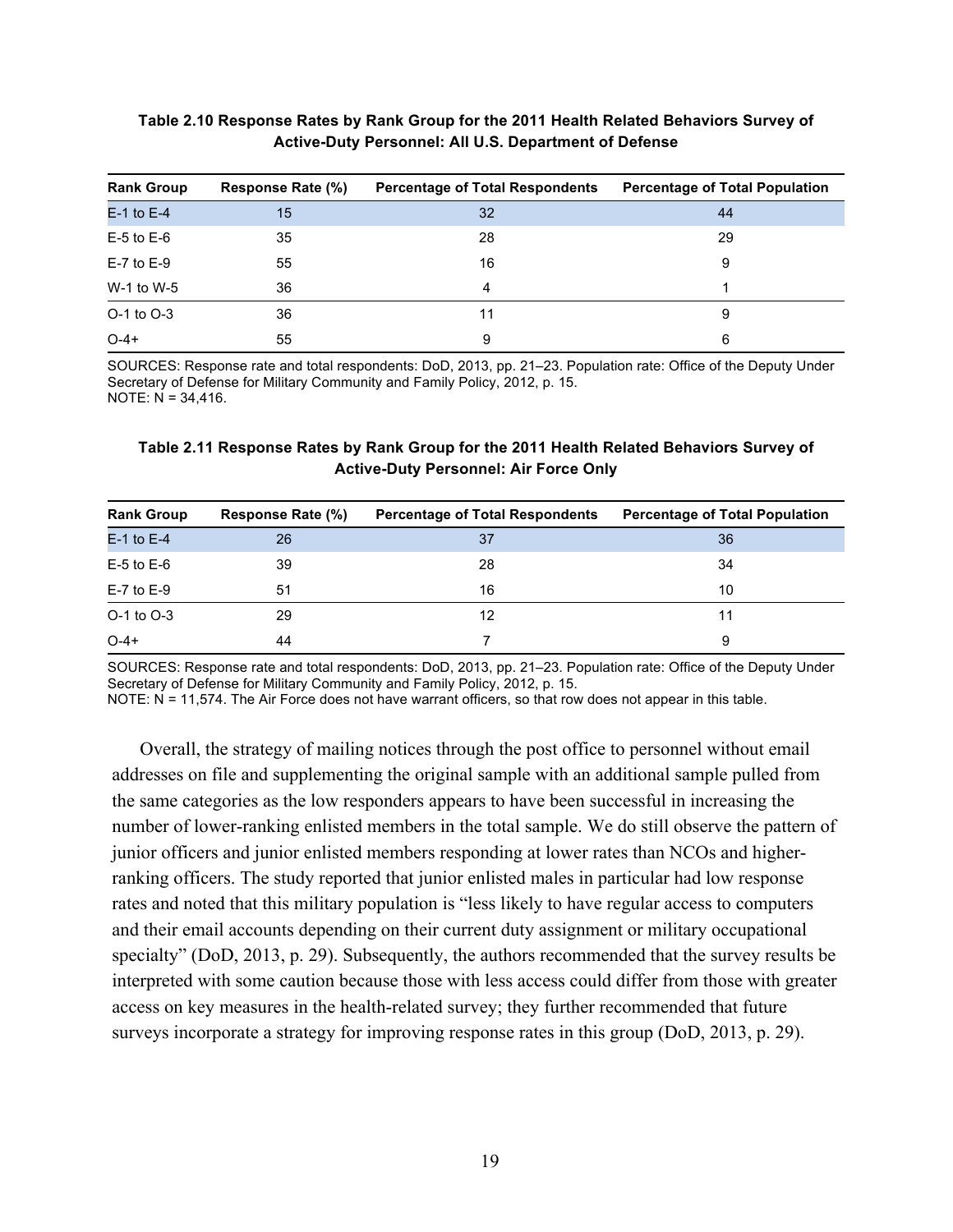#### **Table 2.10 Response Rates by Rank Group for the 2011 Health Related Behaviors Survey of Active-Duty Personnel: All U.S. Department of Defense**

| <b>Rank Group</b>  | Response Rate (%) | <b>Percentage of Total Respondents</b> | <b>Percentage of Total Population</b> |
|--------------------|-------------------|----------------------------------------|---------------------------------------|
| $E-1$ to $E-4$     | 15                | 32                                     | 44                                    |
| $E-5$ to $E-6$     | 35                | 28                                     | 29                                    |
| $E - 7$ to $E - 9$ | 55                | 16                                     | 9                                     |
| W-1 to W-5         | 36                | 4                                      |                                       |
| $O-1$ to $O-3$     | 36                | 11                                     | 9                                     |
| $O-4+$             | 55                | 9                                      | 6                                     |

SOURCES: Response rate and total respondents: DoD, 2013, pp. 21–23. Population rate: Office of the Deputy Under Secretary of Defense for Military Community and Family Policy, 2012, p. 15. NOTE: N = 34,416.

#### **Table 2.11 Response Rates by Rank Group for the 2011 Health Related Behaviors Survey of Active-Duty Personnel: Air Force Only**

| <b>Rank Group</b> | Response Rate (%) | <b>Percentage of Total Respondents</b> | <b>Percentage of Total Population</b> |
|-------------------|-------------------|----------------------------------------|---------------------------------------|
| $E-1$ to $E-4$    | 26                | 37                                     | 36                                    |
| $E-5$ to $E-6$    | 39                | 28                                     | 34                                    |
| $E-7$ to $E-9$    | 51                | 16                                     | 10                                    |
| $O-1$ to $O-3$    | 29                | 12                                     | 11                                    |
| $O-4+$            | 44                |                                        | 9                                     |

SOURCES: Response rate and total respondents: DoD, 2013, pp. 21–23. Population rate: Office of the Deputy Under Secretary of Defense for Military Community and Family Policy, 2012, p. 15.

NOTE: N = 11,574. The Air Force does not have warrant officers, so that row does not appear in this table.

Overall, the strategy of mailing notices through the post office to personnel without email addresses on file and supplementing the original sample with an additional sample pulled from the same categories as the low responders appears to have been successful in increasing the number of lower-ranking enlisted members in the total sample. We do still observe the pattern of junior officers and junior enlisted members responding at lower rates than NCOs and higherranking officers. The study reported that junior enlisted males in particular had low response rates and noted that this military population is "less likely to have regular access to computers and their email accounts depending on their current duty assignment or military occupational specialty" (DoD, 2013, p. 29). Subsequently, the authors recommended that the survey results be interpreted with some caution because those with less access could differ from those with greater access on key measures in the health-related survey; they further recommended that future surveys incorporate a strategy for improving response rates in this group (DoD, 2013, p. 29).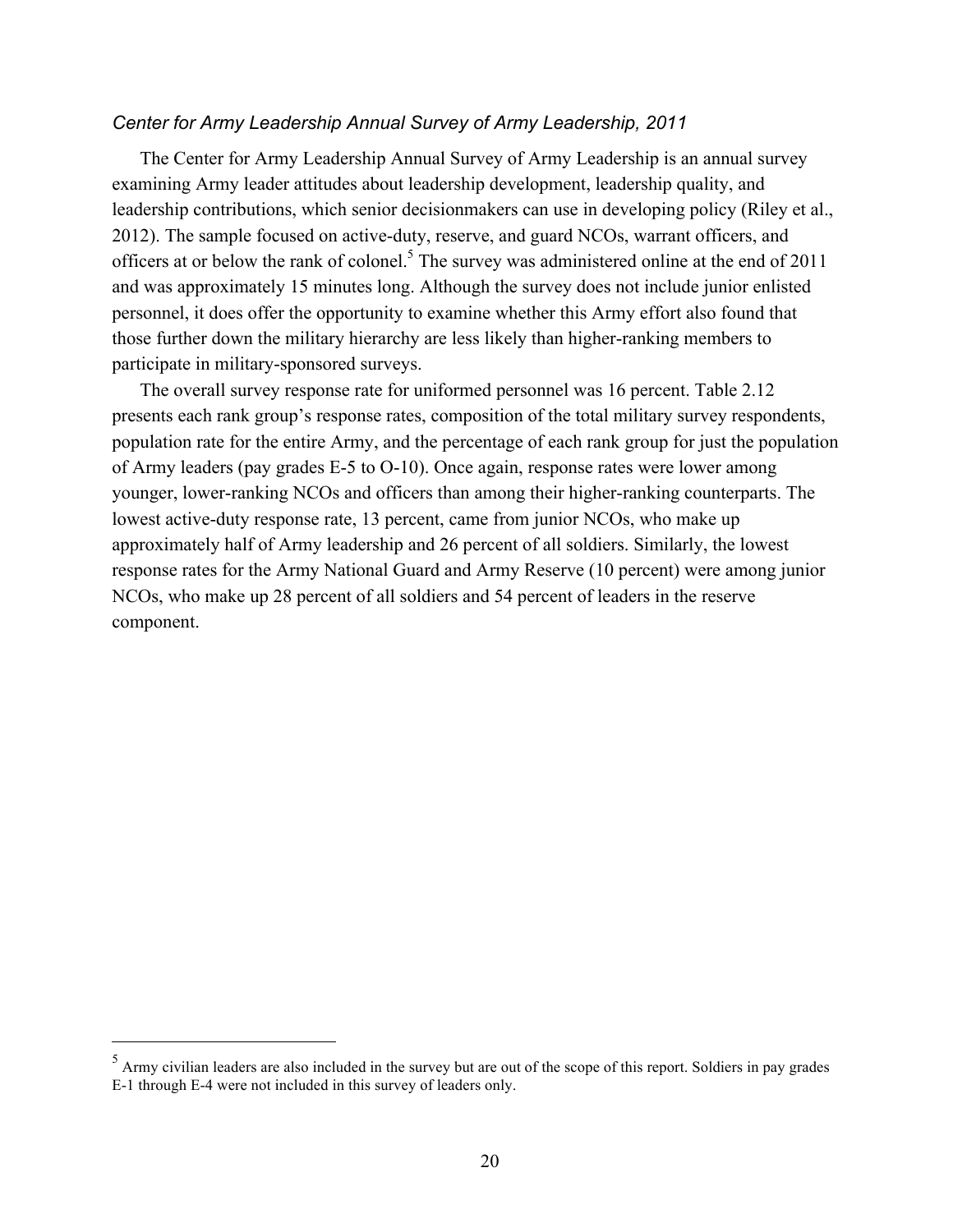#### *Center for Army Leadership Annual Survey of Army Leadership, 2011*

The Center for Army Leadership Annual Survey of Army Leadership is an annual survey examining Army leader attitudes about leadership development, leadership quality, and leadership contributions, which senior decisionmakers can use in developing policy (Riley et al., 2012). The sample focused on active-duty, reserve, and guard NCOs, warrant officers, and officers at or below the rank of colonel.<sup>5</sup> The survey was administered online at the end of 2011 and was approximately 15 minutes long. Although the survey does not include junior enlisted personnel, it does offer the opportunity to examine whether this Army effort also found that those further down the military hierarchy are less likely than higher-ranking members to participate in military-sponsored surveys.

The overall survey response rate for uniformed personnel was 16 percent. Table 2.12 presents each rank group's response rates, composition of the total military survey respondents, population rate for the entire Army, and the percentage of each rank group for just the population of Army leaders (pay grades E-5 to O-10). Once again, response rates were lower among younger, lower-ranking NCOs and officers than among their higher-ranking counterparts. The lowest active-duty response rate, 13 percent, came from junior NCOs, who make up approximately half of Army leadership and 26 percent of all soldiers. Similarly, the lowest response rates for the Army National Guard and Army Reserve (10 percent) were among junior NCOs, who make up 28 percent of all soldiers and 54 percent of leaders in the reserve component.

1

<sup>&</sup>lt;sup>5</sup> Army civilian leaders are also included in the survey but are out of the scope of this report. Soldiers in pay grades E-1 through E-4 were not included in this survey of leaders only.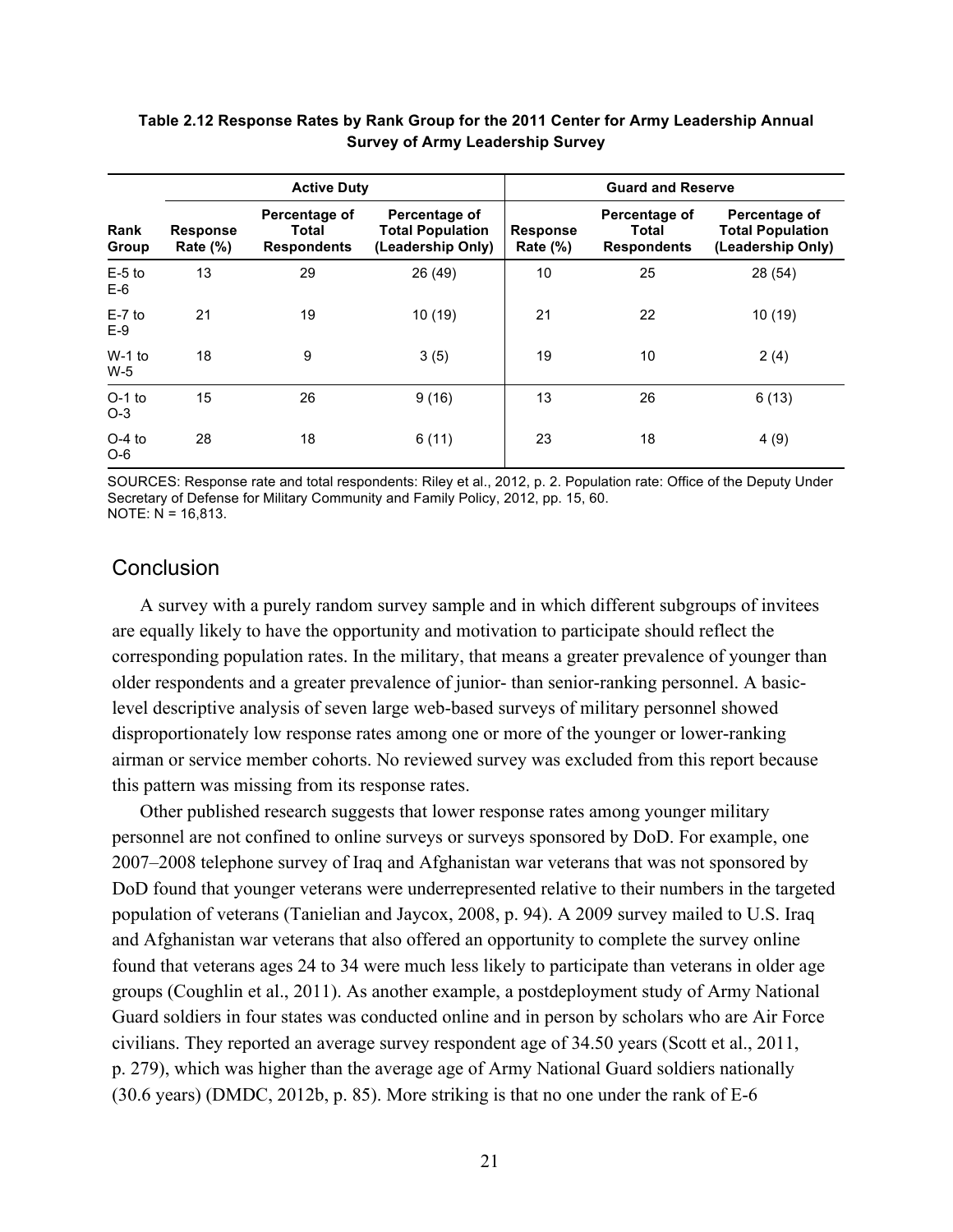# **Table 2.12 Response Rates by Rank Group for the 2011 Center for Army Leadership Annual Survey of Army Leadership Survey**

|                     | <b>Active Duty</b>             |                                              |                                                               | <b>Guard and Reserve</b>           |                                              |                                                               |
|---------------------|--------------------------------|----------------------------------------------|---------------------------------------------------------------|------------------------------------|----------------------------------------------|---------------------------------------------------------------|
| Rank<br>Group       | <b>Response</b><br>Rate $(\%)$ | Percentage of<br>Total<br><b>Respondents</b> | Percentage of<br><b>Total Population</b><br>(Leadership Only) | <b>Response</b><br><b>Rate (%)</b> | Percentage of<br>Total<br><b>Respondents</b> | Percentage of<br><b>Total Population</b><br>(Leadership Only) |
| $E-5$ to<br>$E-6$   | 13                             | 29                                           | 26 (49)                                                       | 10                                 | 25                                           | 28 (54)                                                       |
| $E - 7$ to<br>$E-9$ | 21                             | 19                                           | 10 (19)                                                       | 21                                 | 22                                           | 10(19)                                                        |
| $W-1$ to<br>$W-5$   | 18                             | 9                                            | 3(5)                                                          | 19                                 | 10                                           | 2(4)                                                          |
| $O-1$ to<br>$O-3$   | 15                             | 26                                           | 9(16)                                                         | 13                                 | 26                                           | 6(13)                                                         |
| $O-4$ to<br>$O-6$   | 28                             | 18                                           | 6(11)                                                         | 23                                 | 18                                           | 4(9)                                                          |

SOURCES: Response rate and total respondents: Riley et al., 2012, p. 2. Population rate: Office of the Deputy Under Secretary of Defense for Military Community and Family Policy, 2012, pp. 15, 60. NOTE: N = 16,813.

# **Conclusion**

A survey with a purely random survey sample and in which different subgroups of invitees are equally likely to have the opportunity and motivation to participate should reflect the corresponding population rates. In the military, that means a greater prevalence of younger than older respondents and a greater prevalence of junior- than senior-ranking personnel. A basiclevel descriptive analysis of seven large web-based surveys of military personnel showed disproportionately low response rates among one or more of the younger or lower-ranking airman or service member cohorts. No reviewed survey was excluded from this report because this pattern was missing from its response rates.

Other published research suggests that lower response rates among younger military personnel are not confined to online surveys or surveys sponsored by DoD. For example, one 2007–2008 telephone survey of Iraq and Afghanistan war veterans that was not sponsored by DoD found that younger veterans were underrepresented relative to their numbers in the targeted population of veterans (Tanielian and Jaycox, 2008, p. 94). A 2009 survey mailed to U.S. Iraq and Afghanistan war veterans that also offered an opportunity to complete the survey online found that veterans ages 24 to 34 were much less likely to participate than veterans in older age groups (Coughlin et al., 2011). As another example, a postdeployment study of Army National Guard soldiers in four states was conducted online and in person by scholars who are Air Force civilians. They reported an average survey respondent age of 34.50 years (Scott et al., 2011, p. 279), which was higher than the average age of Army National Guard soldiers nationally (30.6 years) (DMDC, 2012b, p. 85). More striking is that no one under the rank of E-6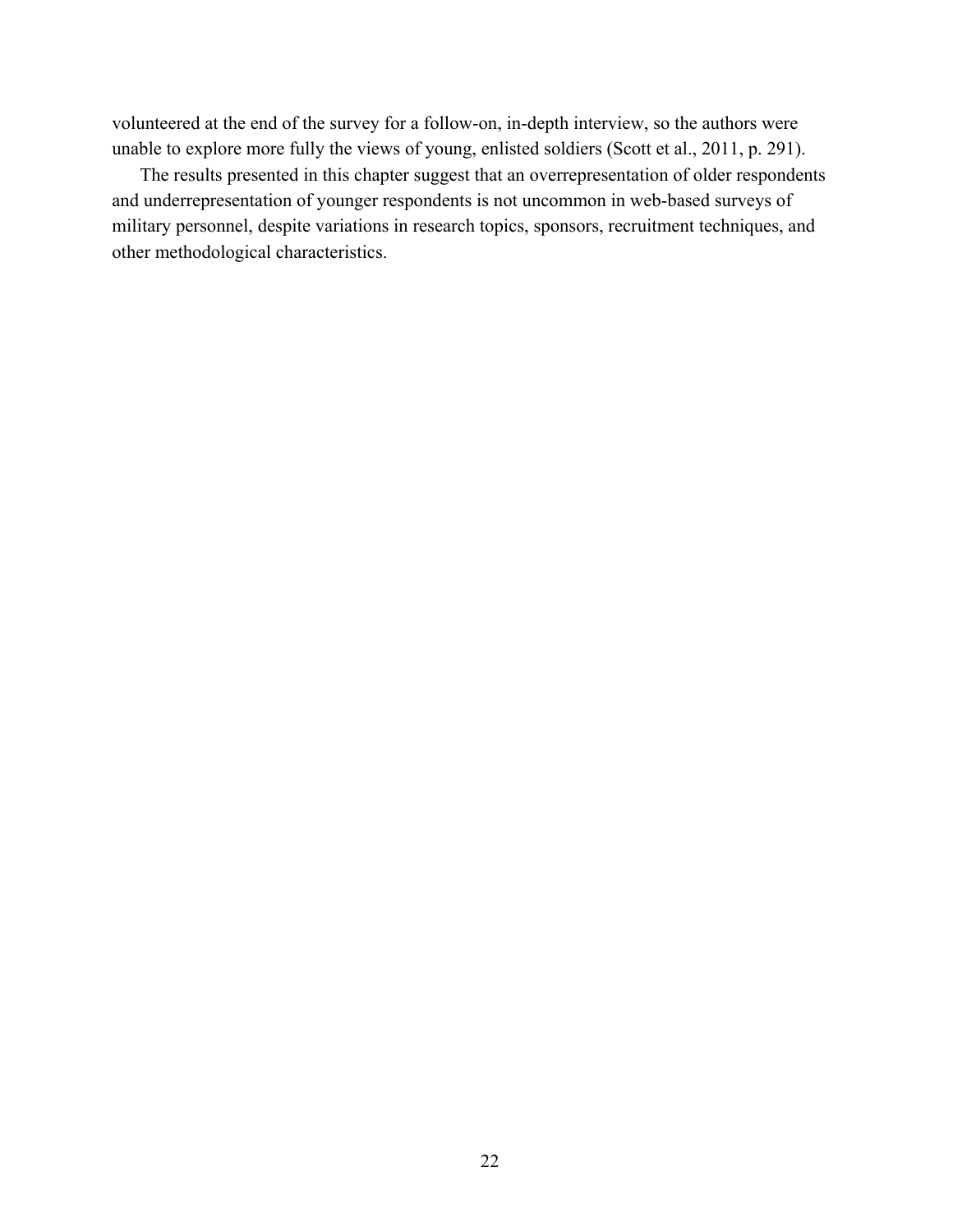volunteered at the end of the survey for a follow-on, in-depth interview, so the authors were unable to explore more fully the views of young, enlisted soldiers (Scott et al., 2011, p. 291).

The results presented in this chapter suggest that an overrepresentation of older respondents and underrepresentation of younger respondents is not uncommon in web-based surveys of military personnel, despite variations in research topics, sponsors, recruitment techniques, and other methodological characteristics.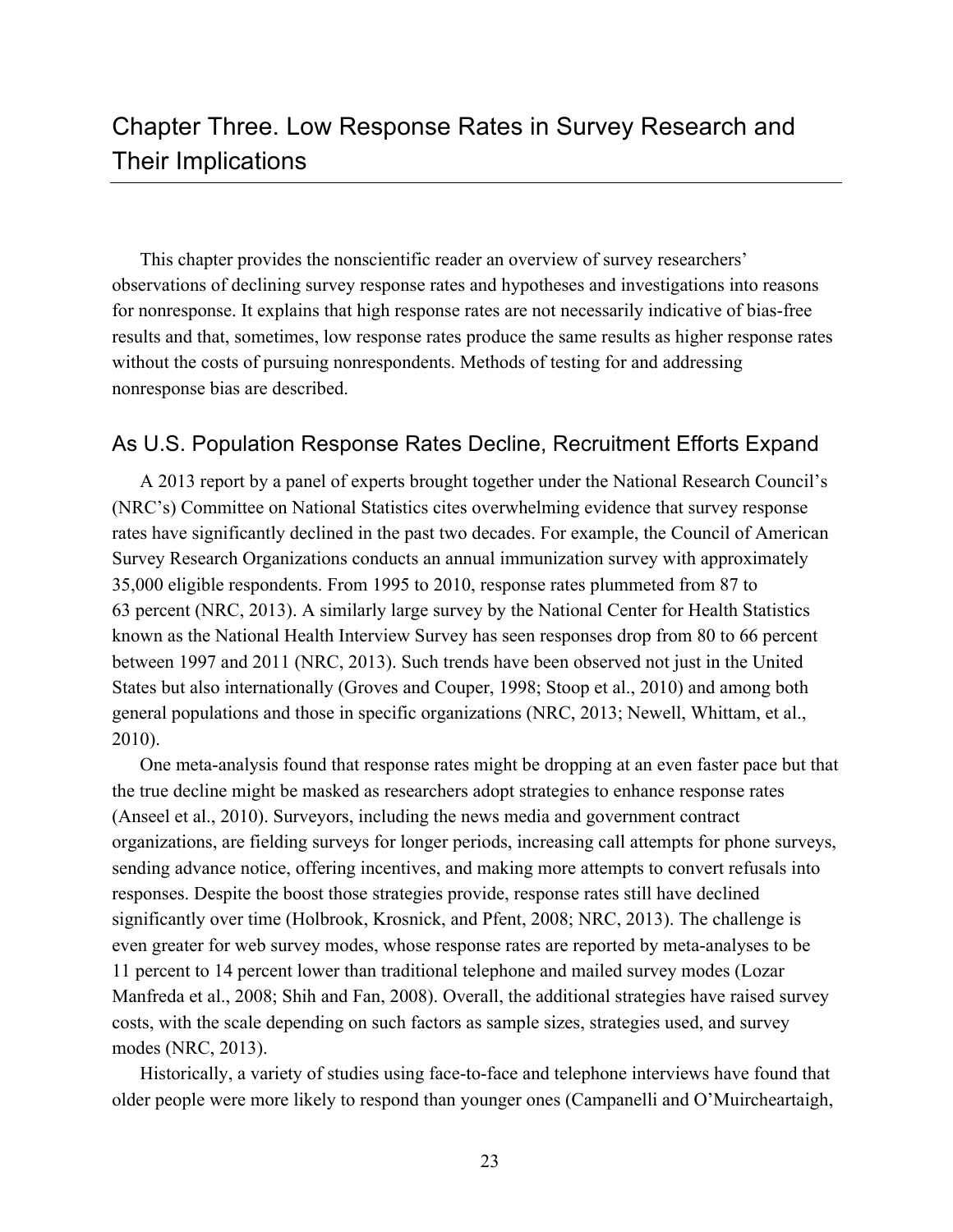# Chapter Three. Low Response Rates in Survey Research and Their Implications

This chapter provides the nonscientific reader an overview of survey researchers' observations of declining survey response rates and hypotheses and investigations into reasons for nonresponse. It explains that high response rates are not necessarily indicative of bias-free results and that, sometimes, low response rates produce the same results as higher response rates without the costs of pursuing nonrespondents. Methods of testing for and addressing nonresponse bias are described.

## As U.S. Population Response Rates Decline, Recruitment Efforts Expand

A 2013 report by a panel of experts brought together under the National Research Council's (NRC's) Committee on National Statistics cites overwhelming evidence that survey response rates have significantly declined in the past two decades. For example, the Council of American Survey Research Organizations conducts an annual immunization survey with approximately 35,000 eligible respondents. From 1995 to 2010, response rates plummeted from 87 to 63 percent (NRC, 2013). A similarly large survey by the National Center for Health Statistics known as the National Health Interview Survey has seen responses drop from 80 to 66 percent between 1997 and 2011 (NRC, 2013). Such trends have been observed not just in the United States but also internationally (Groves and Couper, 1998; Stoop et al., 2010) and among both general populations and those in specific organizations (NRC, 2013; Newell, Whittam, et al., 2010).

One meta-analysis found that response rates might be dropping at an even faster pace but that the true decline might be masked as researchers adopt strategies to enhance response rates (Anseel et al., 2010). Surveyors, including the news media and government contract organizations, are fielding surveys for longer periods, increasing call attempts for phone surveys, sending advance notice, offering incentives, and making more attempts to convert refusals into responses. Despite the boost those strategies provide, response rates still have declined significantly over time (Holbrook, Krosnick, and Pfent, 2008; NRC, 2013). The challenge is even greater for web survey modes, whose response rates are reported by meta-analyses to be 11 percent to 14 percent lower than traditional telephone and mailed survey modes (Lozar Manfreda et al., 2008; Shih and Fan, 2008). Overall, the additional strategies have raised survey costs, with the scale depending on such factors as sample sizes, strategies used, and survey modes (NRC, 2013).

Historically, a variety of studies using face-to-face and telephone interviews have found that older people were more likely to respond than younger ones (Campanelli and O'Muircheartaigh,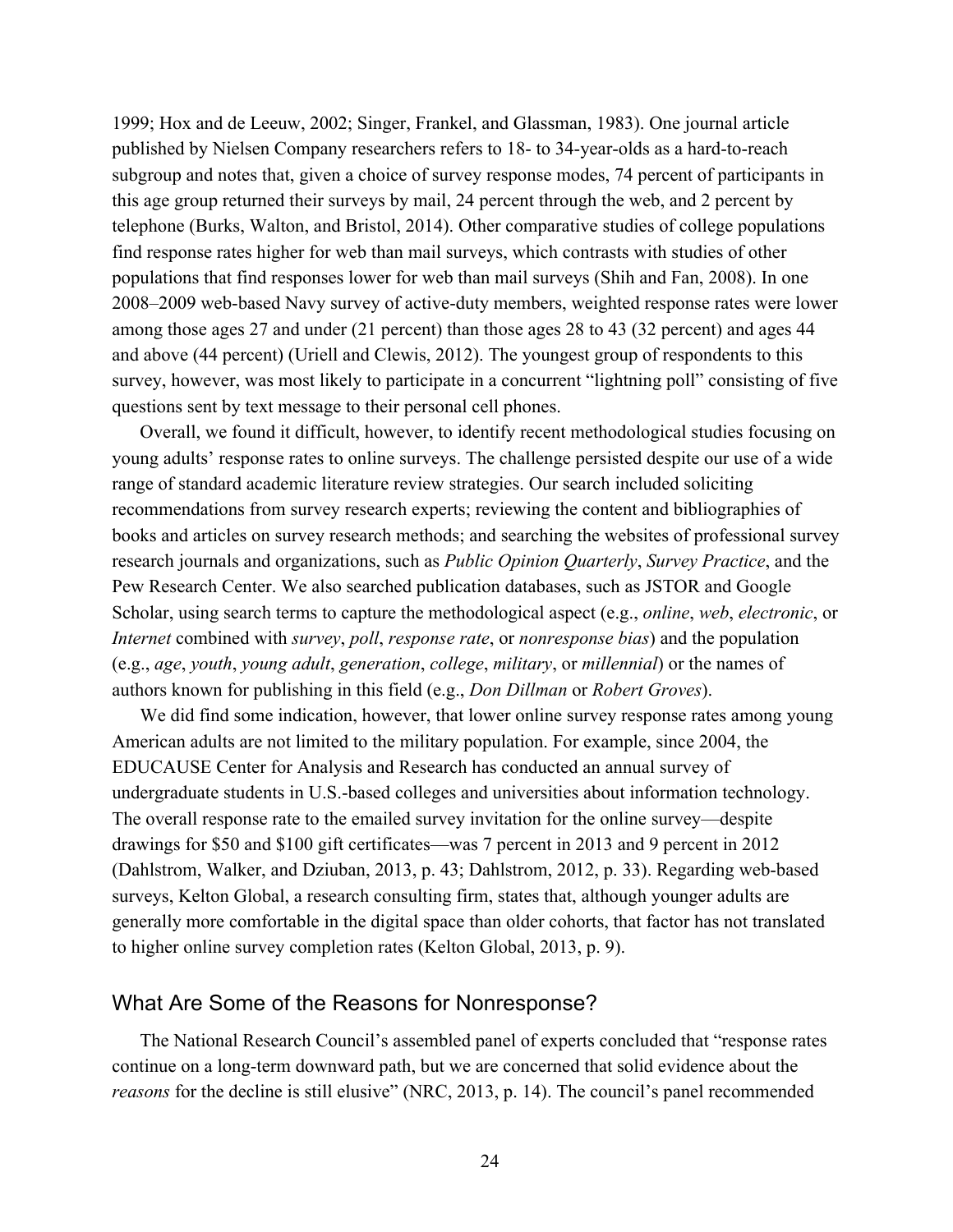1999; Hox and de Leeuw, 2002; Singer, Frankel, and Glassman, 1983). One journal article published by Nielsen Company researchers refers to 18- to 34-year-olds as a hard-to-reach subgroup and notes that, given a choice of survey response modes, 74 percent of participants in this age group returned their surveys by mail, 24 percent through the web, and 2 percent by telephone (Burks, Walton, and Bristol, 2014). Other comparative studies of college populations find response rates higher for web than mail surveys, which contrasts with studies of other populations that find responses lower for web than mail surveys (Shih and Fan, 2008). In one 2008–2009 web-based Navy survey of active-duty members, weighted response rates were lower among those ages 27 and under (21 percent) than those ages 28 to 43 (32 percent) and ages 44 and above (44 percent) (Uriell and Clewis, 2012). The youngest group of respondents to this survey, however, was most likely to participate in a concurrent "lightning poll" consisting of five questions sent by text message to their personal cell phones.

Overall, we found it difficult, however, to identify recent methodological studies focusing on young adults' response rates to online surveys. The challenge persisted despite our use of a wide range of standard academic literature review strategies. Our search included soliciting recommendations from survey research experts; reviewing the content and bibliographies of books and articles on survey research methods; and searching the websites of professional survey research journals and organizations, such as *Public Opinion Quarterly*, *Survey Practice*, and the Pew Research Center. We also searched publication databases, such as JSTOR and Google Scholar, using search terms to capture the methodological aspect (e.g., *online*, *web*, *electronic*, or *Internet* combined with *survey*, *poll*, *response rate*, or *nonresponse bias*) and the population (e.g., *age*, *youth*, *young adult*, *generation*, *college*, *military*, or *millennial*) or the names of authors known for publishing in this field (e.g., *Don Dillman* or *Robert Groves*).

We did find some indication, however, that lower online survey response rates among young American adults are not limited to the military population. For example, since 2004, the EDUCAUSE Center for Analysis and Research has conducted an annual survey of undergraduate students in U.S.-based colleges and universities about information technology. The overall response rate to the emailed survey invitation for the online survey—despite drawings for \$50 and \$100 gift certificates—was 7 percent in 2013 and 9 percent in 2012 (Dahlstrom, Walker, and Dziuban, 2013, p. 43; Dahlstrom, 2012, p. 33). Regarding web-based surveys, Kelton Global, a research consulting firm, states that, although younger adults are generally more comfortable in the digital space than older cohorts, that factor has not translated to higher online survey completion rates (Kelton Global, 2013, p. 9).

# What Are Some of the Reasons for Nonresponse?

The National Research Council's assembled panel of experts concluded that "response rates continue on a long-term downward path, but we are concerned that solid evidence about the *reasons* for the decline is still elusive" (NRC, 2013, p. 14). The council's panel recommended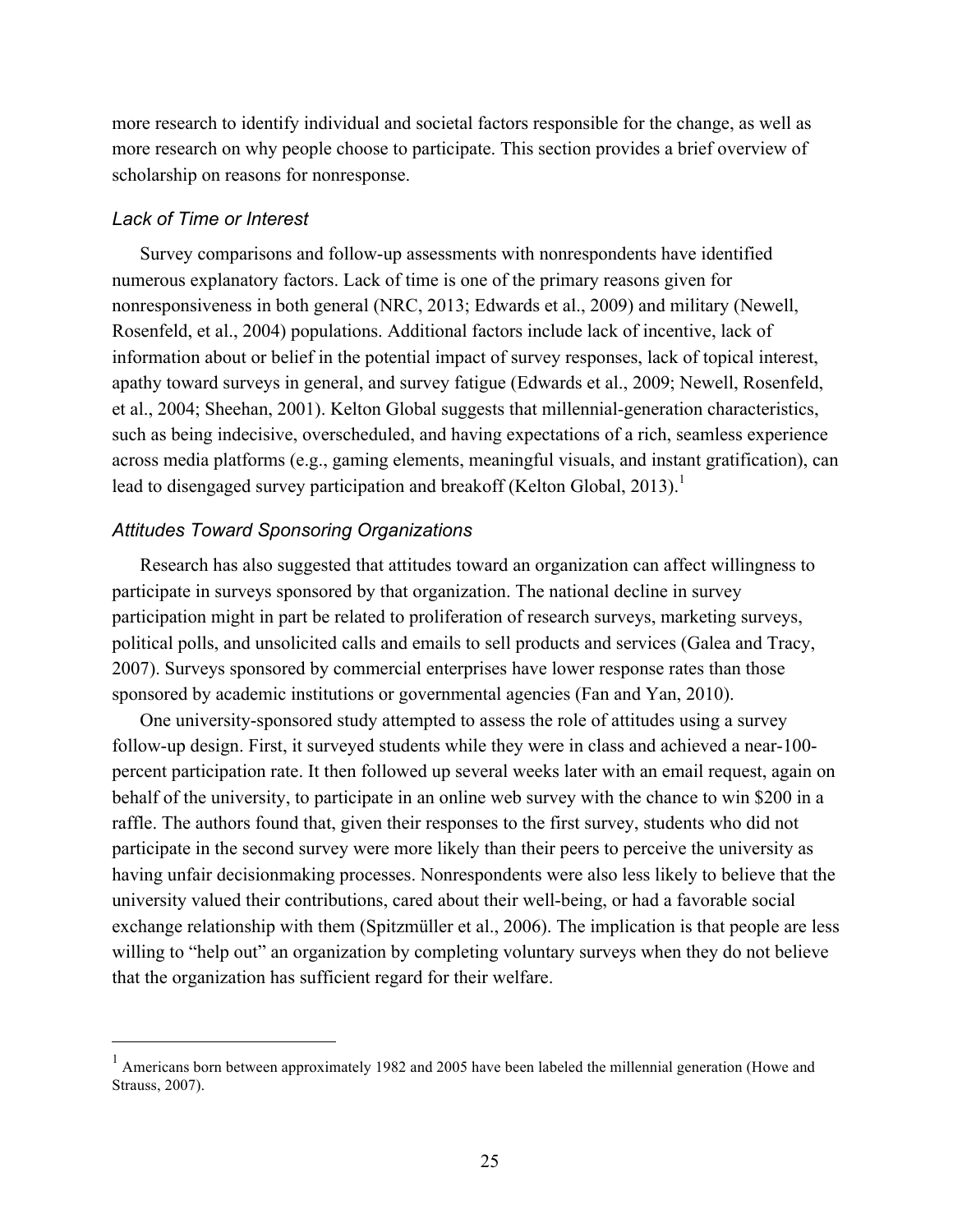more research to identify individual and societal factors responsible for the change, as well as more research on why people choose to participate. This section provides a brief overview of scholarship on reasons for nonresponse.

#### *Lack of Time or Interest*

1

Survey comparisons and follow-up assessments with nonrespondents have identified numerous explanatory factors. Lack of time is one of the primary reasons given for nonresponsiveness in both general (NRC, 2013; Edwards et al., 2009) and military (Newell, Rosenfeld, et al., 2004) populations. Additional factors include lack of incentive, lack of information about or belief in the potential impact of survey responses, lack of topical interest, apathy toward surveys in general, and survey fatigue (Edwards et al., 2009; Newell, Rosenfeld, et al., 2004; Sheehan, 2001). Kelton Global suggests that millennial-generation characteristics, such as being indecisive, overscheduled, and having expectations of a rich, seamless experience across media platforms (e.g., gaming elements, meaningful visuals, and instant gratification), can lead to disengaged survey participation and breakoff (Kelton Global, 2013).<sup>1</sup>

#### *Attitudes Toward Sponsoring Organizations*

Research has also suggested that attitudes toward an organization can affect willingness to participate in surveys sponsored by that organization. The national decline in survey participation might in part be related to proliferation of research surveys, marketing surveys, political polls, and unsolicited calls and emails to sell products and services (Galea and Tracy, 2007). Surveys sponsored by commercial enterprises have lower response rates than those sponsored by academic institutions or governmental agencies (Fan and Yan, 2010).

One university-sponsored study attempted to assess the role of attitudes using a survey follow-up design. First, it surveyed students while they were in class and achieved a near-100 percent participation rate. It then followed up several weeks later with an email request, again on behalf of the university, to participate in an online web survey with the chance to win \$200 in a raffle. The authors found that, given their responses to the first survey, students who did not participate in the second survey were more likely than their peers to perceive the university as having unfair decisionmaking processes. Nonrespondents were also less likely to believe that the university valued their contributions, cared about their well-being, or had a favorable social exchange relationship with them (Spitzmüller et al., 2006). The implication is that people are less willing to "help out" an organization by completing voluntary surveys when they do not believe that the organization has sufficient regard for their welfare.

<sup>&</sup>lt;sup>1</sup> Americans born between approximately 1982 and 2005 have been labeled the millennial generation (Howe and Strauss, 2007).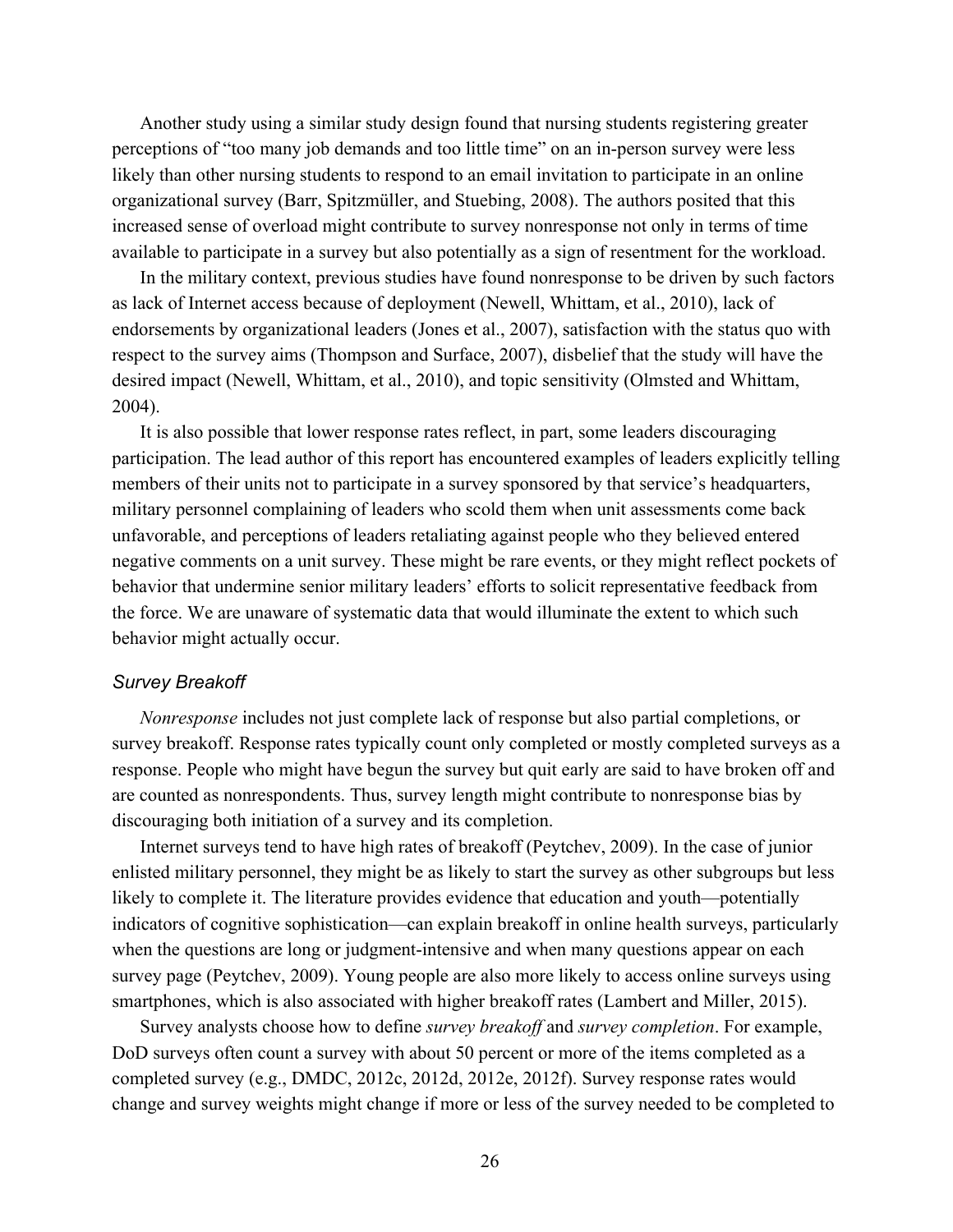Another study using a similar study design found that nursing students registering greater perceptions of "too many job demands and too little time" on an in-person survey were less likely than other nursing students to respond to an email invitation to participate in an online organizational survey (Barr, Spitzmüller, and Stuebing, 2008). The authors posited that this increased sense of overload might contribute to survey nonresponse not only in terms of time available to participate in a survey but also potentially as a sign of resentment for the workload.

In the military context, previous studies have found nonresponse to be driven by such factors as lack of Internet access because of deployment (Newell, Whittam, et al., 2010), lack of endorsements by organizational leaders (Jones et al., 2007), satisfaction with the status quo with respect to the survey aims (Thompson and Surface, 2007), disbelief that the study will have the desired impact (Newell, Whittam, et al., 2010), and topic sensitivity (Olmsted and Whittam, 2004).

It is also possible that lower response rates reflect, in part, some leaders discouraging participation. The lead author of this report has encountered examples of leaders explicitly telling members of their units not to participate in a survey sponsored by that service's headquarters, military personnel complaining of leaders who scold them when unit assessments come back unfavorable, and perceptions of leaders retaliating against people who they believed entered negative comments on a unit survey. These might be rare events, or they might reflect pockets of behavior that undermine senior military leaders' efforts to solicit representative feedback from the force. We are unaware of systematic data that would illuminate the extent to which such behavior might actually occur.

#### *Survey Breakoff*

*Nonresponse* includes not just complete lack of response but also partial completions, or survey breakoff. Response rates typically count only completed or mostly completed surveys as a response. People who might have begun the survey but quit early are said to have broken off and are counted as nonrespondents. Thus, survey length might contribute to nonresponse bias by discouraging both initiation of a survey and its completion.

Internet surveys tend to have high rates of breakoff (Peytchev, 2009). In the case of junior enlisted military personnel, they might be as likely to start the survey as other subgroups but less likely to complete it. The literature provides evidence that education and youth—potentially indicators of cognitive sophistication—can explain breakoff in online health surveys, particularly when the questions are long or judgment-intensive and when many questions appear on each survey page (Peytchev, 2009). Young people are also more likely to access online surveys using smartphones, which is also associated with higher breakoff rates (Lambert and Miller, 2015).

Survey analysts choose how to define *survey breakoff* and *survey completion*. For example, DoD surveys often count a survey with about 50 percent or more of the items completed as a completed survey (e.g., DMDC, 2012c, 2012d, 2012e, 2012f). Survey response rates would change and survey weights might change if more or less of the survey needed to be completed to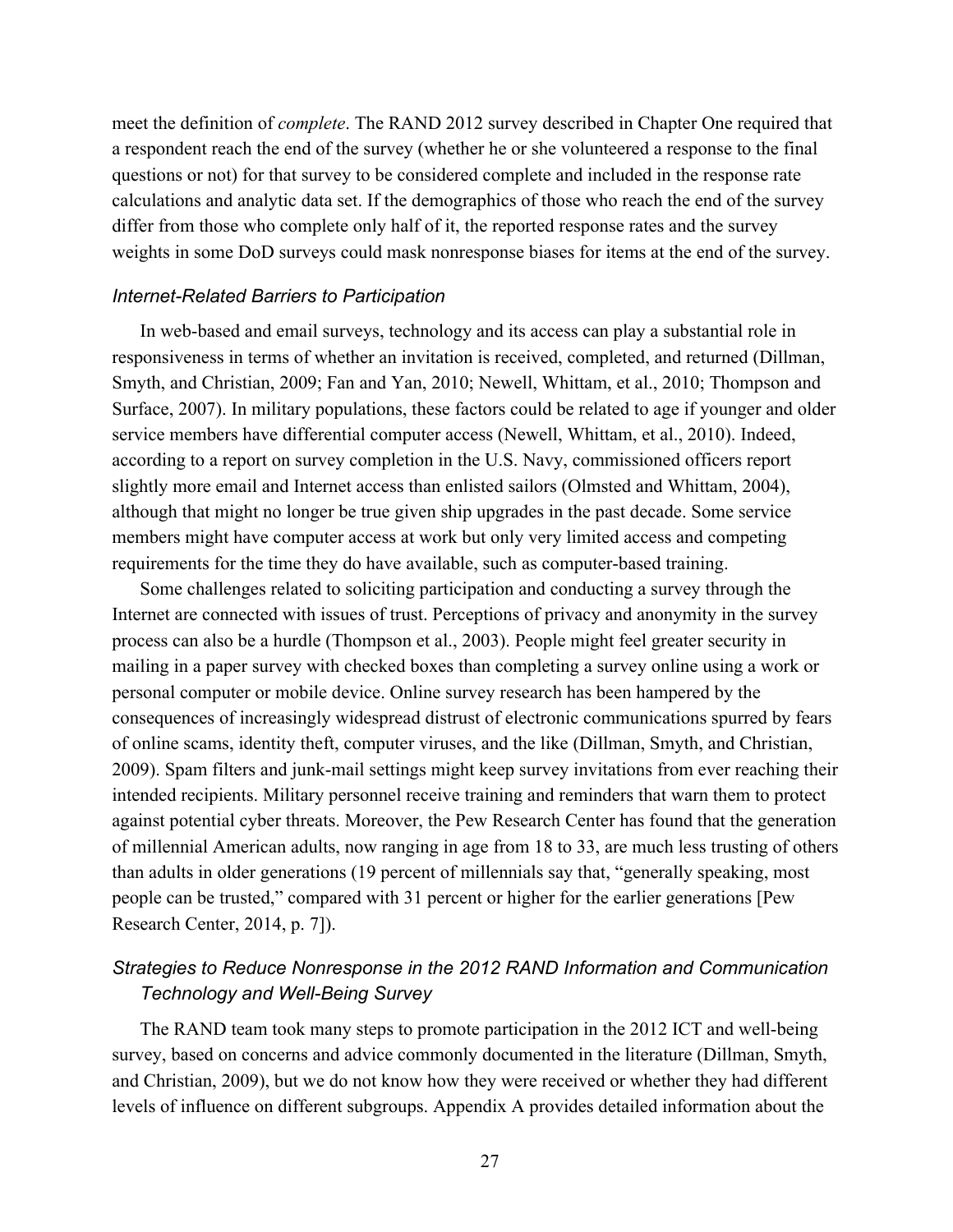meet the definition of *complete*. The RAND 2012 survey described in Chapter One required that a respondent reach the end of the survey (whether he or she volunteered a response to the final questions or not) for that survey to be considered complete and included in the response rate calculations and analytic data set. If the demographics of those who reach the end of the survey differ from those who complete only half of it, the reported response rates and the survey weights in some DoD surveys could mask nonresponse biases for items at the end of the survey.

#### *Internet-Related Barriers to Participation*

In web-based and email surveys, technology and its access can play a substantial role in responsiveness in terms of whether an invitation is received, completed, and returned (Dillman, Smyth, and Christian, 2009; Fan and Yan, 2010; Newell, Whittam, et al., 2010; Thompson and Surface, 2007). In military populations, these factors could be related to age if younger and older service members have differential computer access (Newell, Whittam, et al., 2010). Indeed, according to a report on survey completion in the U.S. Navy, commissioned officers report slightly more email and Internet access than enlisted sailors (Olmsted and Whittam, 2004), although that might no longer be true given ship upgrades in the past decade. Some service members might have computer access at work but only very limited access and competing requirements for the time they do have available, such as computer-based training.

Some challenges related to soliciting participation and conducting a survey through the Internet are connected with issues of trust. Perceptions of privacy and anonymity in the survey process can also be a hurdle (Thompson et al., 2003). People might feel greater security in mailing in a paper survey with checked boxes than completing a survey online using a work or personal computer or mobile device. Online survey research has been hampered by the consequences of increasingly widespread distrust of electronic communications spurred by fears of online scams, identity theft, computer viruses, and the like (Dillman, Smyth, and Christian, 2009). Spam filters and junk-mail settings might keep survey invitations from ever reaching their intended recipients. Military personnel receive training and reminders that warn them to protect against potential cyber threats. Moreover, the Pew Research Center has found that the generation of millennial American adults, now ranging in age from 18 to 33, are much less trusting of others than adults in older generations (19 percent of millennials say that, "generally speaking, most people can be trusted," compared with 31 percent or higher for the earlier generations [Pew Research Center, 2014, p. 7]).

# *Strategies to Reduce Nonresponse in the 2012 RAND Information and Communication Technology and Well-Being Survey*

The RAND team took many steps to promote participation in the 2012 ICT and well-being survey, based on concerns and advice commonly documented in the literature (Dillman, Smyth, and Christian, 2009), but we do not know how they were received or whether they had different levels of influence on different subgroups. Appendix A provides detailed information about the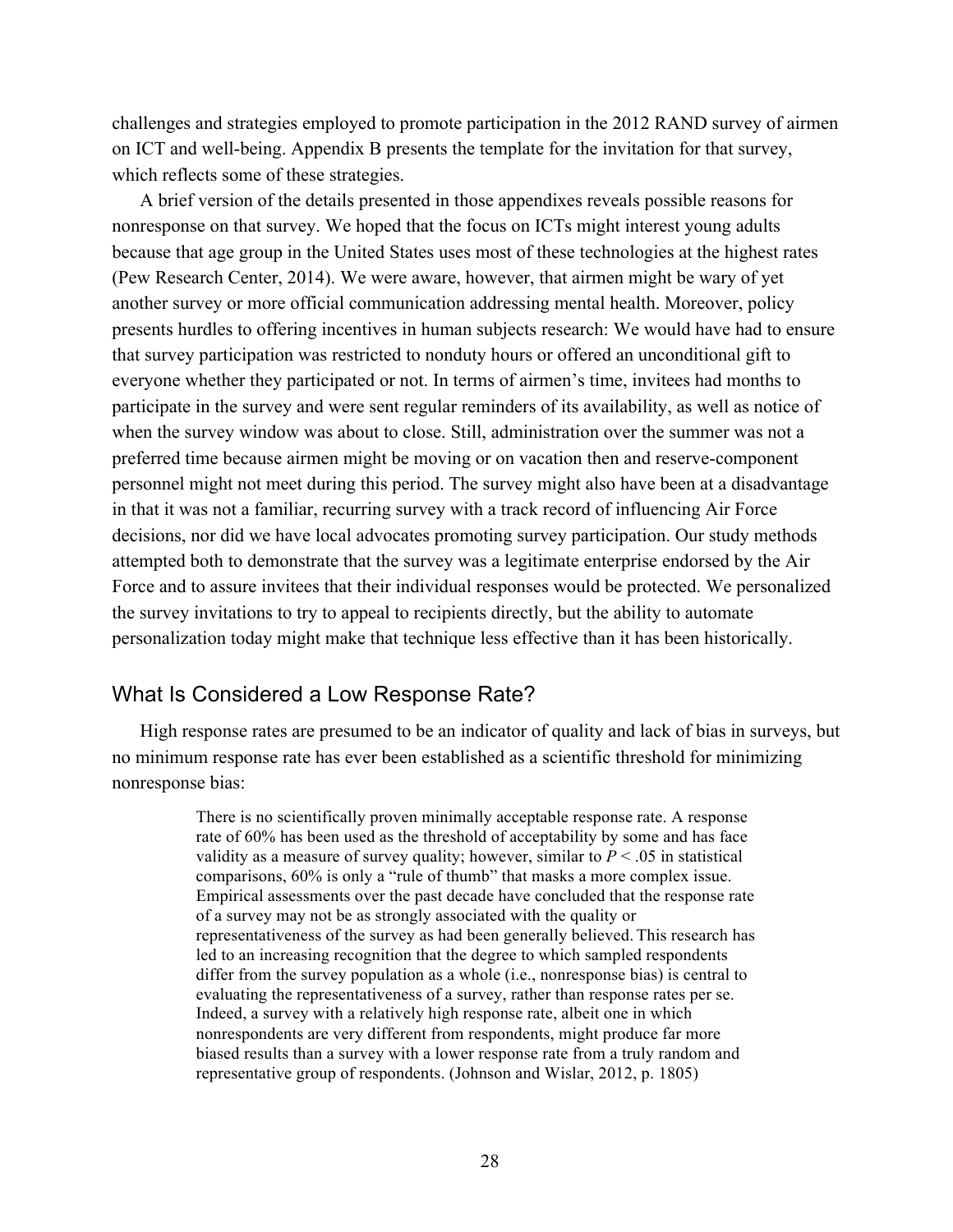challenges and strategies employed to promote participation in the 2012 RAND survey of airmen on ICT and well-being. Appendix B presents the template for the invitation for that survey, which reflects some of these strategies.

A brief version of the details presented in those appendixes reveals possible reasons for nonresponse on that survey. We hoped that the focus on ICTs might interest young adults because that age group in the United States uses most of these technologies at the highest rates (Pew Research Center, 2014). We were aware, however, that airmen might be wary of yet another survey or more official communication addressing mental health. Moreover, policy presents hurdles to offering incentives in human subjects research: We would have had to ensure that survey participation was restricted to nonduty hours or offered an unconditional gift to everyone whether they participated or not. In terms of airmen's time, invitees had months to participate in the survey and were sent regular reminders of its availability, as well as notice of when the survey window was about to close. Still, administration over the summer was not a preferred time because airmen might be moving or on vacation then and reserve-component personnel might not meet during this period. The survey might also have been at a disadvantage in that it was not a familiar, recurring survey with a track record of influencing Air Force decisions, nor did we have local advocates promoting survey participation. Our study methods attempted both to demonstrate that the survey was a legitimate enterprise endorsed by the Air Force and to assure invitees that their individual responses would be protected. We personalized the survey invitations to try to appeal to recipients directly, but the ability to automate personalization today might make that technique less effective than it has been historically.

# What Is Considered a Low Response Rate?

High response rates are presumed to be an indicator of quality and lack of bias in surveys, but no minimum response rate has ever been established as a scientific threshold for minimizing nonresponse bias:

> There is no scientifically proven minimally acceptable response rate. A response rate of 60% has been used as the threshold of acceptability by some and has face validity as a measure of survey quality; however, similar to  $P < .05$  in statistical comparisons, 60% is only a "rule of thumb" that masks a more complex issue. Empirical assessments over the past decade have concluded that the response rate of a survey may not be as strongly associated with the quality or representativeness of the survey as had been generally believed. This research has led to an increasing recognition that the degree to which sampled respondents differ from the survey population as a whole (i.e., nonresponse bias) is central to evaluating the representativeness of a survey, rather than response rates per se. Indeed, a survey with a relatively high response rate, albeit one in which nonrespondents are very different from respondents, might produce far more biased results than a survey with a lower response rate from a truly random and representative group of respondents. (Johnson and Wislar, 2012, p. 1805)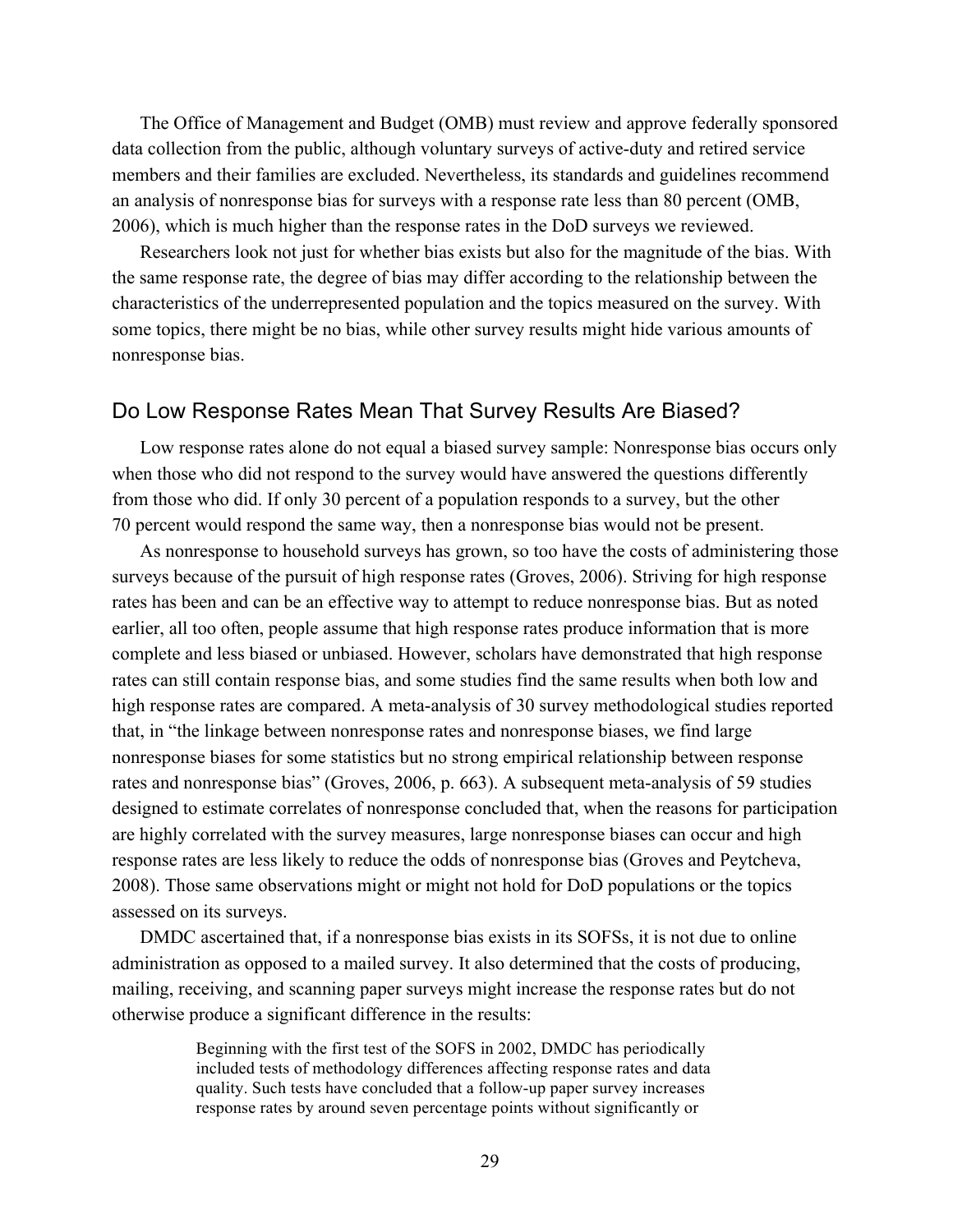The Office of Management and Budget (OMB) must review and approve federally sponsored data collection from the public, although voluntary surveys of active-duty and retired service members and their families are excluded. Nevertheless, its standards and guidelines recommend an analysis of nonresponse bias for surveys with a response rate less than 80 percent (OMB, 2006), which is much higher than the response rates in the DoD surveys we reviewed.

Researchers look not just for whether bias exists but also for the magnitude of the bias. With the same response rate, the degree of bias may differ according to the relationship between the characteristics of the underrepresented population and the topics measured on the survey. With some topics, there might be no bias, while other survey results might hide various amounts of nonresponse bias.

### Do Low Response Rates Mean That Survey Results Are Biased?

Low response rates alone do not equal a biased survey sample: Nonresponse bias occurs only when those who did not respond to the survey would have answered the questions differently from those who did. If only 30 percent of a population responds to a survey, but the other 70 percent would respond the same way, then a nonresponse bias would not be present.

As nonresponse to household surveys has grown, so too have the costs of administering those surveys because of the pursuit of high response rates (Groves, 2006). Striving for high response rates has been and can be an effective way to attempt to reduce nonresponse bias. But as noted earlier, all too often, people assume that high response rates produce information that is more complete and less biased or unbiased. However, scholars have demonstrated that high response rates can still contain response bias, and some studies find the same results when both low and high response rates are compared. A meta-analysis of 30 survey methodological studies reported that, in "the linkage between nonresponse rates and nonresponse biases, we find large nonresponse biases for some statistics but no strong empirical relationship between response rates and nonresponse bias" (Groves, 2006, p. 663). A subsequent meta-analysis of 59 studies designed to estimate correlates of nonresponse concluded that, when the reasons for participation are highly correlated with the survey measures, large nonresponse biases can occur and high response rates are less likely to reduce the odds of nonresponse bias (Groves and Peytcheva, 2008). Those same observations might or might not hold for DoD populations or the topics assessed on its surveys.

DMDC ascertained that, if a nonresponse bias exists in its SOFSs, it is not due to online administration as opposed to a mailed survey. It also determined that the costs of producing, mailing, receiving, and scanning paper surveys might increase the response rates but do not otherwise produce a significant difference in the results:

> Beginning with the first test of the SOFS in 2002, DMDC has periodically included tests of methodology differences affecting response rates and data quality. Such tests have concluded that a follow-up paper survey increases response rates by around seven percentage points without significantly or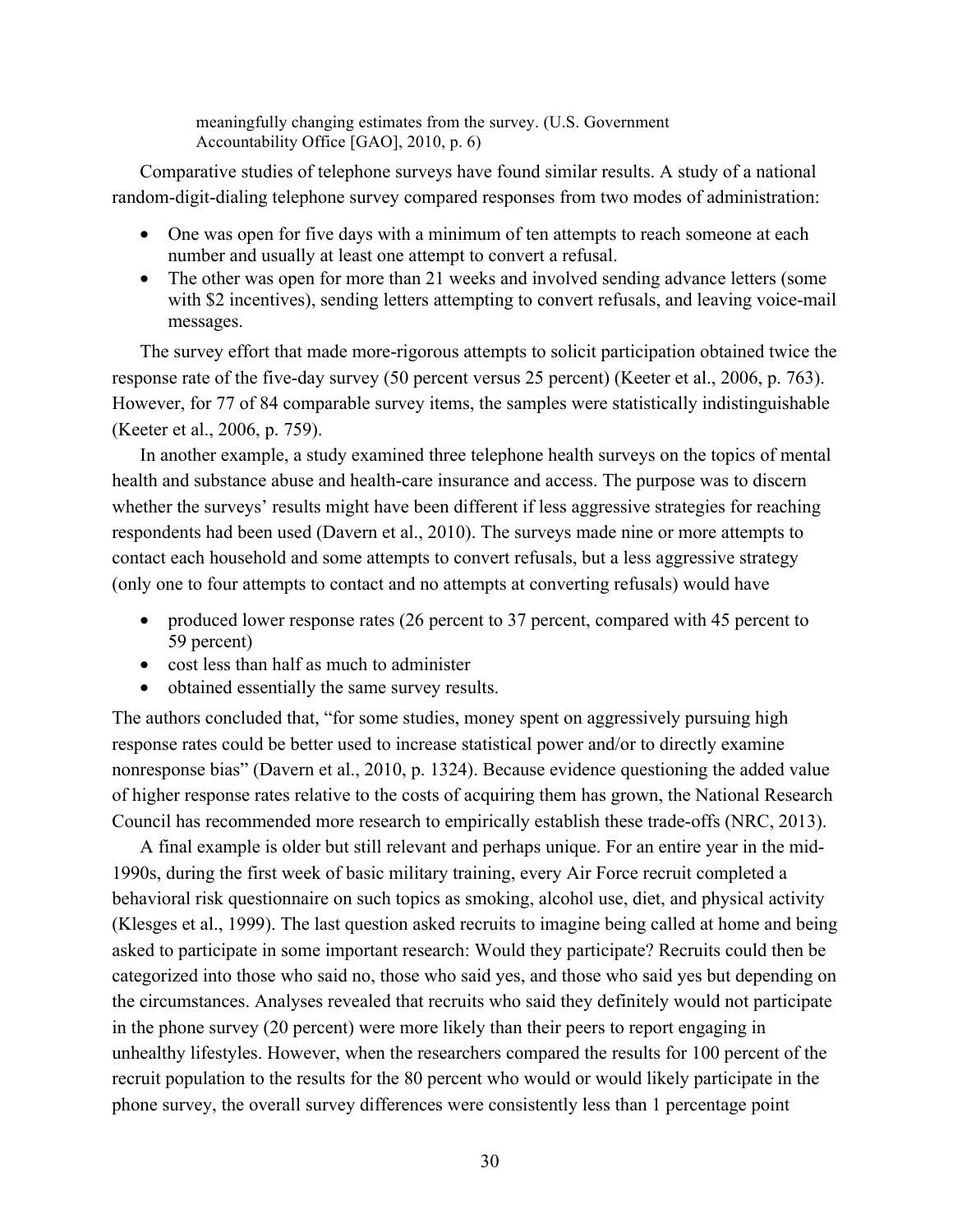meaningfully changing estimates from the survey. (U.S. Government Accountability Office [GAO], 2010, p. 6)

Comparative studies of telephone surveys have found similar results. A study of a national random-digit-dialing telephone survey compared responses from two modes of administration:

- One was open for five days with a minimum of ten attempts to reach someone at each number and usually at least one attempt to convert a refusal.
- The other was open for more than 21 weeks and involved sending advance letters (some with \$2 incentives), sending letters attempting to convert refusals, and leaving voice-mail messages.

The survey effort that made more-rigorous attempts to solicit participation obtained twice the response rate of the five-day survey (50 percent versus 25 percent) (Keeter et al., 2006, p. 763). However, for 77 of 84 comparable survey items, the samples were statistically indistinguishable (Keeter et al., 2006, p. 759).

In another example, a study examined three telephone health surveys on the topics of mental health and substance abuse and health-care insurance and access. The purpose was to discern whether the surveys' results might have been different if less aggressive strategies for reaching respondents had been used (Davern et al., 2010). The surveys made nine or more attempts to contact each household and some attempts to convert refusals, but a less aggressive strategy (only one to four attempts to contact and no attempts at converting refusals) would have

- produced lower response rates (26 percent to 37 percent, compared with 45 percent to 59 percent)
- cost less than half as much to administer
- obtained essentially the same survey results.

The authors concluded that, "for some studies, money spent on aggressively pursuing high response rates could be better used to increase statistical power and/or to directly examine nonresponse bias" (Davern et al., 2010, p. 1324). Because evidence questioning the added value of higher response rates relative to the costs of acquiring them has grown, the National Research Council has recommended more research to empirically establish these trade-offs (NRC, 2013).

A final example is older but still relevant and perhaps unique. For an entire year in the mid-1990s, during the first week of basic military training, every Air Force recruit completed a behavioral risk questionnaire on such topics as smoking, alcohol use, diet, and physical activity (Klesges et al., 1999). The last question asked recruits to imagine being called at home and being asked to participate in some important research: Would they participate? Recruits could then be categorized into those who said no, those who said yes, and those who said yes but depending on the circumstances. Analyses revealed that recruits who said they definitely would not participate in the phone survey (20 percent) were more likely than their peers to report engaging in unhealthy lifestyles. However, when the researchers compared the results for 100 percent of the recruit population to the results for the 80 percent who would or would likely participate in the phone survey, the overall survey differences were consistently less than 1 percentage point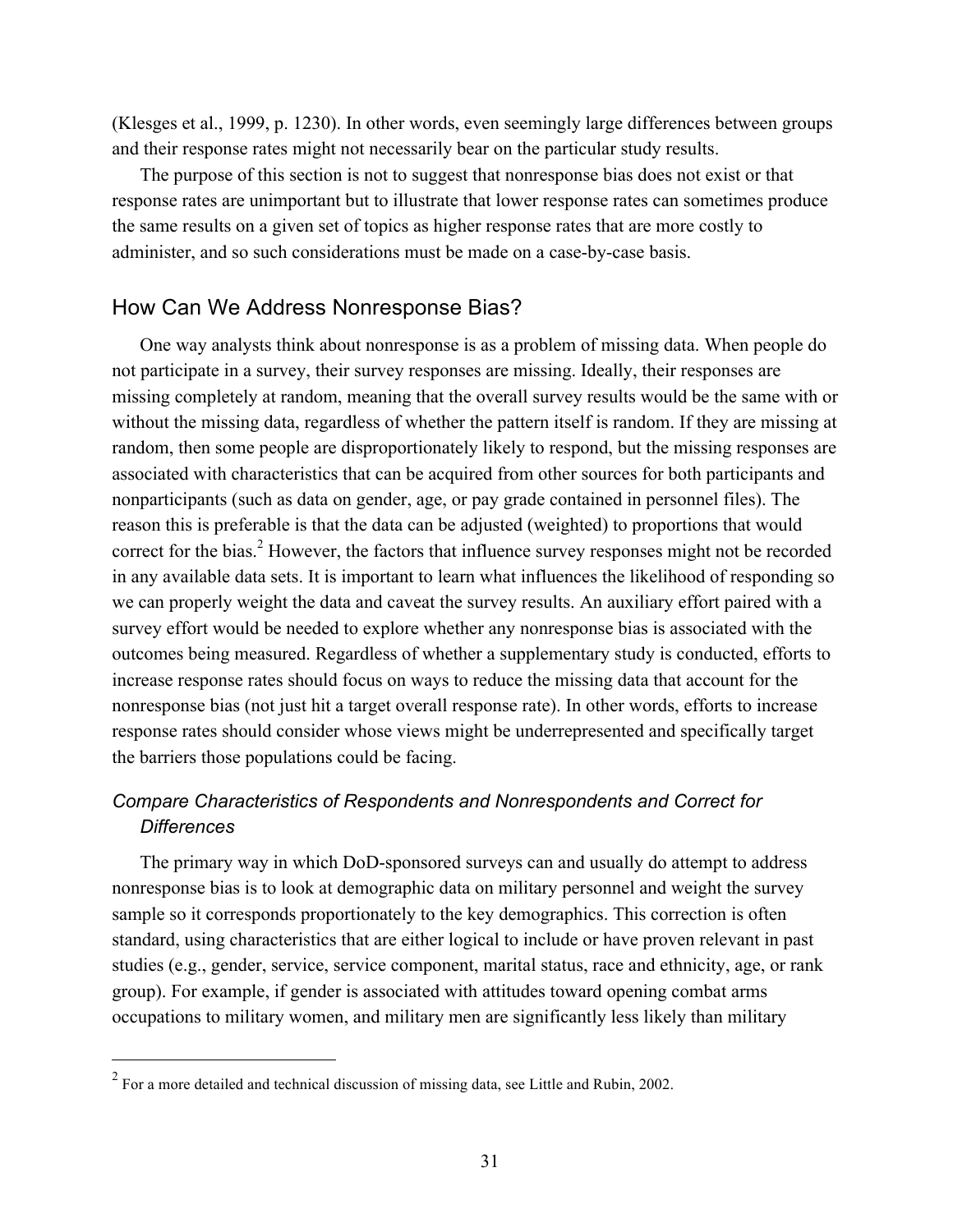(Klesges et al., 1999, p. 1230). In other words, even seemingly large differences between groups and their response rates might not necessarily bear on the particular study results.

The purpose of this section is not to suggest that nonresponse bias does not exist or that response rates are unimportant but to illustrate that lower response rates can sometimes produce the same results on a given set of topics as higher response rates that are more costly to administer, and so such considerations must be made on a case-by-case basis.

# How Can We Address Nonresponse Bias?

One way analysts think about nonresponse is as a problem of missing data. When people do not participate in a survey, their survey responses are missing. Ideally, their responses are missing completely at random, meaning that the overall survey results would be the same with or without the missing data, regardless of whether the pattern itself is random. If they are missing at random, then some people are disproportionately likely to respond, but the missing responses are associated with characteristics that can be acquired from other sources for both participants and nonparticipants (such as data on gender, age, or pay grade contained in personnel files). The reason this is preferable is that the data can be adjusted (weighted) to proportions that would correct for the bias. $2$  However, the factors that influence survey responses might not be recorded in any available data sets. It is important to learn what influences the likelihood of responding so we can properly weight the data and caveat the survey results. An auxiliary effort paired with a survey effort would be needed to explore whether any nonresponse bias is associated with the outcomes being measured. Regardless of whether a supplementary study is conducted, efforts to increase response rates should focus on ways to reduce the missing data that account for the nonresponse bias (not just hit a target overall response rate). In other words, efforts to increase response rates should consider whose views might be underrepresented and specifically target the barriers those populations could be facing.

# *Compare Characteristics of Respondents and Nonrespondents and Correct for Differences*

The primary way in which DoD-sponsored surveys can and usually do attempt to address nonresponse bias is to look at demographic data on military personnel and weight the survey sample so it corresponds proportionately to the key demographics. This correction is often standard, using characteristics that are either logical to include or have proven relevant in past studies (e.g., gender, service, service component, marital status, race and ethnicity, age, or rank group). For example, if gender is associated with attitudes toward opening combat arms occupations to military women, and military men are significantly less likely than military

<u>.</u>

<sup>&</sup>lt;sup>2</sup> For a more detailed and technical discussion of missing data, see Little and Rubin, 2002.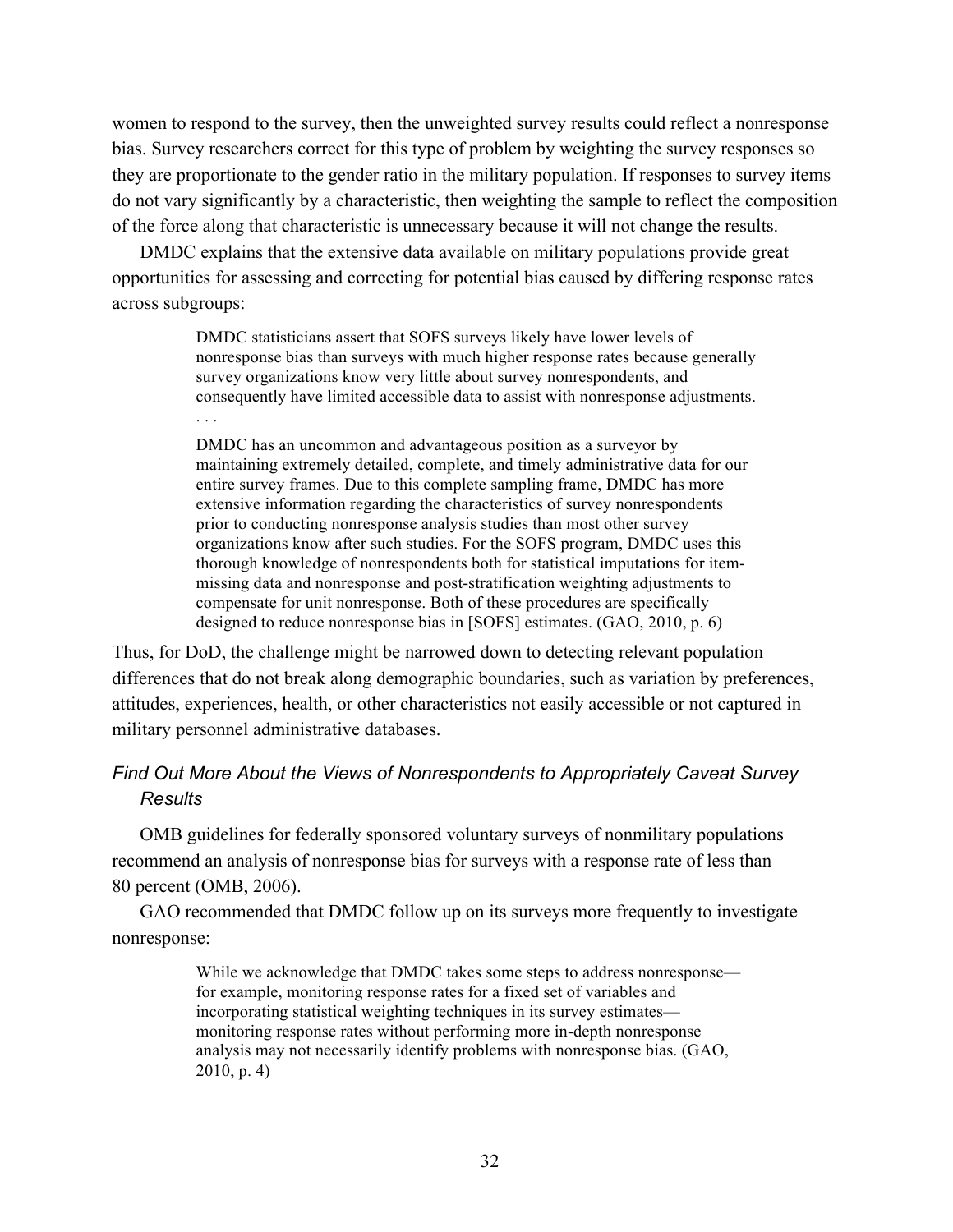women to respond to the survey, then the unweighted survey results could reflect a nonresponse bias. Survey researchers correct for this type of problem by weighting the survey responses so they are proportionate to the gender ratio in the military population. If responses to survey items do not vary significantly by a characteristic, then weighting the sample to reflect the composition of the force along that characteristic is unnecessary because it will not change the results.

DMDC explains that the extensive data available on military populations provide great opportunities for assessing and correcting for potential bias caused by differing response rates across subgroups:

> DMDC statisticians assert that SOFS surveys likely have lower levels of nonresponse bias than surveys with much higher response rates because generally survey organizations know very little about survey nonrespondents, and consequently have limited accessible data to assist with nonresponse adjustments. . . .

> DMDC has an uncommon and advantageous position as a surveyor by maintaining extremely detailed, complete, and timely administrative data for our entire survey frames. Due to this complete sampling frame, DMDC has more extensive information regarding the characteristics of survey nonrespondents prior to conducting nonresponse analysis studies than most other survey organizations know after such studies. For the SOFS program, DMDC uses this thorough knowledge of nonrespondents both for statistical imputations for itemmissing data and nonresponse and post-stratification weighting adjustments to compensate for unit nonresponse. Both of these procedures are specifically designed to reduce nonresponse bias in [SOFS] estimates. (GAO, 2010, p. 6)

Thus, for DoD, the challenge might be narrowed down to detecting relevant population differences that do not break along demographic boundaries, such as variation by preferences, attitudes, experiences, health, or other characteristics not easily accessible or not captured in military personnel administrative databases.

# *Find Out More About the Views of Nonrespondents to Appropriately Caveat Survey Results*

OMB guidelines for federally sponsored voluntary surveys of nonmilitary populations recommend an analysis of nonresponse bias for surveys with a response rate of less than 80 percent (OMB, 2006).

GAO recommended that DMDC follow up on its surveys more frequently to investigate nonresponse:

> While we acknowledge that DMDC takes some steps to address nonresponse for example, monitoring response rates for a fixed set of variables and incorporating statistical weighting techniques in its survey estimates monitoring response rates without performing more in-depth nonresponse analysis may not necessarily identify problems with nonresponse bias. (GAO, 2010, p. 4)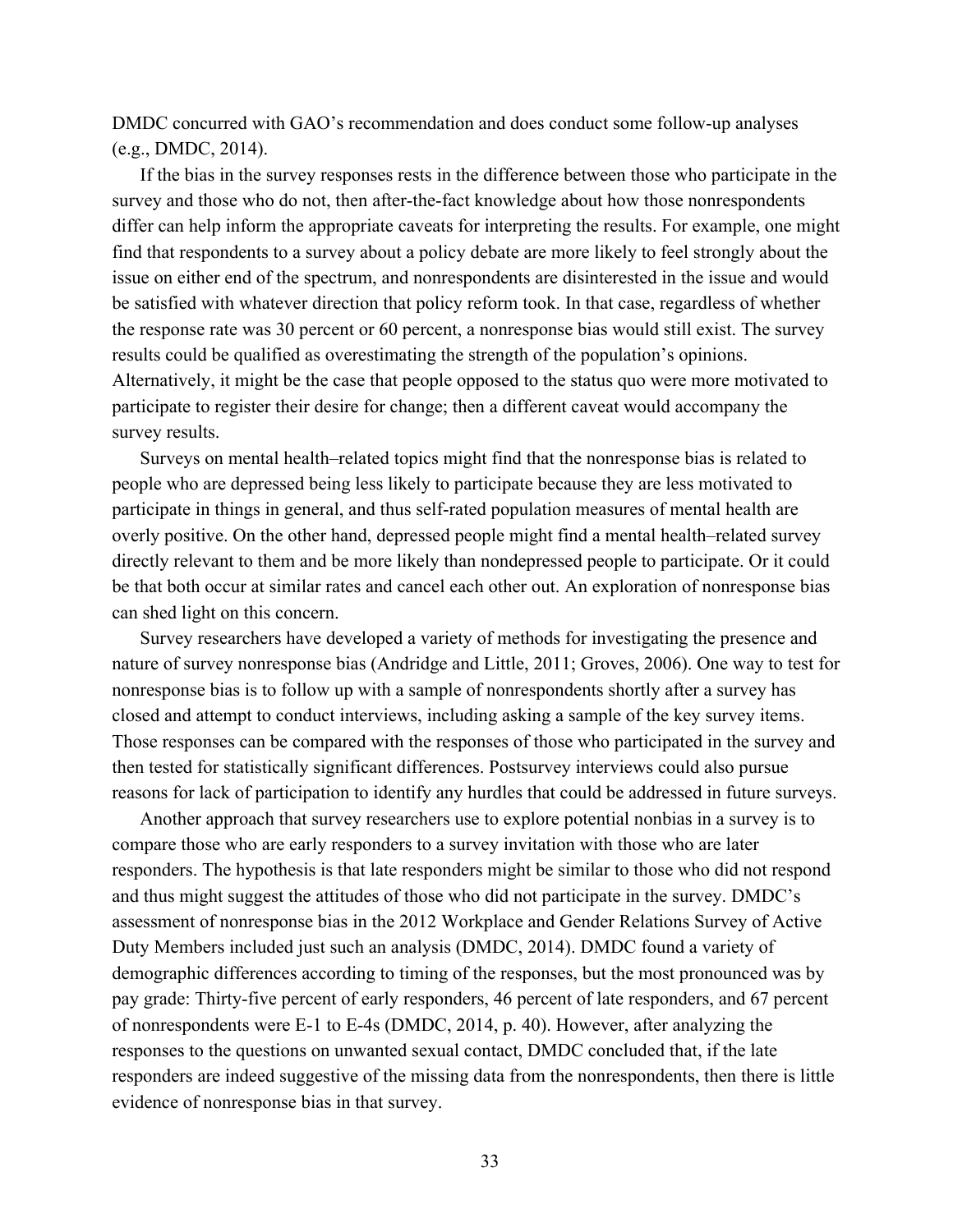DMDC concurred with GAO's recommendation and does conduct some follow-up analyses (e.g., DMDC, 2014).

If the bias in the survey responses rests in the difference between those who participate in the survey and those who do not, then after-the-fact knowledge about how those nonrespondents differ can help inform the appropriate caveats for interpreting the results. For example, one might find that respondents to a survey about a policy debate are more likely to feel strongly about the issue on either end of the spectrum, and nonrespondents are disinterested in the issue and would be satisfied with whatever direction that policy reform took. In that case, regardless of whether the response rate was 30 percent or 60 percent, a nonresponse bias would still exist. The survey results could be qualified as overestimating the strength of the population's opinions. Alternatively, it might be the case that people opposed to the status quo were more motivated to participate to register their desire for change; then a different caveat would accompany the survey results.

Surveys on mental health–related topics might find that the nonresponse bias is related to people who are depressed being less likely to participate because they are less motivated to participate in things in general, and thus self-rated population measures of mental health are overly positive. On the other hand, depressed people might find a mental health–related survey directly relevant to them and be more likely than nondepressed people to participate. Or it could be that both occur at similar rates and cancel each other out. An exploration of nonresponse bias can shed light on this concern.

Survey researchers have developed a variety of methods for investigating the presence and nature of survey nonresponse bias (Andridge and Little, 2011; Groves, 2006). One way to test for nonresponse bias is to follow up with a sample of nonrespondents shortly after a survey has closed and attempt to conduct interviews, including asking a sample of the key survey items. Those responses can be compared with the responses of those who participated in the survey and then tested for statistically significant differences. Postsurvey interviews could also pursue reasons for lack of participation to identify any hurdles that could be addressed in future surveys.

Another approach that survey researchers use to explore potential nonbias in a survey is to compare those who are early responders to a survey invitation with those who are later responders. The hypothesis is that late responders might be similar to those who did not respond and thus might suggest the attitudes of those who did not participate in the survey. DMDC's assessment of nonresponse bias in the 2012 Workplace and Gender Relations Survey of Active Duty Members included just such an analysis (DMDC, 2014). DMDC found a variety of demographic differences according to timing of the responses, but the most pronounced was by pay grade: Thirty-five percent of early responders, 46 percent of late responders, and 67 percent of nonrespondents were E-1 to E-4s (DMDC, 2014, p. 40). However, after analyzing the responses to the questions on unwanted sexual contact, DMDC concluded that, if the late responders are indeed suggestive of the missing data from the nonrespondents, then there is little evidence of nonresponse bias in that survey.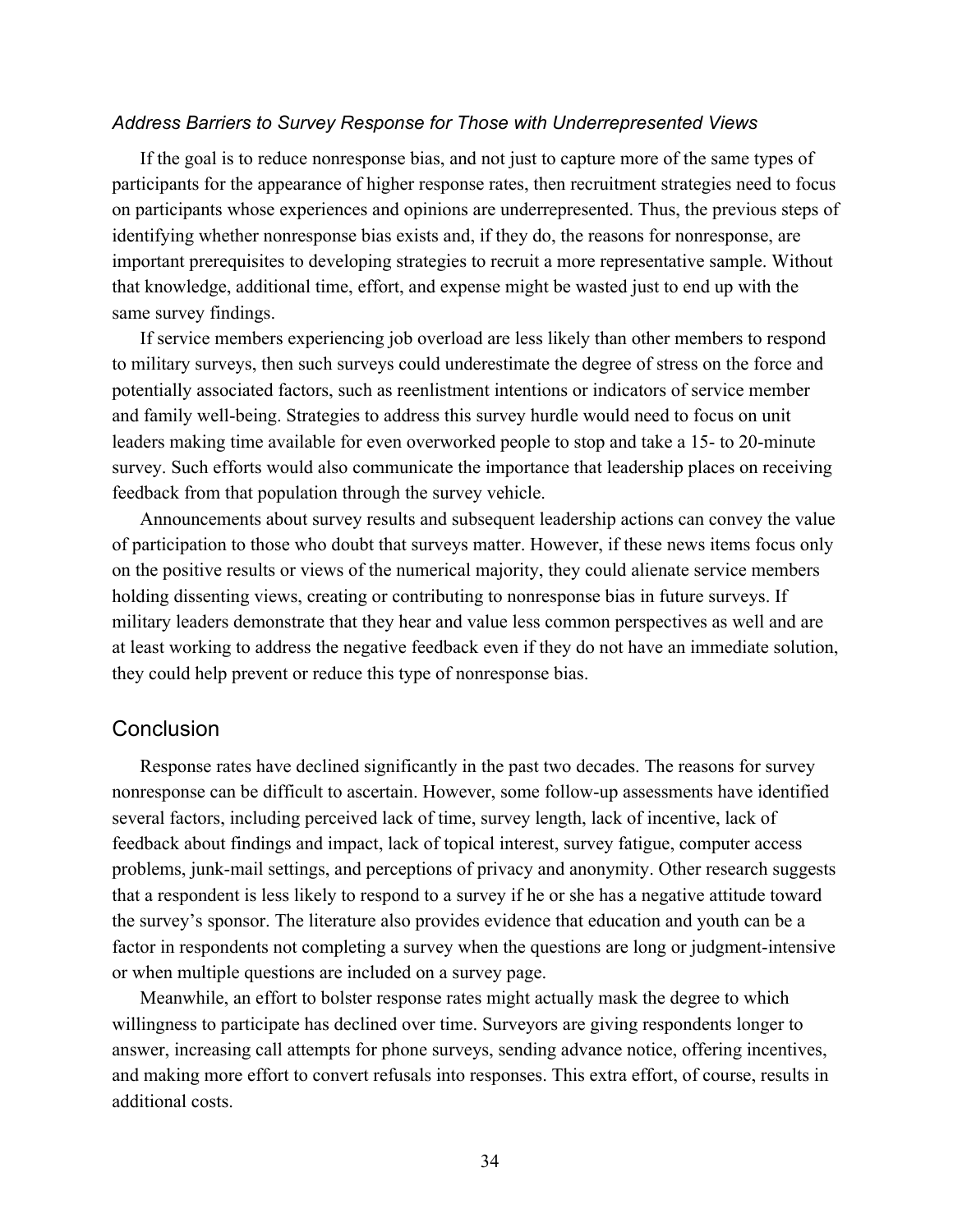#### *Address Barriers to Survey Response for Those with Underrepresented Views*

If the goal is to reduce nonresponse bias, and not just to capture more of the same types of participants for the appearance of higher response rates, then recruitment strategies need to focus on participants whose experiences and opinions are underrepresented. Thus, the previous steps of identifying whether nonresponse bias exists and, if they do, the reasons for nonresponse, are important prerequisites to developing strategies to recruit a more representative sample. Without that knowledge, additional time, effort, and expense might be wasted just to end up with the same survey findings.

If service members experiencing job overload are less likely than other members to respond to military surveys, then such surveys could underestimate the degree of stress on the force and potentially associated factors, such as reenlistment intentions or indicators of service member and family well-being. Strategies to address this survey hurdle would need to focus on unit leaders making time available for even overworked people to stop and take a 15- to 20-minute survey. Such efforts would also communicate the importance that leadership places on receiving feedback from that population through the survey vehicle.

Announcements about survey results and subsequent leadership actions can convey the value of participation to those who doubt that surveys matter. However, if these news items focus only on the positive results or views of the numerical majority, they could alienate service members holding dissenting views, creating or contributing to nonresponse bias in future surveys. If military leaders demonstrate that they hear and value less common perspectives as well and are at least working to address the negative feedback even if they do not have an immediate solution, they could help prevent or reduce this type of nonresponse bias.

## Conclusion

Response rates have declined significantly in the past two decades. The reasons for survey nonresponse can be difficult to ascertain. However, some follow-up assessments have identified several factors, including perceived lack of time, survey length, lack of incentive, lack of feedback about findings and impact, lack of topical interest, survey fatigue, computer access problems, junk-mail settings, and perceptions of privacy and anonymity. Other research suggests that a respondent is less likely to respond to a survey if he or she has a negative attitude toward the survey's sponsor. The literature also provides evidence that education and youth can be a factor in respondents not completing a survey when the questions are long or judgment-intensive or when multiple questions are included on a survey page.

Meanwhile, an effort to bolster response rates might actually mask the degree to which willingness to participate has declined over time. Surveyors are giving respondents longer to answer, increasing call attempts for phone surveys, sending advance notice, offering incentives, and making more effort to convert refusals into responses. This extra effort, of course, results in additional costs.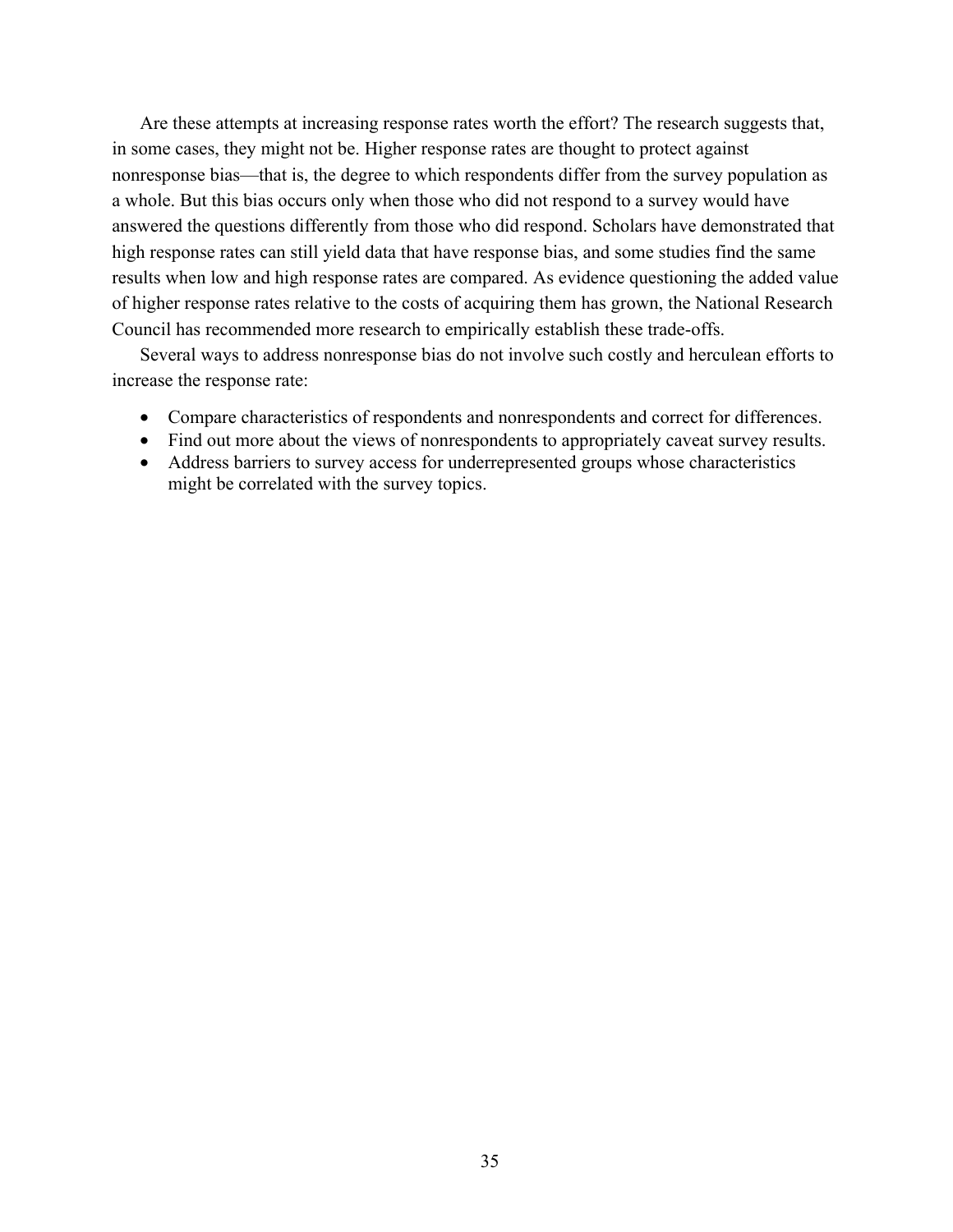Are these attempts at increasing response rates worth the effort? The research suggests that, in some cases, they might not be. Higher response rates are thought to protect against nonresponse bias—that is, the degree to which respondents differ from the survey population as a whole. But this bias occurs only when those who did not respond to a survey would have answered the questions differently from those who did respond. Scholars have demonstrated that high response rates can still yield data that have response bias, and some studies find the same results when low and high response rates are compared. As evidence questioning the added value of higher response rates relative to the costs of acquiring them has grown, the National Research Council has recommended more research to empirically establish these trade-offs.

Several ways to address nonresponse bias do not involve such costly and herculean efforts to increase the response rate:

- Compare characteristics of respondents and nonrespondents and correct for differences.
- Find out more about the views of nonrespondents to appropriately caveat survey results.
- Address barriers to survey access for underrepresented groups whose characteristics might be correlated with the survey topics.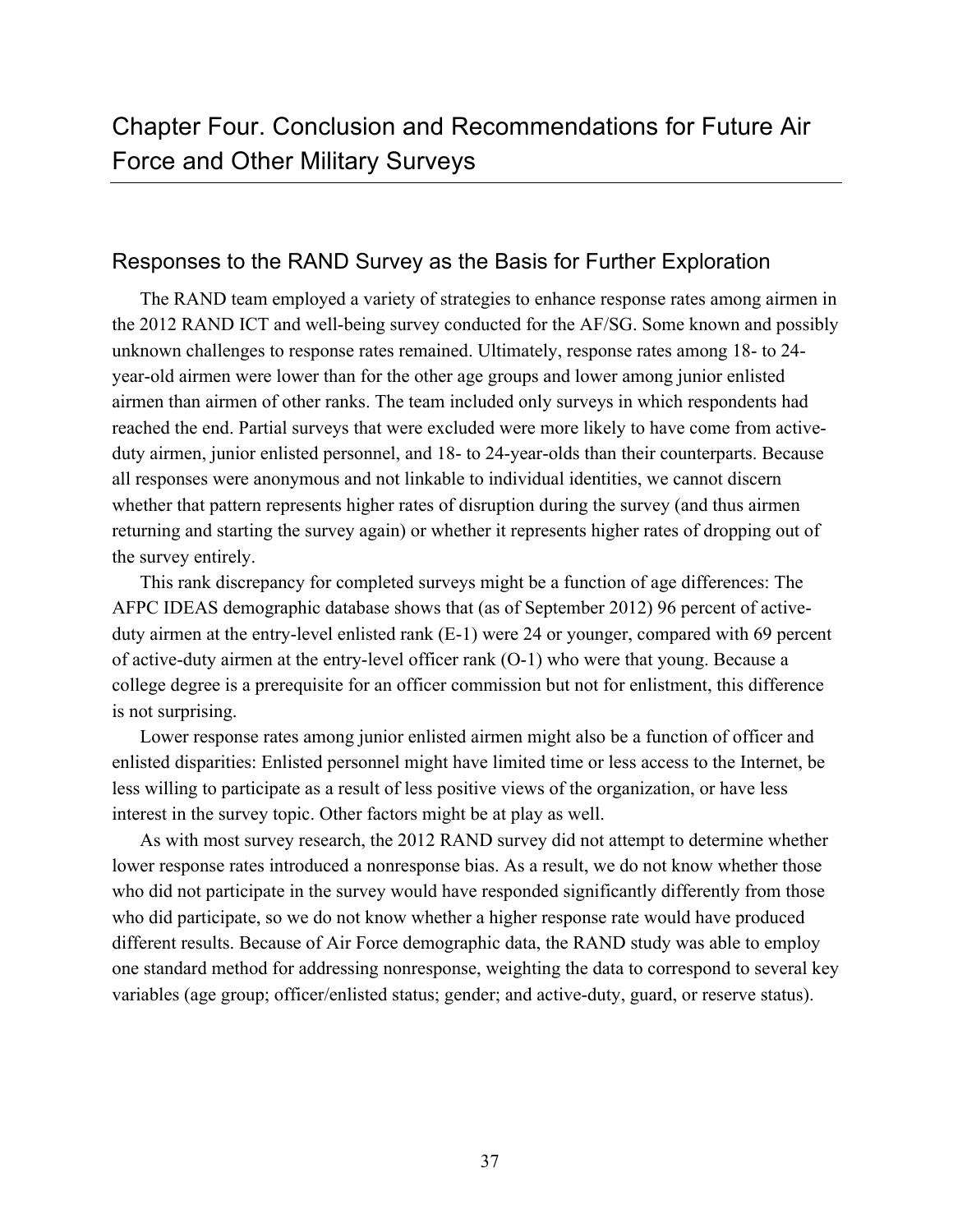# Responses to the RAND Survey as the Basis for Further Exploration

The RAND team employed a variety of strategies to enhance response rates among airmen in the 2012 RAND ICT and well-being survey conducted for the AF/SG. Some known and possibly unknown challenges to response rates remained. Ultimately, response rates among 18- to 24 year-old airmen were lower than for the other age groups and lower among junior enlisted airmen than airmen of other ranks. The team included only surveys in which respondents had reached the end. Partial surveys that were excluded were more likely to have come from activeduty airmen, junior enlisted personnel, and 18- to 24-year-olds than their counterparts. Because all responses were anonymous and not linkable to individual identities, we cannot discern whether that pattern represents higher rates of disruption during the survey (and thus airmen returning and starting the survey again) or whether it represents higher rates of dropping out of the survey entirely.

This rank discrepancy for completed surveys might be a function of age differences: The AFPC IDEAS demographic database shows that (as of September 2012) 96 percent of activeduty airmen at the entry-level enlisted rank (E-1) were 24 or younger, compared with 69 percent of active-duty airmen at the entry-level officer rank (O-1) who were that young. Because a college degree is a prerequisite for an officer commission but not for enlistment, this difference is not surprising.

Lower response rates among junior enlisted airmen might also be a function of officer and enlisted disparities: Enlisted personnel might have limited time or less access to the Internet, be less willing to participate as a result of less positive views of the organization, or have less interest in the survey topic. Other factors might be at play as well.

As with most survey research, the 2012 RAND survey did not attempt to determine whether lower response rates introduced a nonresponse bias. As a result, we do not know whether those who did not participate in the survey would have responded significantly differently from those who did participate, so we do not know whether a higher response rate would have produced different results. Because of Air Force demographic data, the RAND study was able to employ one standard method for addressing nonresponse, weighting the data to correspond to several key variables (age group; officer/enlisted status; gender; and active-duty, guard, or reserve status).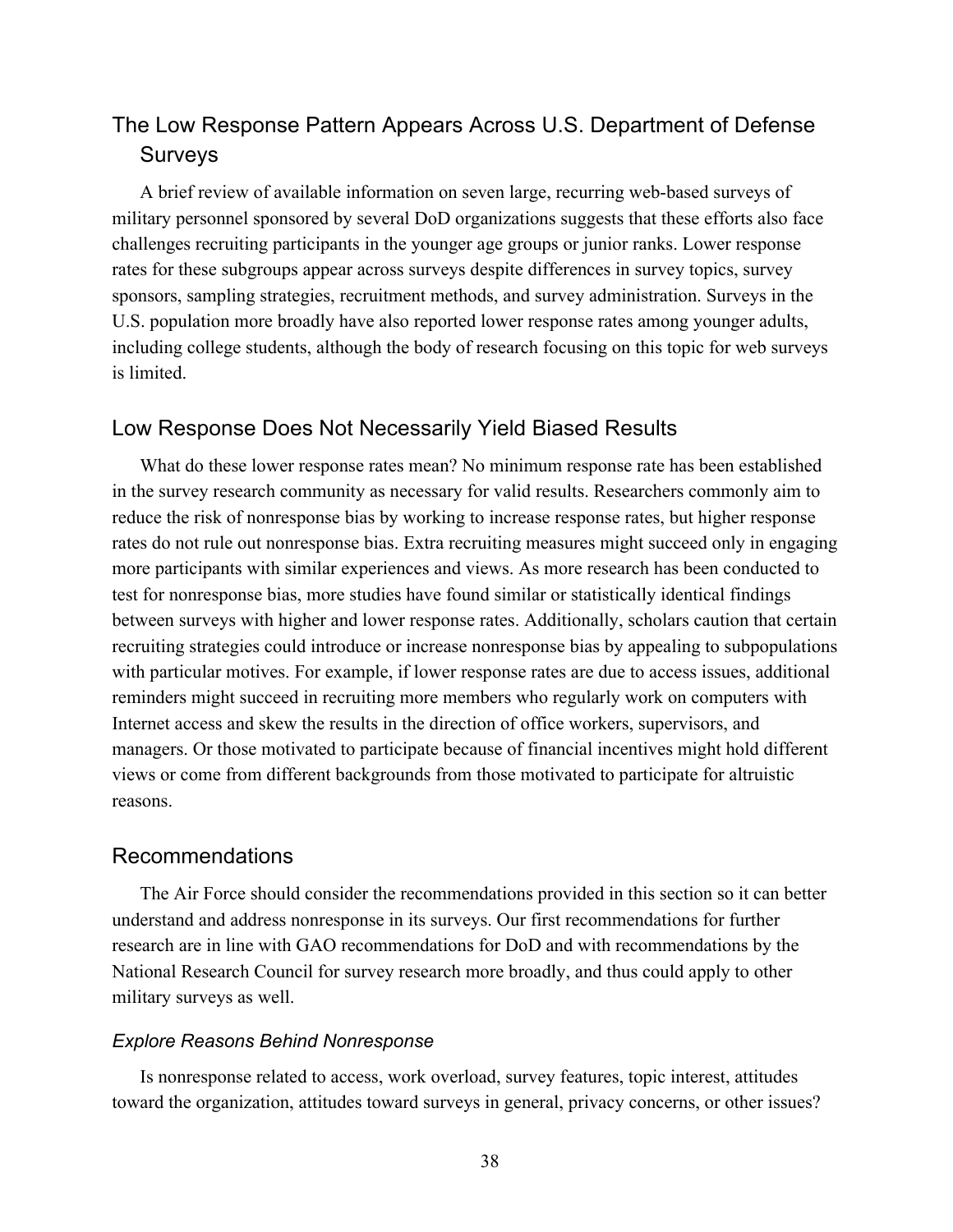# The Low Response Pattern Appears Across U.S. Department of Defense Surveys

A brief review of available information on seven large, recurring web-based surveys of military personnel sponsored by several DoD organizations suggests that these efforts also face challenges recruiting participants in the younger age groups or junior ranks. Lower response rates for these subgroups appear across surveys despite differences in survey topics, survey sponsors, sampling strategies, recruitment methods, and survey administration. Surveys in the U.S. population more broadly have also reported lower response rates among younger adults, including college students, although the body of research focusing on this topic for web surveys is limited.

# Low Response Does Not Necessarily Yield Biased Results

What do these lower response rates mean? No minimum response rate has been established in the survey research community as necessary for valid results. Researchers commonly aim to reduce the risk of nonresponse bias by working to increase response rates, but higher response rates do not rule out nonresponse bias. Extra recruiting measures might succeed only in engaging more participants with similar experiences and views. As more research has been conducted to test for nonresponse bias, more studies have found similar or statistically identical findings between surveys with higher and lower response rates. Additionally, scholars caution that certain recruiting strategies could introduce or increase nonresponse bias by appealing to subpopulations with particular motives. For example, if lower response rates are due to access issues, additional reminders might succeed in recruiting more members who regularly work on computers with Internet access and skew the results in the direction of office workers, supervisors, and managers. Or those motivated to participate because of financial incentives might hold different views or come from different backgrounds from those motivated to participate for altruistic reasons.

## Recommendations

The Air Force should consider the recommendations provided in this section so it can better understand and address nonresponse in its surveys. Our first recommendations for further research are in line with GAO recommendations for DoD and with recommendations by the National Research Council for survey research more broadly, and thus could apply to other military surveys as well.

#### *Explore Reasons Behind Nonresponse*

Is nonresponse related to access, work overload, survey features, topic interest, attitudes toward the organization, attitudes toward surveys in general, privacy concerns, or other issues?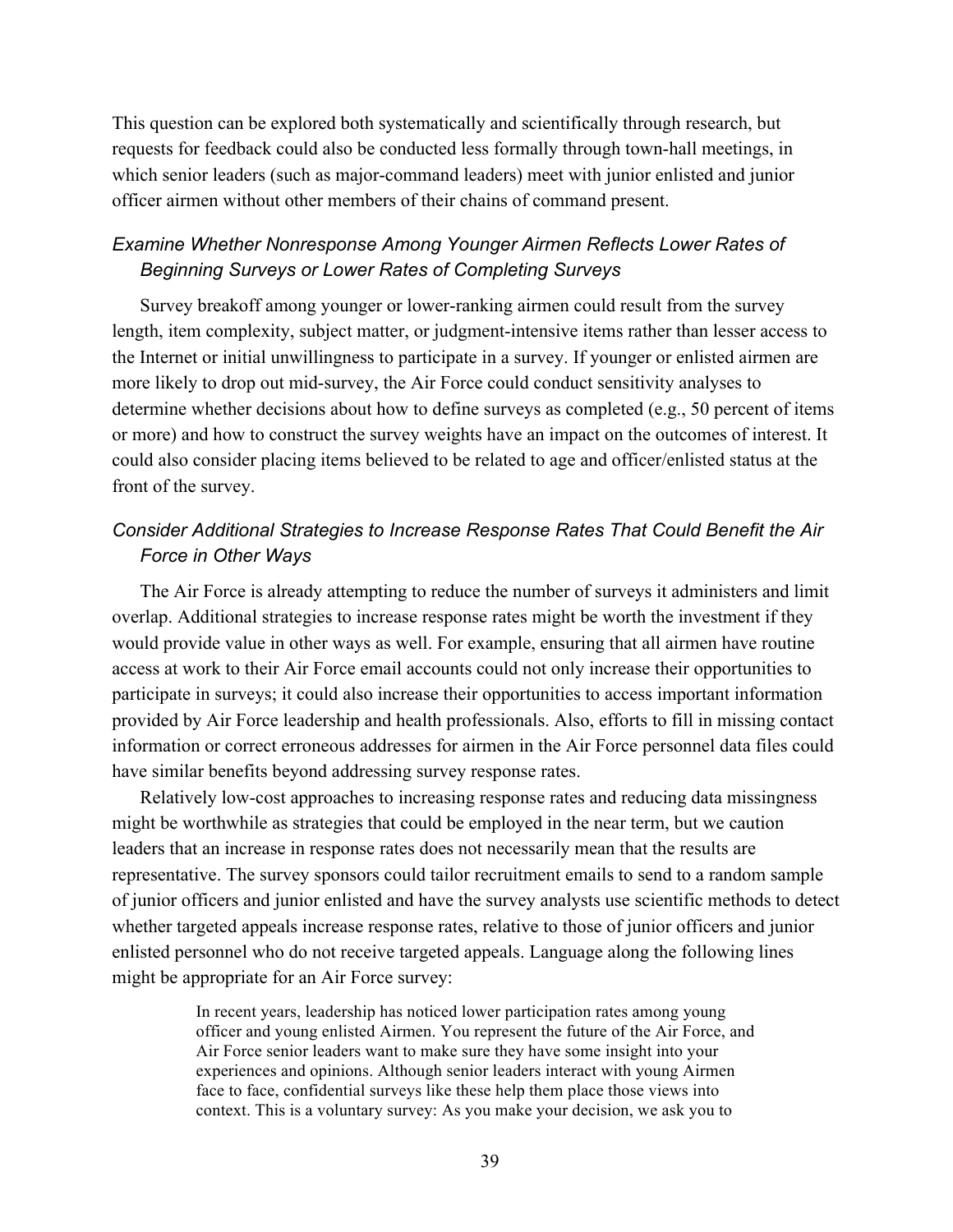This question can be explored both systematically and scientifically through research, but requests for feedback could also be conducted less formally through town-hall meetings, in which senior leaders (such as major-command leaders) meet with junior enlisted and junior officer airmen without other members of their chains of command present.

# *Examine Whether Nonresponse Among Younger Airmen Reflects Lower Rates of Beginning Surveys or Lower Rates of Completing Surveys*

Survey breakoff among younger or lower-ranking airmen could result from the survey length, item complexity, subject matter, or judgment-intensive items rather than lesser access to the Internet or initial unwillingness to participate in a survey. If younger or enlisted airmen are more likely to drop out mid-survey, the Air Force could conduct sensitivity analyses to determine whether decisions about how to define surveys as completed (e.g., 50 percent of items or more) and how to construct the survey weights have an impact on the outcomes of interest. It could also consider placing items believed to be related to age and officer/enlisted status at the front of the survey.

# *Consider Additional Strategies to Increase Response Rates That Could Benefit the Air Force in Other Ways*

The Air Force is already attempting to reduce the number of surveys it administers and limit overlap. Additional strategies to increase response rates might be worth the investment if they would provide value in other ways as well. For example, ensuring that all airmen have routine access at work to their Air Force email accounts could not only increase their opportunities to participate in surveys; it could also increase their opportunities to access important information provided by Air Force leadership and health professionals. Also, efforts to fill in missing contact information or correct erroneous addresses for airmen in the Air Force personnel data files could have similar benefits beyond addressing survey response rates.

Relatively low-cost approaches to increasing response rates and reducing data missingness might be worthwhile as strategies that could be employed in the near term, but we caution leaders that an increase in response rates does not necessarily mean that the results are representative. The survey sponsors could tailor recruitment emails to send to a random sample of junior officers and junior enlisted and have the survey analysts use scientific methods to detect whether targeted appeals increase response rates, relative to those of junior officers and junior enlisted personnel who do not receive targeted appeals. Language along the following lines might be appropriate for an Air Force survey:

> In recent years, leadership has noticed lower participation rates among young officer and young enlisted Airmen. You represent the future of the Air Force, and Air Force senior leaders want to make sure they have some insight into your experiences and opinions. Although senior leaders interact with young Airmen face to face, confidential surveys like these help them place those views into context. This is a voluntary survey: As you make your decision, we ask you to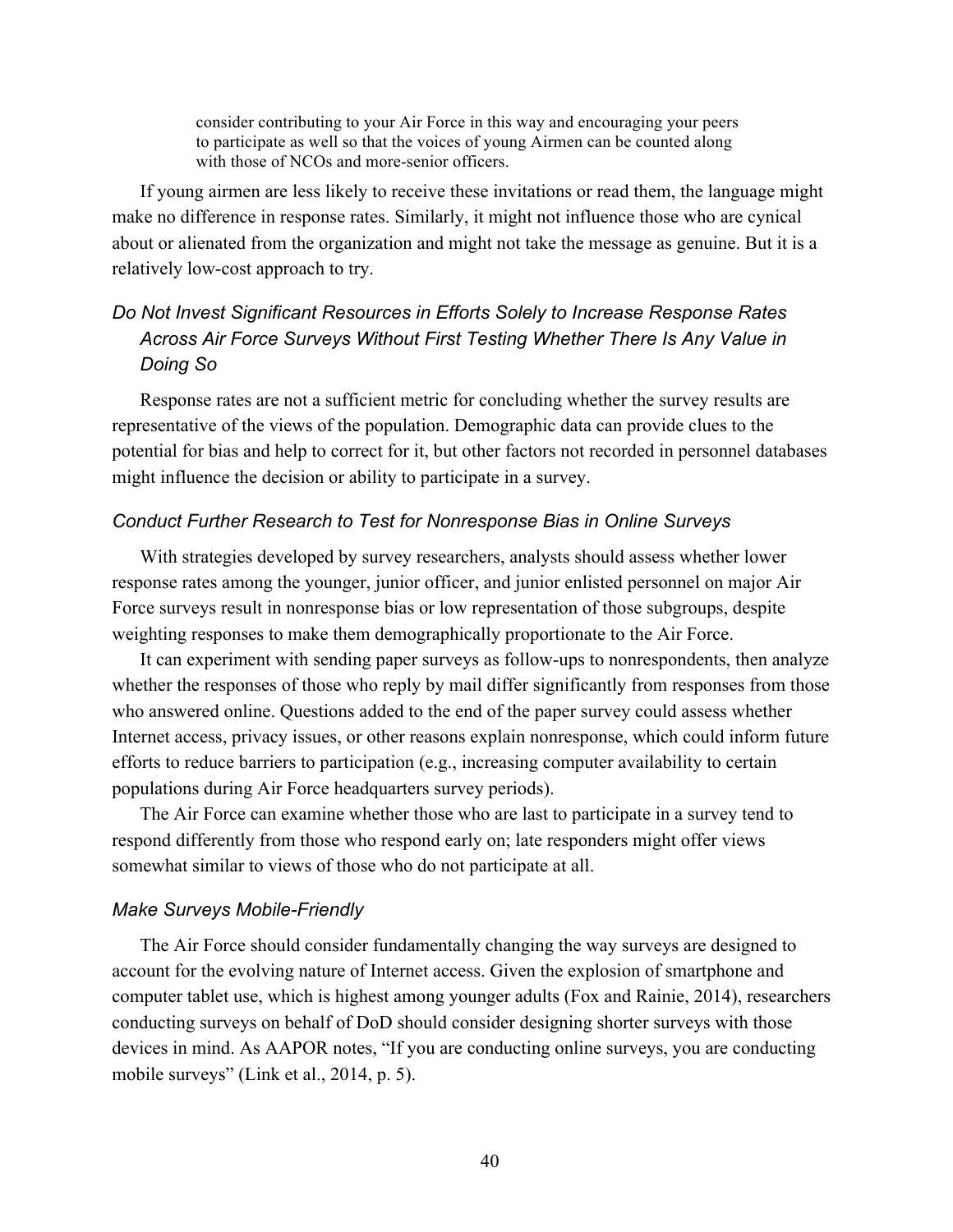consider contributing to your Air Force in this way and encouraging your peers to participate as well so that the voices of young Airmen can be counted along with those of NCOs and more-senior officers.

If young airmen are less likely to receive these invitations or read them, the language might make no difference in response rates. Similarly, it might not influence those who are cynical about or alienated from the organization and might not take the message as genuine. But it is a relatively low-cost approach to try.

# *Do Not Invest Significant Resources in Efforts Solely to Increase Response Rates Across Air Force Surveys Without First Testing Whether There Is Any Value in Doing So*

Response rates are not a sufficient metric for concluding whether the survey results are representative of the views of the population. Demographic data can provide clues to the potential for bias and help to correct for it, but other factors not recorded in personnel databases might influence the decision or ability to participate in a survey.

#### *Conduct Further Research to Test for Nonresponse Bias in Online Surveys*

With strategies developed by survey researchers, analysts should assess whether lower response rates among the younger, junior officer, and junior enlisted personnel on major Air Force surveys result in nonresponse bias or low representation of those subgroups, despite weighting responses to make them demographically proportionate to the Air Force.

It can experiment with sending paper surveys as follow-ups to nonrespondents, then analyze whether the responses of those who reply by mail differ significantly from responses from those who answered online. Questions added to the end of the paper survey could assess whether Internet access, privacy issues, or other reasons explain nonresponse, which could inform future efforts to reduce barriers to participation (e.g., increasing computer availability to certain populations during Air Force headquarters survey periods).

The Air Force can examine whether those who are last to participate in a survey tend to respond differently from those who respond early on; late responders might offer views somewhat similar to views of those who do not participate at all.

#### *Make Surveys Mobile-Friendly*

The Air Force should consider fundamentally changing the way surveys are designed to account for the evolving nature of Internet access. Given the explosion of smartphone and computer tablet use, which is highest among younger adults (Fox and Rainie, 2014), researchers conducting surveys on behalf of DoD should consider designing shorter surveys with those devices in mind. As AAPOR notes, "If you are conducting online surveys, you are conducting mobile surveys" (Link et al., 2014, p. 5).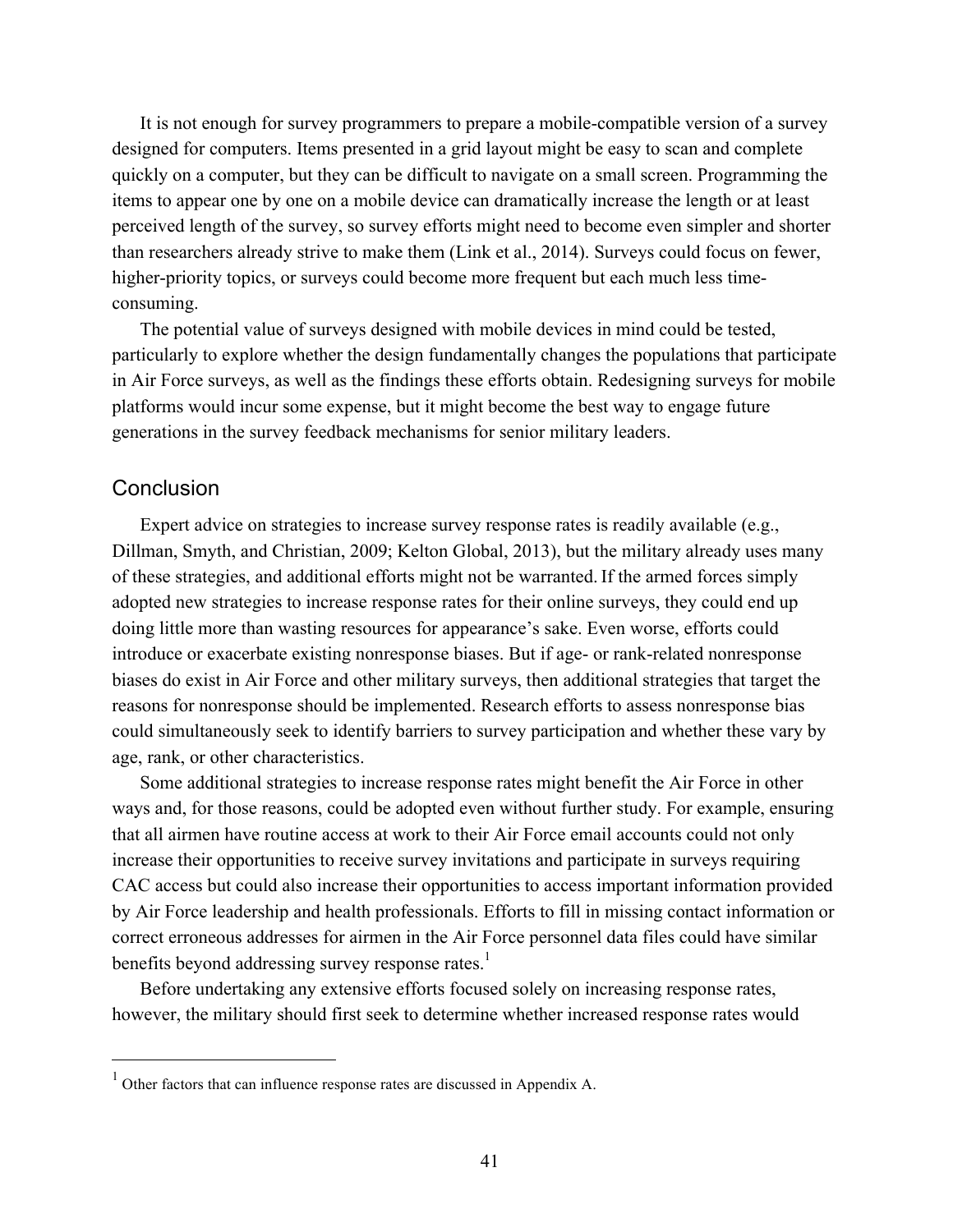It is not enough for survey programmers to prepare a mobile-compatible version of a survey designed for computers. Items presented in a grid layout might be easy to scan and complete quickly on a computer, but they can be difficult to navigate on a small screen. Programming the items to appear one by one on a mobile device can dramatically increase the length or at least perceived length of the survey, so survey efforts might need to become even simpler and shorter than researchers already strive to make them (Link et al., 2014). Surveys could focus on fewer, higher-priority topics, or surveys could become more frequent but each much less timeconsuming.

The potential value of surveys designed with mobile devices in mind could be tested, particularly to explore whether the design fundamentally changes the populations that participate in Air Force surveys, as well as the findings these efforts obtain. Redesigning surveys for mobile platforms would incur some expense, but it might become the best way to engage future generations in the survey feedback mechanisms for senior military leaders.

### **Conclusion**

<u>.</u>

Expert advice on strategies to increase survey response rates is readily available (e.g., Dillman, Smyth, and Christian, 2009; Kelton Global, 2013), but the military already uses many of these strategies, and additional efforts might not be warranted.If the armed forces simply adopted new strategies to increase response rates for their online surveys, they could end up doing little more than wasting resources for appearance's sake. Even worse, efforts could introduce or exacerbate existing nonresponse biases. But if age- or rank-related nonresponse biases do exist in Air Force and other military surveys, then additional strategies that target the reasons for nonresponse should be implemented. Research efforts to assess nonresponse bias could simultaneously seek to identify barriers to survey participation and whether these vary by age, rank, or other characteristics.

Some additional strategies to increase response rates might benefit the Air Force in other ways and, for those reasons, could be adopted even without further study. For example, ensuring that all airmen have routine access at work to their Air Force email accounts could not only increase their opportunities to receive survey invitations and participate in surveys requiring CAC access but could also increase their opportunities to access important information provided by Air Force leadership and health professionals. Efforts to fill in missing contact information or correct erroneous addresses for airmen in the Air Force personnel data files could have similar benefits beyond addressing survey response rates.<sup>1</sup>

Before undertaking any extensive efforts focused solely on increasing response rates, however, the military should first seek to determine whether increased response rates would

<sup>1</sup> Other factors that can influence response rates are discussed in Appendix A.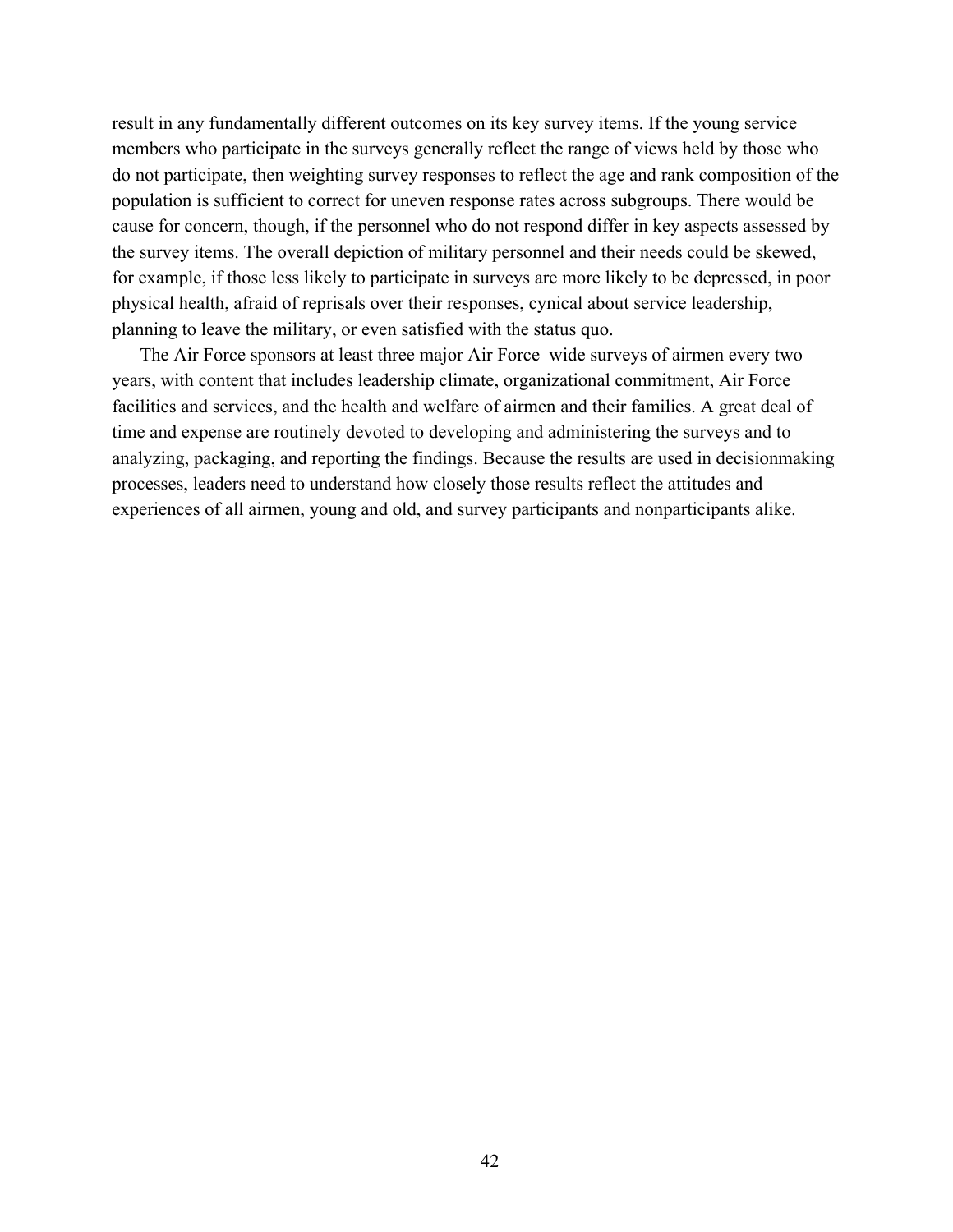result in any fundamentally different outcomes on its key survey items. If the young service members who participate in the surveys generally reflect the range of views held by those who do not participate, then weighting survey responses to reflect the age and rank composition of the population is sufficient to correct for uneven response rates across subgroups. There would be cause for concern, though, if the personnel who do not respond differ in key aspects assessed by the survey items. The overall depiction of military personnel and their needs could be skewed, for example, if those less likely to participate in surveys are more likely to be depressed, in poor physical health, afraid of reprisals over their responses, cynical about service leadership, planning to leave the military, or even satisfied with the status quo.

The Air Force sponsors at least three major Air Force–wide surveys of airmen every two years, with content that includes leadership climate, organizational commitment, Air Force facilities and services, and the health and welfare of airmen and their families. A great deal of time and expense are routinely devoted to developing and administering the surveys and to analyzing, packaging, and reporting the findings. Because the results are used in decisionmaking processes, leaders need to understand how closely those results reflect the attitudes and experiences of all airmen, young and old, and survey participants and nonparticipants alike.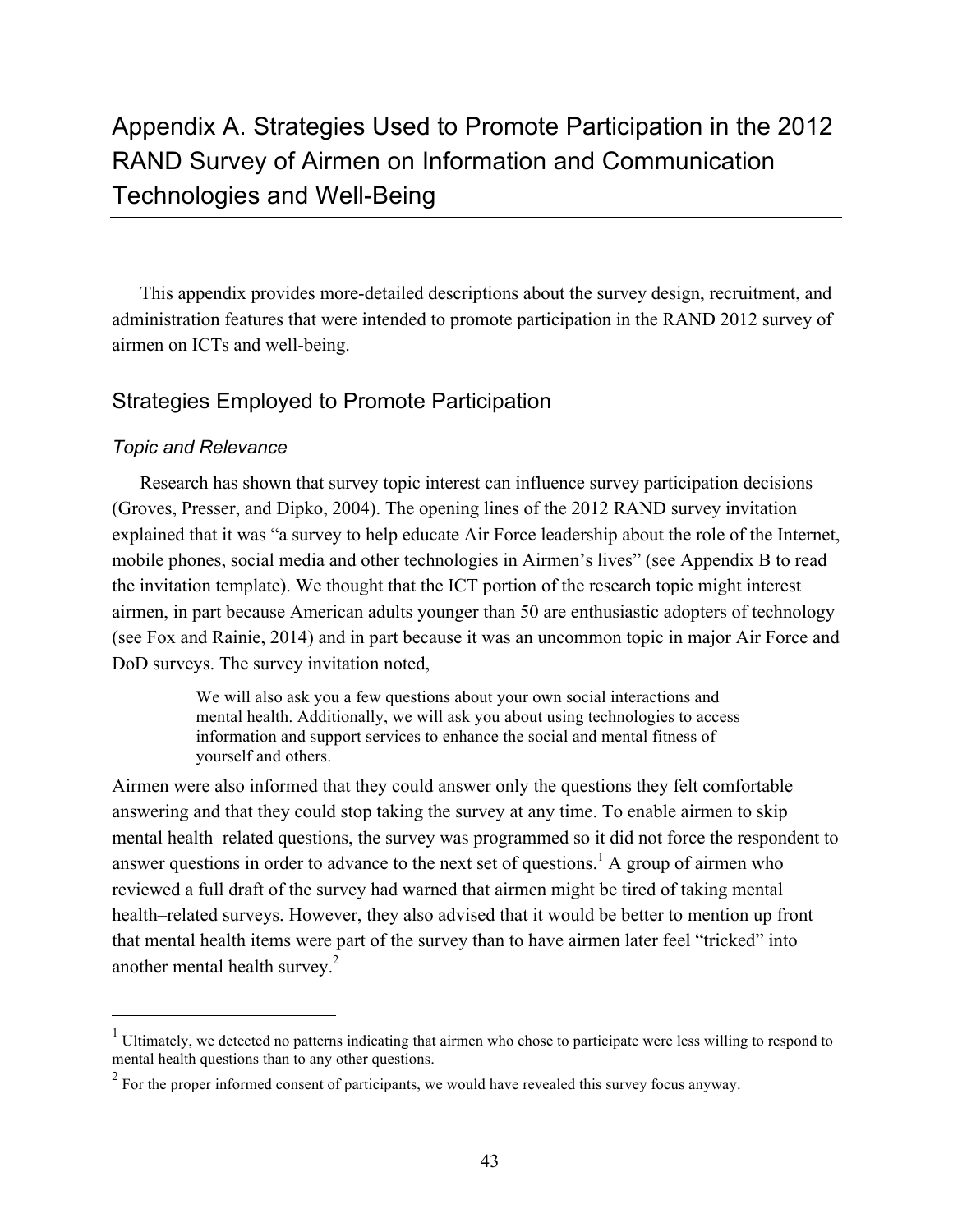# Appendix A. Strategies Used to Promote Participation in the 2012 RAND Survey of Airmen on Information and Communication Technologies and Well-Being

This appendix provides more-detailed descriptions about the survey design, recruitment, and administration features that were intended to promote participation in the RAND 2012 survey of airmen on ICTs and well-being.

# Strategies Employed to Promote Participation

## *Topic and Relevance*

 $\overline{a}$ 

Research has shown that survey topic interest can influence survey participation decisions (Groves, Presser, and Dipko, 2004). The opening lines of the 2012 RAND survey invitation explained that it was "a survey to help educate Air Force leadership about the role of the Internet, mobile phones, social media and other technologies in Airmen's lives" (see Appendix B to read the invitation template). We thought that the ICT portion of the research topic might interest airmen, in part because American adults younger than 50 are enthusiastic adopters of technology (see Fox and Rainie, 2014) and in part because it was an uncommon topic in major Air Force and DoD surveys. The survey invitation noted,

> We will also ask you a few questions about your own social interactions and mental health. Additionally, we will ask you about using technologies to access information and support services to enhance the social and mental fitness of yourself and others.

Airmen were also informed that they could answer only the questions they felt comfortable answering and that they could stop taking the survey at any time. To enable airmen to skip mental health–related questions, the survey was programmed so it did not force the respondent to answer questions in order to advance to the next set of questions.<sup>1</sup> A group of airmen who reviewed a full draft of the survey had warned that airmen might be tired of taking mental health–related surveys. However, they also advised that it would be better to mention up front that mental health items were part of the survey than to have airmen later feel "tricked" into another mental health survey.2

 $1$  Ultimately, we detected no patterns indicating that airmen who chose to participate were less willing to respond to mental health questions than to any other questions.

 $2 \text{ For the proper informed consent of participants, we would have revealed this survey focus anyway.}$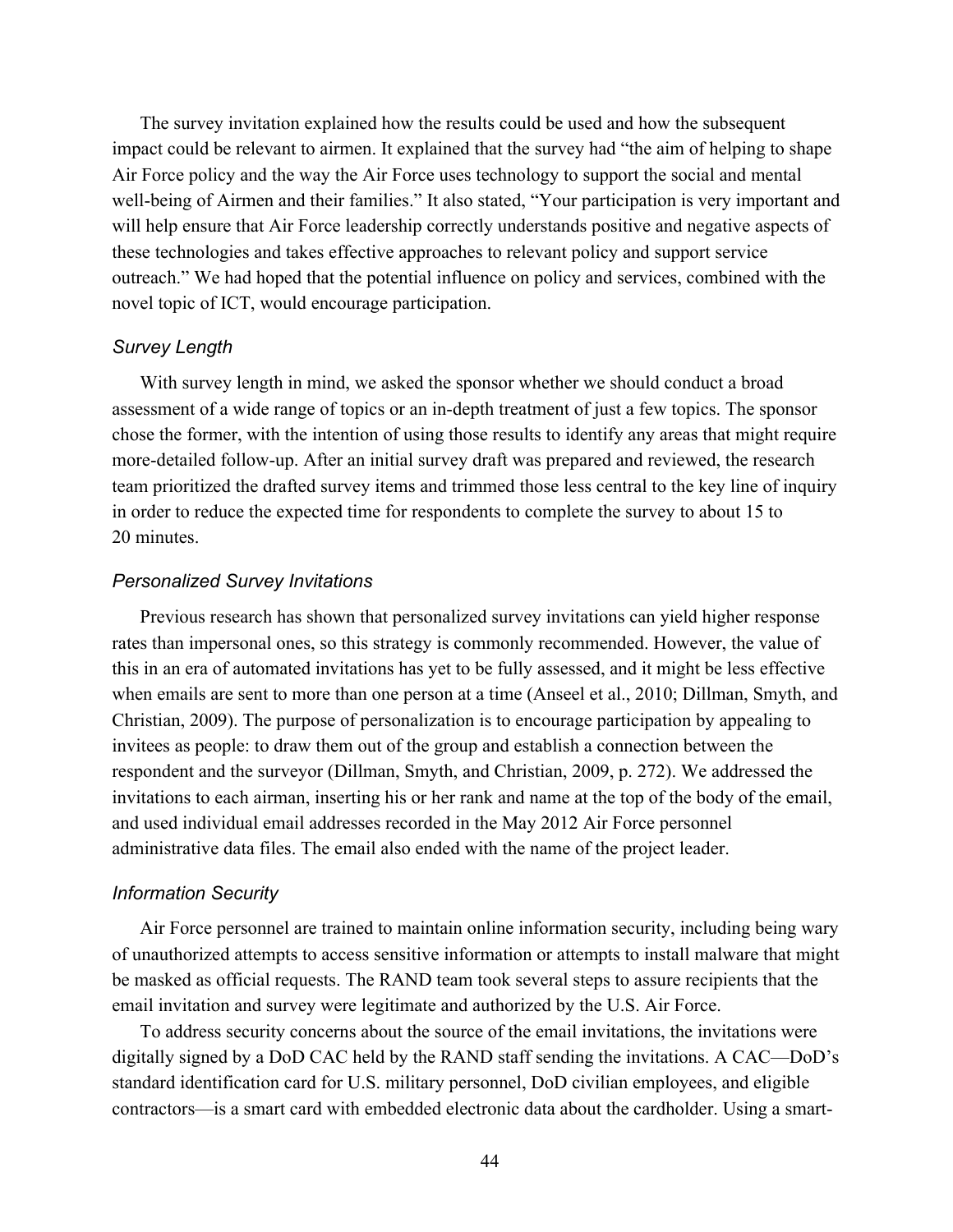The survey invitation explained how the results could be used and how the subsequent impact could be relevant to airmen. It explained that the survey had "the aim of helping to shape Air Force policy and the way the Air Force uses technology to support the social and mental well-being of Airmen and their families." It also stated, "Your participation is very important and will help ensure that Air Force leadership correctly understands positive and negative aspects of these technologies and takes effective approaches to relevant policy and support service outreach." We had hoped that the potential influence on policy and services, combined with the novel topic of ICT, would encourage participation.

#### *Survey Length*

With survey length in mind, we asked the sponsor whether we should conduct a broad assessment of a wide range of topics or an in-depth treatment of just a few topics. The sponsor chose the former, with the intention of using those results to identify any areas that might require more-detailed follow-up. After an initial survey draft was prepared and reviewed, the research team prioritized the drafted survey items and trimmed those less central to the key line of inquiry in order to reduce the expected time for respondents to complete the survey to about 15 to 20 minutes.

#### *Personalized Survey Invitations*

Previous research has shown that personalized survey invitations can yield higher response rates than impersonal ones, so this strategy is commonly recommended. However, the value of this in an era of automated invitations has yet to be fully assessed, and it might be less effective when emails are sent to more than one person at a time (Anseel et al., 2010; Dillman, Smyth, and Christian, 2009). The purpose of personalization is to encourage participation by appealing to invitees as people: to draw them out of the group and establish a connection between the respondent and the surveyor (Dillman, Smyth, and Christian, 2009, p. 272). We addressed the invitations to each airman, inserting his or her rank and name at the top of the body of the email, and used individual email addresses recorded in the May 2012 Air Force personnel administrative data files. The email also ended with the name of the project leader.

#### *Information Security*

Air Force personnel are trained to maintain online information security, including being wary of unauthorized attempts to access sensitive information or attempts to install malware that might be masked as official requests. The RAND team took several steps to assure recipients that the email invitation and survey were legitimate and authorized by the U.S. Air Force.

To address security concerns about the source of the email invitations, the invitations were digitally signed by a DoD CAC held by the RAND staff sending the invitations. A CAC—DoD's standard identification card for U.S. military personnel, DoD civilian employees, and eligible contractors—is a smart card with embedded electronic data about the cardholder. Using a smart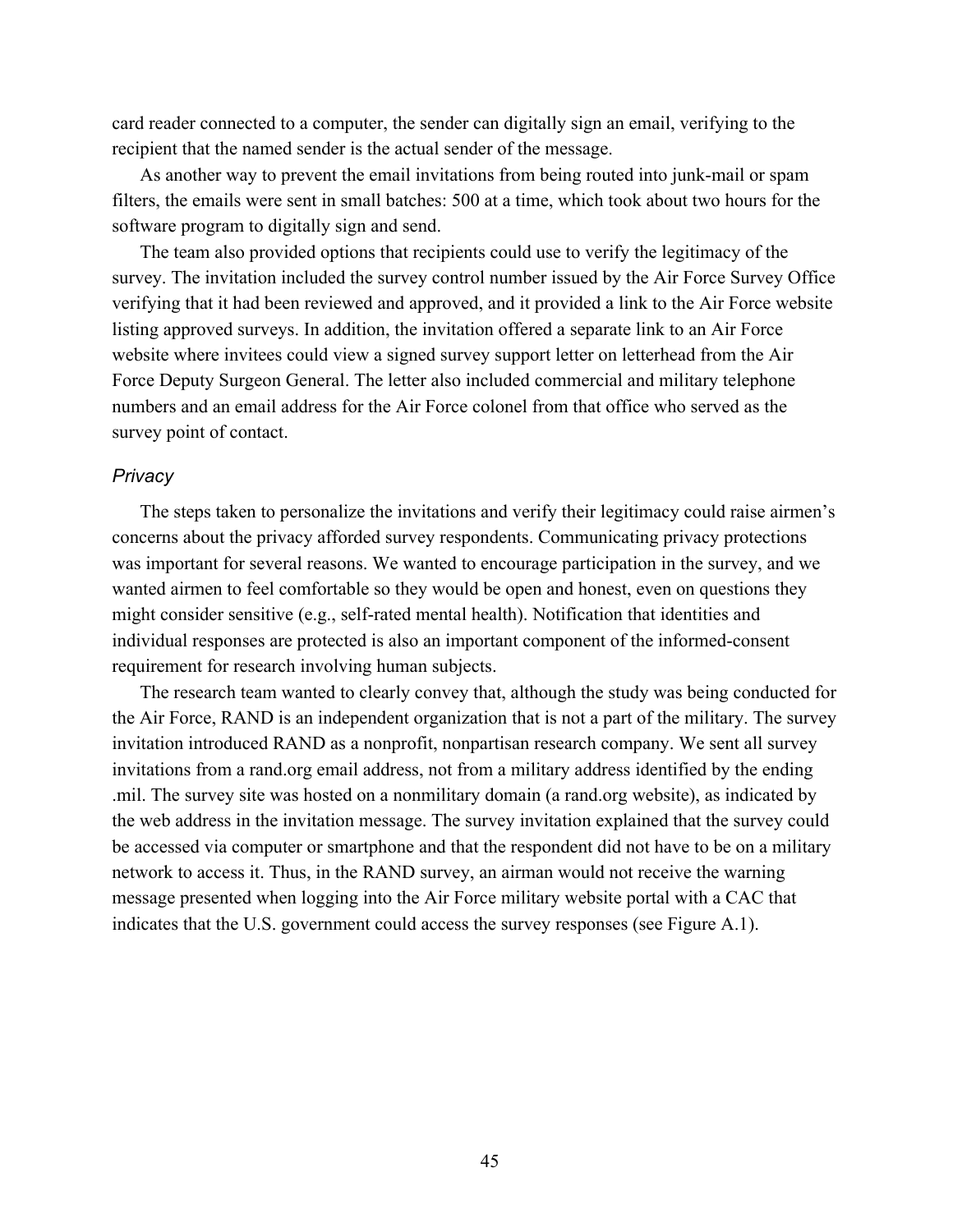card reader connected to a computer, the sender can digitally sign an email, verifying to the recipient that the named sender is the actual sender of the message.

As another way to prevent the email invitations from being routed into junk-mail or spam filters, the emails were sent in small batches: 500 at a time, which took about two hours for the software program to digitally sign and send.

The team also provided options that recipients could use to verify the legitimacy of the survey. The invitation included the survey control number issued by the Air Force Survey Office verifying that it had been reviewed and approved, and it provided a link to the Air Force website listing approved surveys. In addition, the invitation offered a separate link to an Air Force website where invitees could view a signed survey support letter on letterhead from the Air Force Deputy Surgeon General. The letter also included commercial and military telephone numbers and an email address for the Air Force colonel from that office who served as the survey point of contact.

#### *Privacy*

The steps taken to personalize the invitations and verify their legitimacy could raise airmen's concerns about the privacy afforded survey respondents. Communicating privacy protections was important for several reasons. We wanted to encourage participation in the survey, and we wanted airmen to feel comfortable so they would be open and honest, even on questions they might consider sensitive (e.g., self-rated mental health). Notification that identities and individual responses are protected is also an important component of the informed-consent requirement for research involving human subjects.

The research team wanted to clearly convey that, although the study was being conducted for the Air Force, RAND is an independent organization that is not a part of the military. The survey invitation introduced RAND as a nonprofit, nonpartisan research company. We sent all survey invitations from a rand.org email address, not from a military address identified by the ending .mil. The survey site was hosted on a nonmilitary domain (a rand.org website), as indicated by the web address in the invitation message. The survey invitation explained that the survey could be accessed via computer or smartphone and that the respondent did not have to be on a military network to access it. Thus, in the RAND survey, an airman would not receive the warning message presented when logging into the Air Force military website portal with a CAC that indicates that the U.S. government could access the survey responses (see Figure A.1).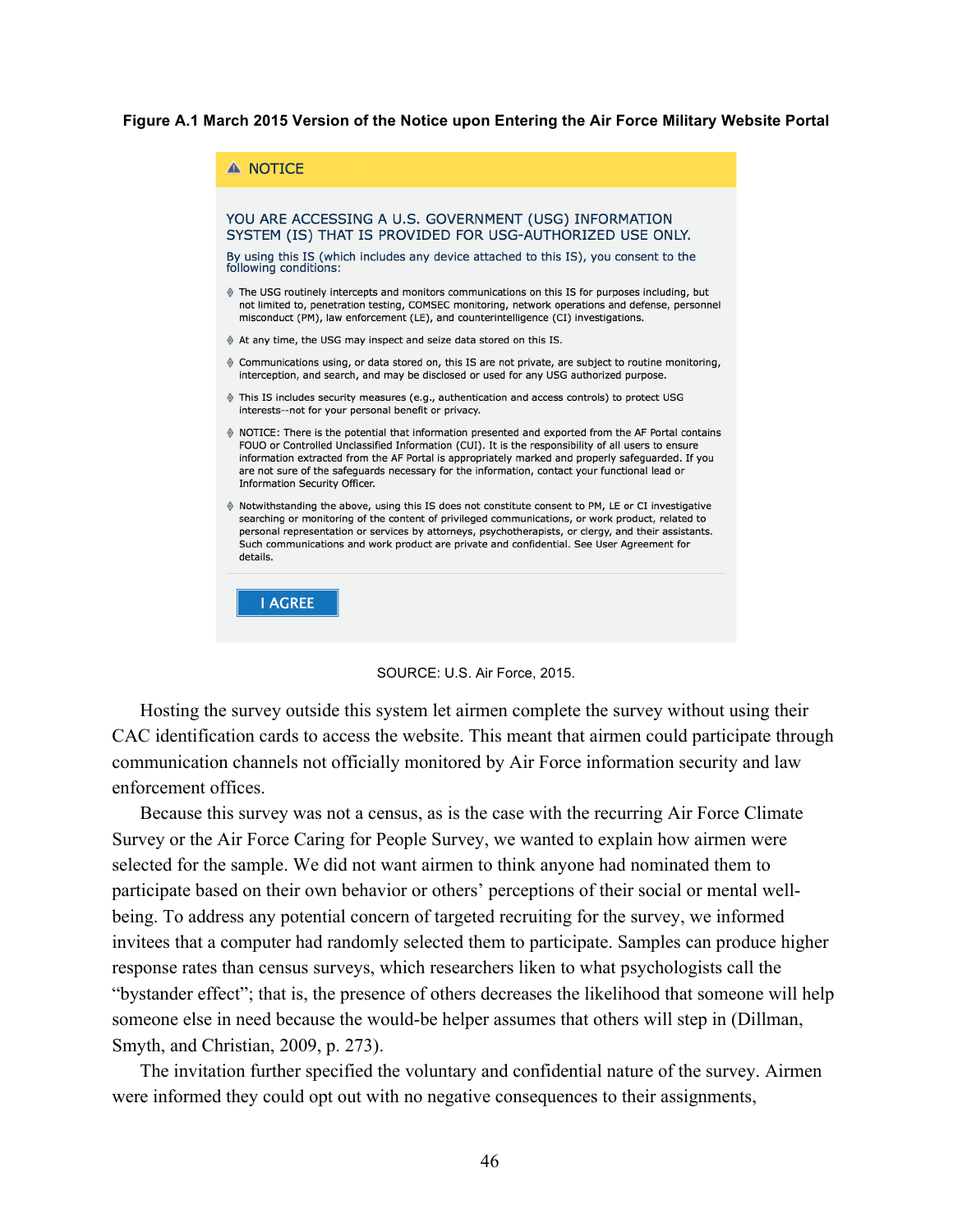#### **Figure A.1 March 2015 Version of the Notice upon Entering the Air Force Military Website Portal**





Hosting the survey outside this system let airmen complete the survey without using their CAC identification cards to access the website. This meant that airmen could participate through communication channels not officially monitored by Air Force information security and law enforcement offices.

Because this survey was not a census, as is the case with the recurring Air Force Climate Survey or the Air Force Caring for People Survey, we wanted to explain how airmen were selected for the sample. We did not want airmen to think anyone had nominated them to participate based on their own behavior or others' perceptions of their social or mental wellbeing. To address any potential concern of targeted recruiting for the survey, we informed invitees that a computer had randomly selected them to participate. Samples can produce higher response rates than census surveys, which researchers liken to what psychologists call the "bystander effect"; that is, the presence of others decreases the likelihood that someone will help someone else in need because the would-be helper assumes that others will step in (Dillman, Smyth, and Christian, 2009, p. 273).

The invitation further specified the voluntary and confidential nature of the survey. Airmen were informed they could opt out with no negative consequences to their assignments,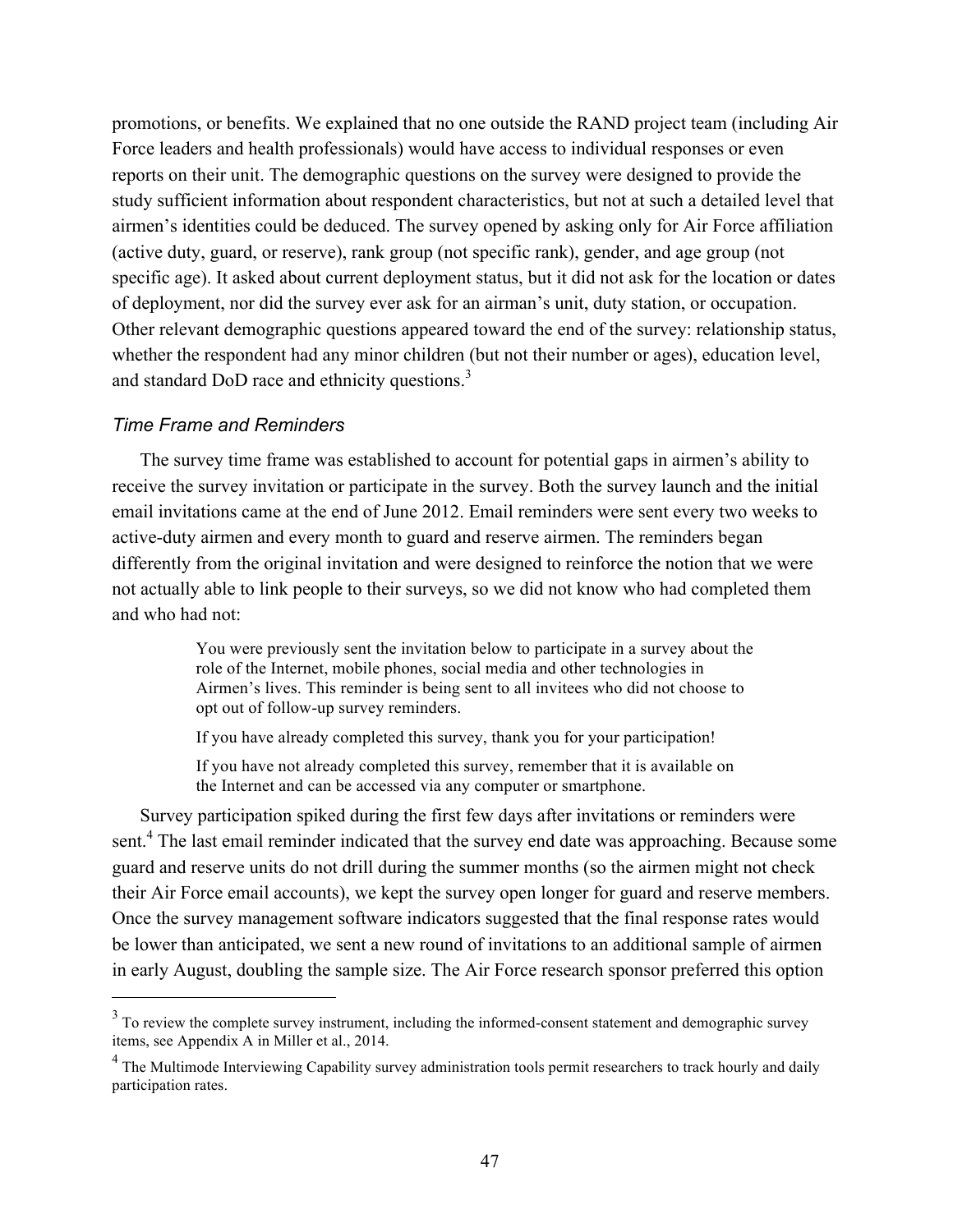promotions, or benefits. We explained that no one outside the RAND project team (including Air Force leaders and health professionals) would have access to individual responses or even reports on their unit. The demographic questions on the survey were designed to provide the study sufficient information about respondent characteristics, but not at such a detailed level that airmen's identities could be deduced. The survey opened by asking only for Air Force affiliation (active duty, guard, or reserve), rank group (not specific rank), gender, and age group (not specific age). It asked about current deployment status, but it did not ask for the location or dates of deployment, nor did the survey ever ask for an airman's unit, duty station, or occupation. Other relevant demographic questions appeared toward the end of the survey: relationship status, whether the respondent had any minor children (but not their number or ages), education level, and standard DoD race and ethnicity questions.<sup>3</sup>

#### *Time Frame and Reminders*

 $\overline{a}$ 

The survey time frame was established to account for potential gaps in airmen's ability to receive the survey invitation or participate in the survey. Both the survey launch and the initial email invitations came at the end of June 2012. Email reminders were sent every two weeks to active-duty airmen and every month to guard and reserve airmen. The reminders began differently from the original invitation and were designed to reinforce the notion that we were not actually able to link people to their surveys, so we did not know who had completed them and who had not:

> You were previously sent the invitation below to participate in a survey about the role of the Internet, mobile phones, social media and other technologies in Airmen's lives. This reminder is being sent to all invitees who did not choose to opt out of follow-up survey reminders.

If you have already completed this survey, thank you for your participation!

If you have not already completed this survey, remember that it is available on the Internet and can be accessed via any computer or smartphone.

Survey participation spiked during the first few days after invitations or reminders were sent.<sup>4</sup> The last email reminder indicated that the survey end date was approaching. Because some guard and reserve units do not drill during the summer months (so the airmen might not check their Air Force email accounts), we kept the survey open longer for guard and reserve members. Once the survey management software indicators suggested that the final response rates would be lower than anticipated, we sent a new round of invitations to an additional sample of airmen in early August, doubling the sample size. The Air Force research sponsor preferred this option

 $3$  To review the complete survey instrument, including the informed-consent statement and demographic survey items, see Appendix A in Miller et al., 2014.

<sup>&</sup>lt;sup>4</sup> The Multimode Interviewing Capability survey administration tools permit researchers to track hourly and daily participation rates.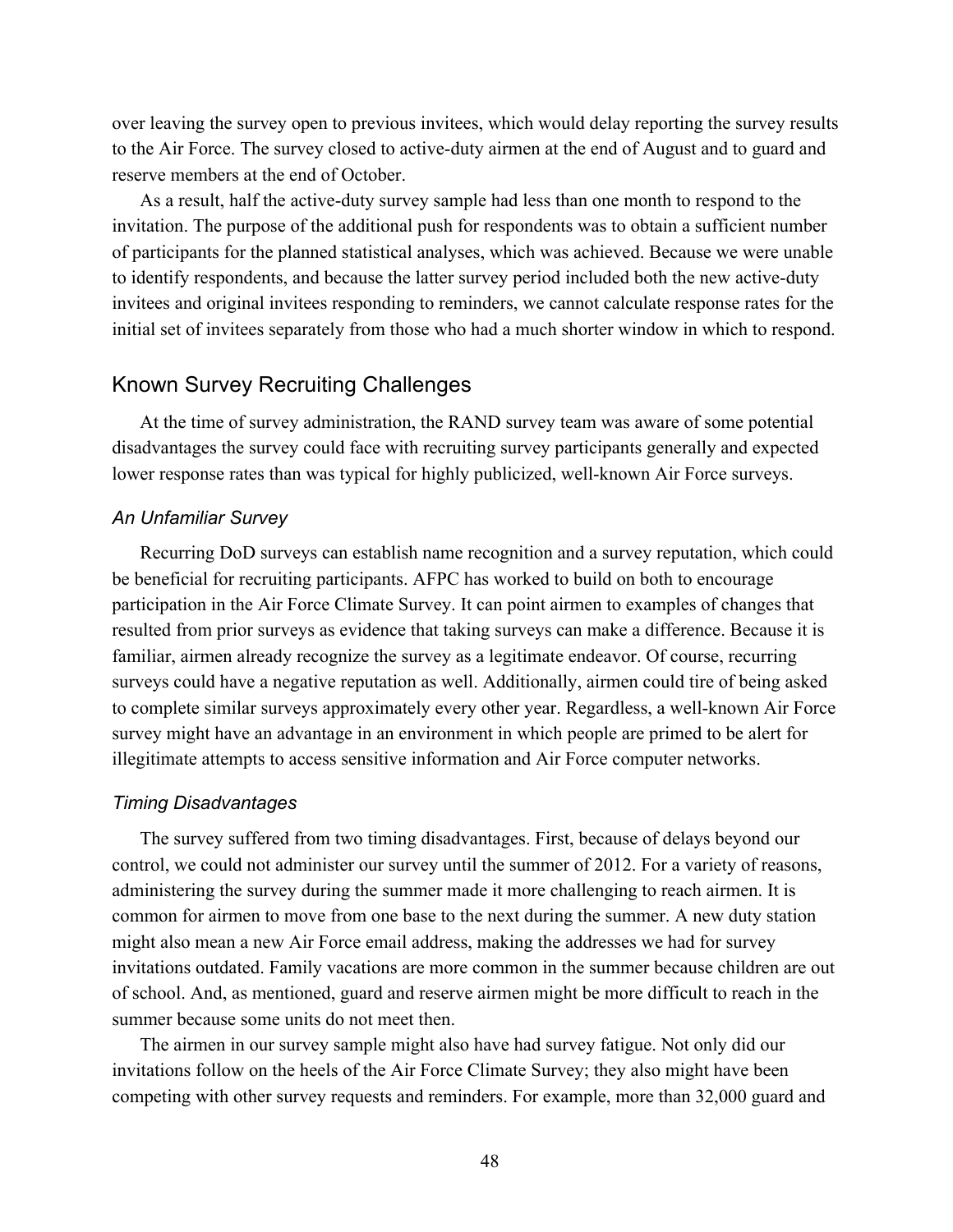over leaving the survey open to previous invitees, which would delay reporting the survey results to the Air Force. The survey closed to active-duty airmen at the end of August and to guard and reserve members at the end of October.

As a result, half the active-duty survey sample had less than one month to respond to the invitation. The purpose of the additional push for respondents was to obtain a sufficient number of participants for the planned statistical analyses, which was achieved. Because we were unable to identify respondents, and because the latter survey period included both the new active-duty invitees and original invitees responding to reminders, we cannot calculate response rates for the initial set of invitees separately from those who had a much shorter window in which to respond.

## Known Survey Recruiting Challenges

At the time of survey administration, the RAND survey team was aware of some potential disadvantages the survey could face with recruiting survey participants generally and expected lower response rates than was typical for highly publicized, well-known Air Force surveys.

#### *An Unfamiliar Survey*

Recurring DoD surveys can establish name recognition and a survey reputation, which could be beneficial for recruiting participants. AFPC has worked to build on both to encourage participation in the Air Force Climate Survey. It can point airmen to examples of changes that resulted from prior surveys as evidence that taking surveys can make a difference. Because it is familiar, airmen already recognize the survey as a legitimate endeavor. Of course, recurring surveys could have a negative reputation as well. Additionally, airmen could tire of being asked to complete similar surveys approximately every other year. Regardless, a well-known Air Force survey might have an advantage in an environment in which people are primed to be alert for illegitimate attempts to access sensitive information and Air Force computer networks.

#### *Timing Disadvantages*

The survey suffered from two timing disadvantages. First, because of delays beyond our control, we could not administer our survey until the summer of 2012. For a variety of reasons, administering the survey during the summer made it more challenging to reach airmen. It is common for airmen to move from one base to the next during the summer. A new duty station might also mean a new Air Force email address, making the addresses we had for survey invitations outdated. Family vacations are more common in the summer because children are out of school. And, as mentioned, guard and reserve airmen might be more difficult to reach in the summer because some units do not meet then.

The airmen in our survey sample might also have had survey fatigue. Not only did our invitations follow on the heels of the Air Force Climate Survey; they also might have been competing with other survey requests and reminders. For example, more than 32,000 guard and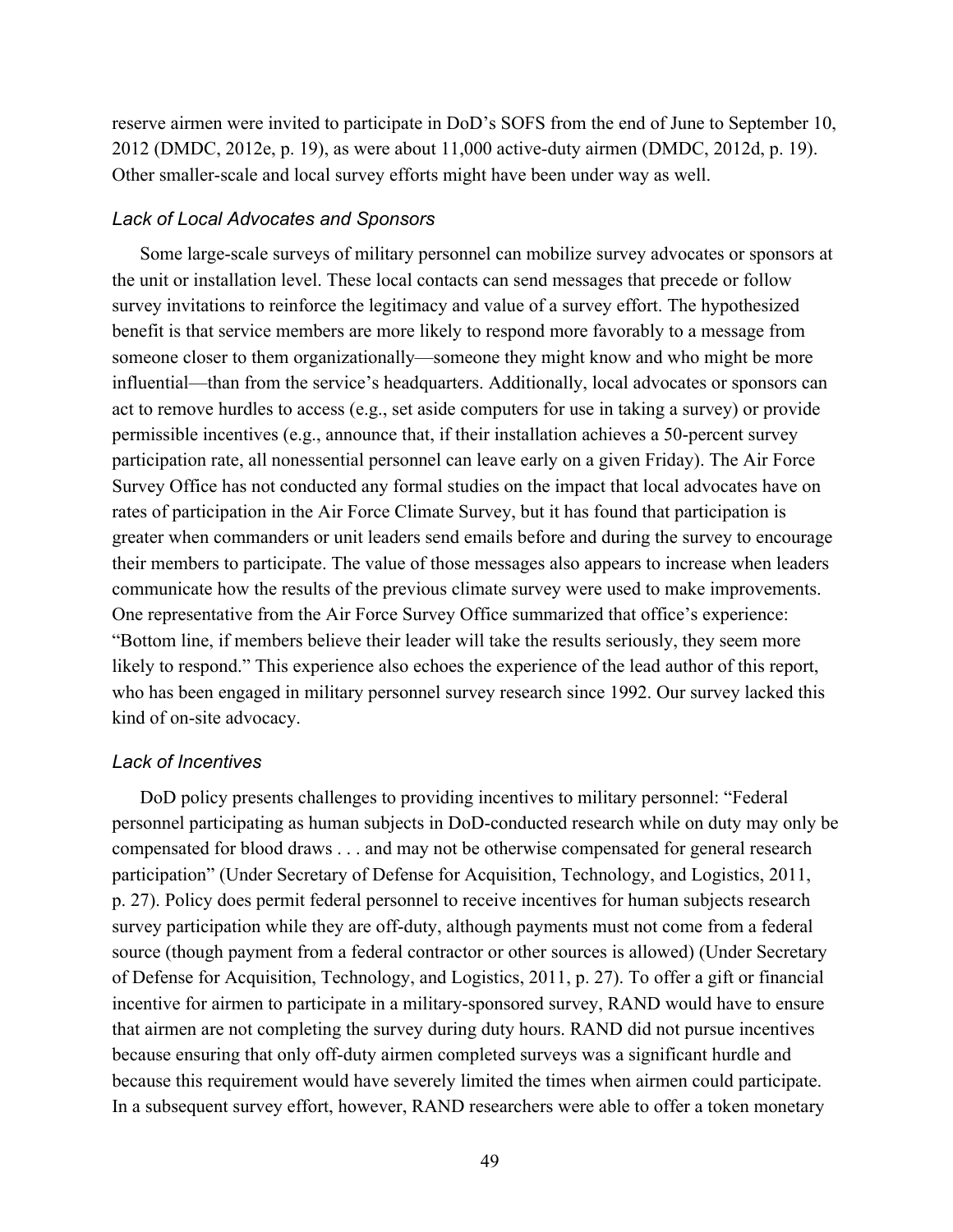reserve airmen were invited to participate in DoD's SOFS from the end of June to September 10, 2012 (DMDC, 2012e, p. 19), as were about 11,000 active-duty airmen (DMDC, 2012d, p. 19). Other smaller-scale and local survey efforts might have been under way as well.

#### *Lack of Local Advocates and Sponsors*

Some large-scale surveys of military personnel can mobilize survey advocates or sponsors at the unit or installation level. These local contacts can send messages that precede or follow survey invitations to reinforce the legitimacy and value of a survey effort. The hypothesized benefit is that service members are more likely to respond more favorably to a message from someone closer to them organizationally—someone they might know and who might be more influential—than from the service's headquarters. Additionally, local advocates or sponsors can act to remove hurdles to access (e.g., set aside computers for use in taking a survey) or provide permissible incentives (e.g., announce that, if their installation achieves a 50-percent survey participation rate, all nonessential personnel can leave early on a given Friday). The Air Force Survey Office has not conducted any formal studies on the impact that local advocates have on rates of participation in the Air Force Climate Survey, but it has found that participation is greater when commanders or unit leaders send emails before and during the survey to encourage their members to participate. The value of those messages also appears to increase when leaders communicate how the results of the previous climate survey were used to make improvements. One representative from the Air Force Survey Office summarized that office's experience: "Bottom line, if members believe their leader will take the results seriously, they seem more likely to respond." This experience also echoes the experience of the lead author of this report, who has been engaged in military personnel survey research since 1992. Our survey lacked this kind of on-site advocacy.

#### *Lack of Incentives*

DoD policy presents challenges to providing incentives to military personnel: "Federal personnel participating as human subjects in DoD-conducted research while on duty may only be compensated for blood draws . . . and may not be otherwise compensated for general research participation" (Under Secretary of Defense for Acquisition, Technology, and Logistics, 2011, p. 27). Policy does permit federal personnel to receive incentives for human subjects research survey participation while they are off-duty, although payments must not come from a federal source (though payment from a federal contractor or other sources is allowed) (Under Secretary of Defense for Acquisition, Technology, and Logistics, 2011, p. 27). To offer a gift or financial incentive for airmen to participate in a military-sponsored survey, RAND would have to ensure that airmen are not completing the survey during duty hours. RAND did not pursue incentives because ensuring that only off-duty airmen completed surveys was a significant hurdle and because this requirement would have severely limited the times when airmen could participate. In a subsequent survey effort, however, RAND researchers were able to offer a token monetary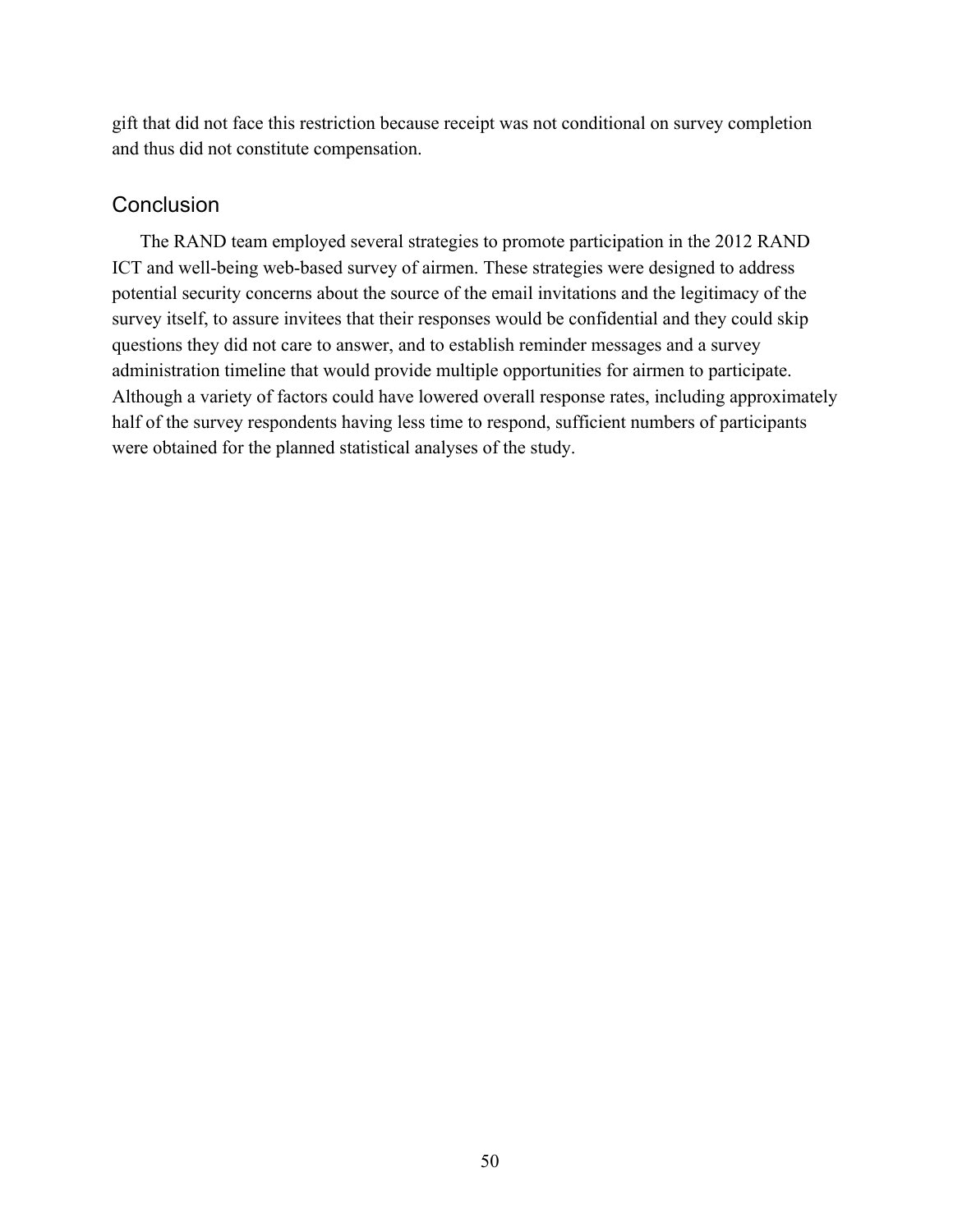gift that did not face this restriction because receipt was not conditional on survey completion and thus did not constitute compensation.

# **Conclusion**

The RAND team employed several strategies to promote participation in the 2012 RAND ICT and well-being web-based survey of airmen. These strategies were designed to address potential security concerns about the source of the email invitations and the legitimacy of the survey itself, to assure invitees that their responses would be confidential and they could skip questions they did not care to answer, and to establish reminder messages and a survey administration timeline that would provide multiple opportunities for airmen to participate. Although a variety of factors could have lowered overall response rates, including approximately half of the survey respondents having less time to respond, sufficient numbers of participants were obtained for the planned statistical analyses of the study.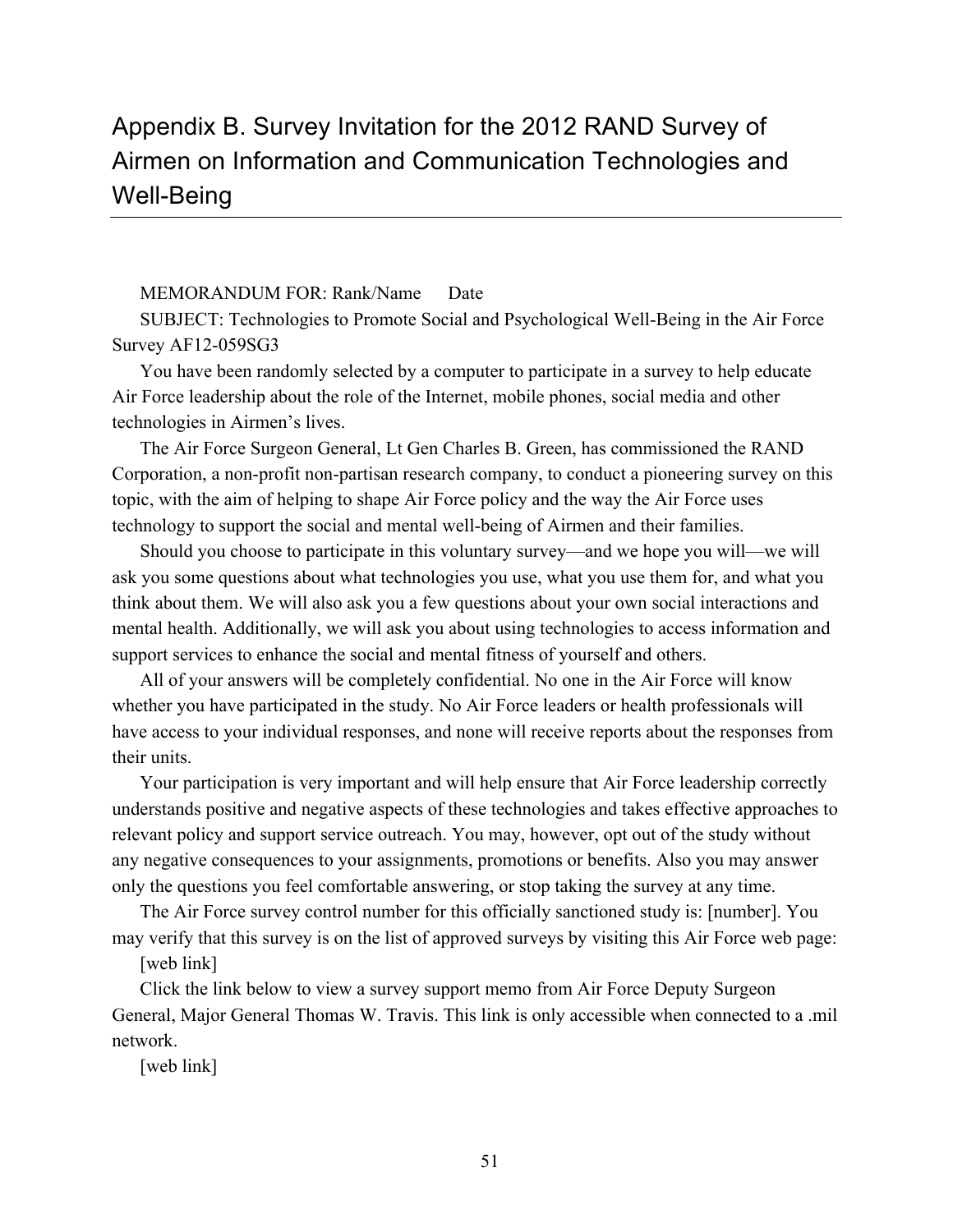# Appendix B. Survey Invitation for the 2012 RAND Survey of Airmen on Information and Communication Technologies and Well-Being

#### MEMORANDUM FOR: Rank/Name Date

SUBJECT: Technologies to Promote Social and Psychological Well-Being in the Air Force Survey AF12-059SG3

You have been randomly selected by a computer to participate in a survey to help educate Air Force leadership about the role of the Internet, mobile phones, social media and other technologies in Airmen's lives.

The Air Force Surgeon General, Lt Gen Charles B. Green, has commissioned the RAND Corporation, a non-profit non-partisan research company, to conduct a pioneering survey on this topic, with the aim of helping to shape Air Force policy and the way the Air Force uses technology to support the social and mental well-being of Airmen and their families.

Should you choose to participate in this voluntary survey—and we hope you will—we will ask you some questions about what technologies you use, what you use them for, and what you think about them. We will also ask you a few questions about your own social interactions and mental health. Additionally, we will ask you about using technologies to access information and support services to enhance the social and mental fitness of yourself and others.

All of your answers will be completely confidential. No one in the Air Force will know whether you have participated in the study. No Air Force leaders or health professionals will have access to your individual responses, and none will receive reports about the responses from their units.

Your participation is very important and will help ensure that Air Force leadership correctly understands positive and negative aspects of these technologies and takes effective approaches to relevant policy and support service outreach. You may, however, opt out of the study without any negative consequences to your assignments, promotions or benefits. Also you may answer only the questions you feel comfortable answering, or stop taking the survey at any time.

The Air Force survey control number for this officially sanctioned study is: [number]. You may verify that this survey is on the list of approved surveys by visiting this Air Force web page:

[web link]

Click the link below to view a survey support memo from Air Force Deputy Surgeon General, Major General Thomas W. Travis. This link is only accessible when connected to a .mil network.

[web link]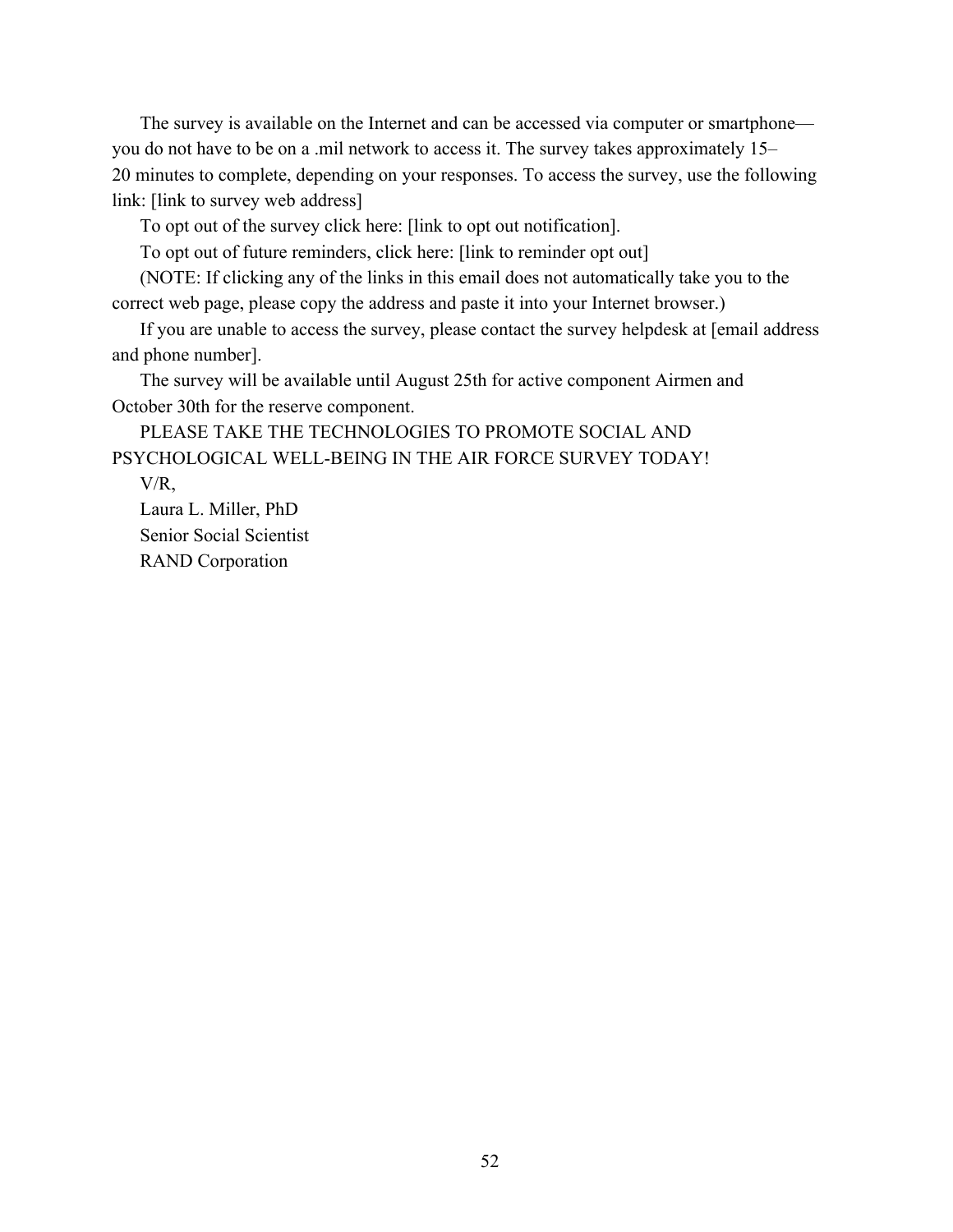The survey is available on the Internet and can be accessed via computer or smartphone you do not have to be on a .mil network to access it. The survey takes approximately 15– 20 minutes to complete, depending on your responses. To access the survey, use the following link: [link to survey web address]

To opt out of the survey click here: [link to opt out notification].

To opt out of future reminders, click here: [link to reminder opt out]

(NOTE: If clicking any of the links in this email does not automatically take you to the correct web page, please copy the address and paste it into your Internet browser.)

If you are unable to access the survey, please contact the survey helpdesk at [email address and phone number].

The survey will be available until August 25th for active component Airmen and October 30th for the reserve component.

PLEASE TAKE THE TECHNOLOGIES TO PROMOTE SOCIAL AND PSYCHOLOGICAL WELL-BEING IN THE AIR FORCE SURVEY TODAY!

V/R, Laura L. Miller, PhD Senior Social Scientist RAND Corporation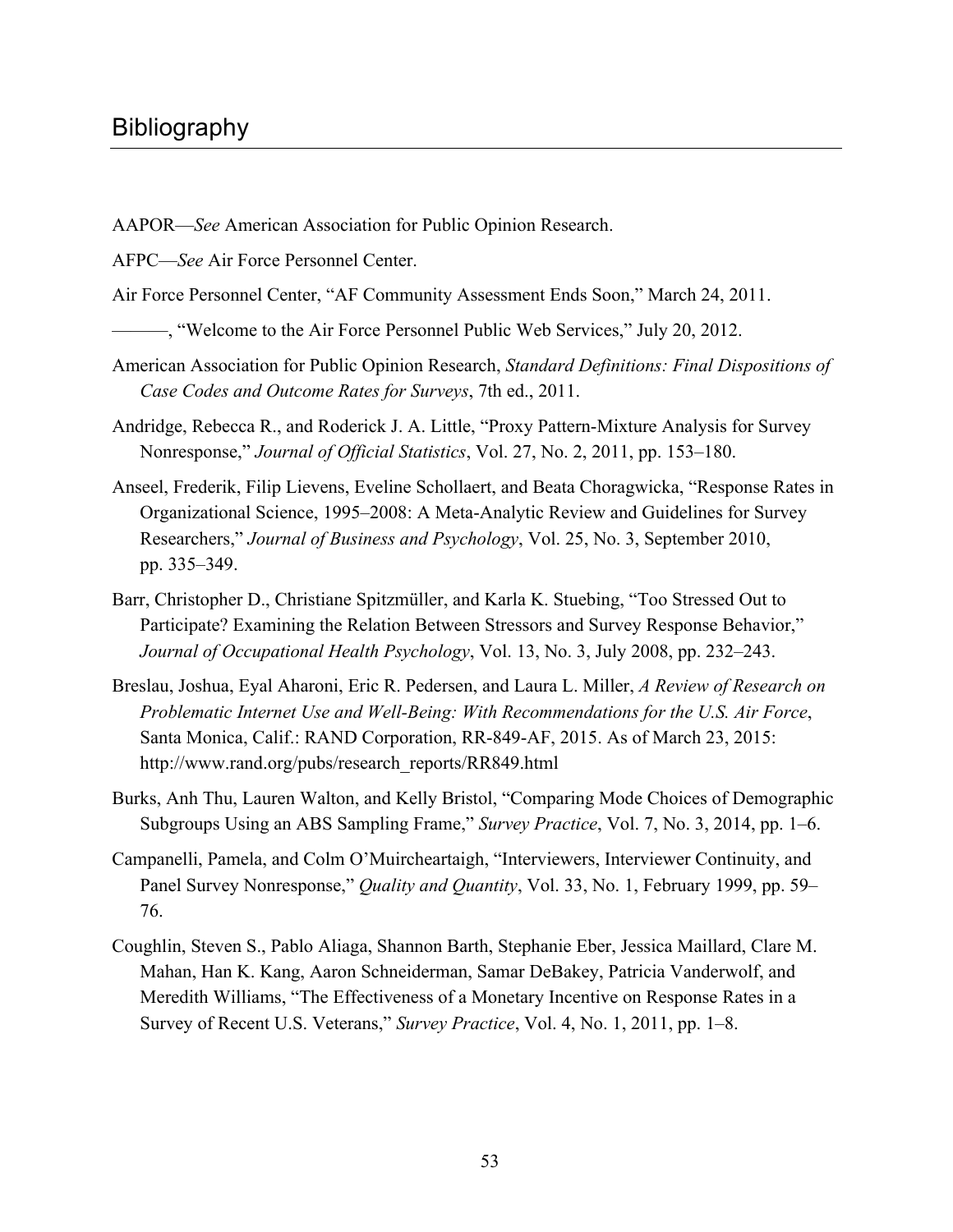# Bibliography

AAPOR—*See* American Association for Public Opinion Research.

AFPC—*See* Air Force Personnel Center.

- Air Force Personnel Center, "AF Community Assessment Ends Soon," March 24, 2011.
- ———, "Welcome to the Air Force Personnel Public Web Services," July 20, 2012.
- American Association for Public Opinion Research, *Standard Definitions: Final Dispositions of Case Codes and Outcome Rates for Surveys*, 7th ed., 2011.
- Andridge, Rebecca R., and Roderick J. A. Little, "Proxy Pattern-Mixture Analysis for Survey Nonresponse," *Journal of Official Statistics*, Vol. 27, No. 2, 2011, pp. 153–180.
- Anseel, Frederik, Filip Lievens, Eveline Schollaert, and Beata Choragwicka, "Response Rates in Organizational Science, 1995–2008: A Meta-Analytic Review and Guidelines for Survey Researchers," *Journal of Business and Psychology*, Vol. 25, No. 3, September 2010, pp. 335–349.
- Barr, Christopher D., Christiane Spitzmüller, and Karla K. Stuebing, "Too Stressed Out to Participate? Examining the Relation Between Stressors and Survey Response Behavior," *Journal of Occupational Health Psychology*, Vol. 13, No. 3, July 2008, pp. 232–243.
- Breslau, Joshua, Eyal Aharoni, Eric R. Pedersen, and Laura L. Miller, *A Review of Research on Problematic Internet Use and Well-Being: With Recommendations for the U.S. Air Force*, Santa Monica, Calif.: RAND Corporation, RR-849-AF, 2015. As of March 23, 2015: [http://www.rand.org/pubs/research\\_reports/RR849.html](http://www.rand.org/pubs/research_reports/RR849.html)
- Burks, Anh Thu, Lauren Walton, and Kelly Bristol, "Comparing Mode Choices of Demographic Subgroups Using an ABS Sampling Frame," *Survey Practice*, Vol. 7, No. 3, 2014, pp. 1–6.
- Campanelli, Pamela, and Colm O'Muircheartaigh, "Interviewers, Interviewer Continuity, and Panel Survey Nonresponse," *Quality and Quantity*, Vol. 33, No. 1, February 1999, pp. 59– 76.
- Coughlin, Steven S., Pablo Aliaga, Shannon Barth, Stephanie Eber, Jessica Maillard, Clare M. Mahan, Han K. Kang, Aaron Schneiderman, Samar DeBakey, Patricia Vanderwolf, and Meredith Williams, "The Effectiveness of a Monetary Incentive on Response Rates in a Survey of Recent U.S. Veterans," *Survey Practice*, Vol. 4, No. 1, 2011, pp. 1–8.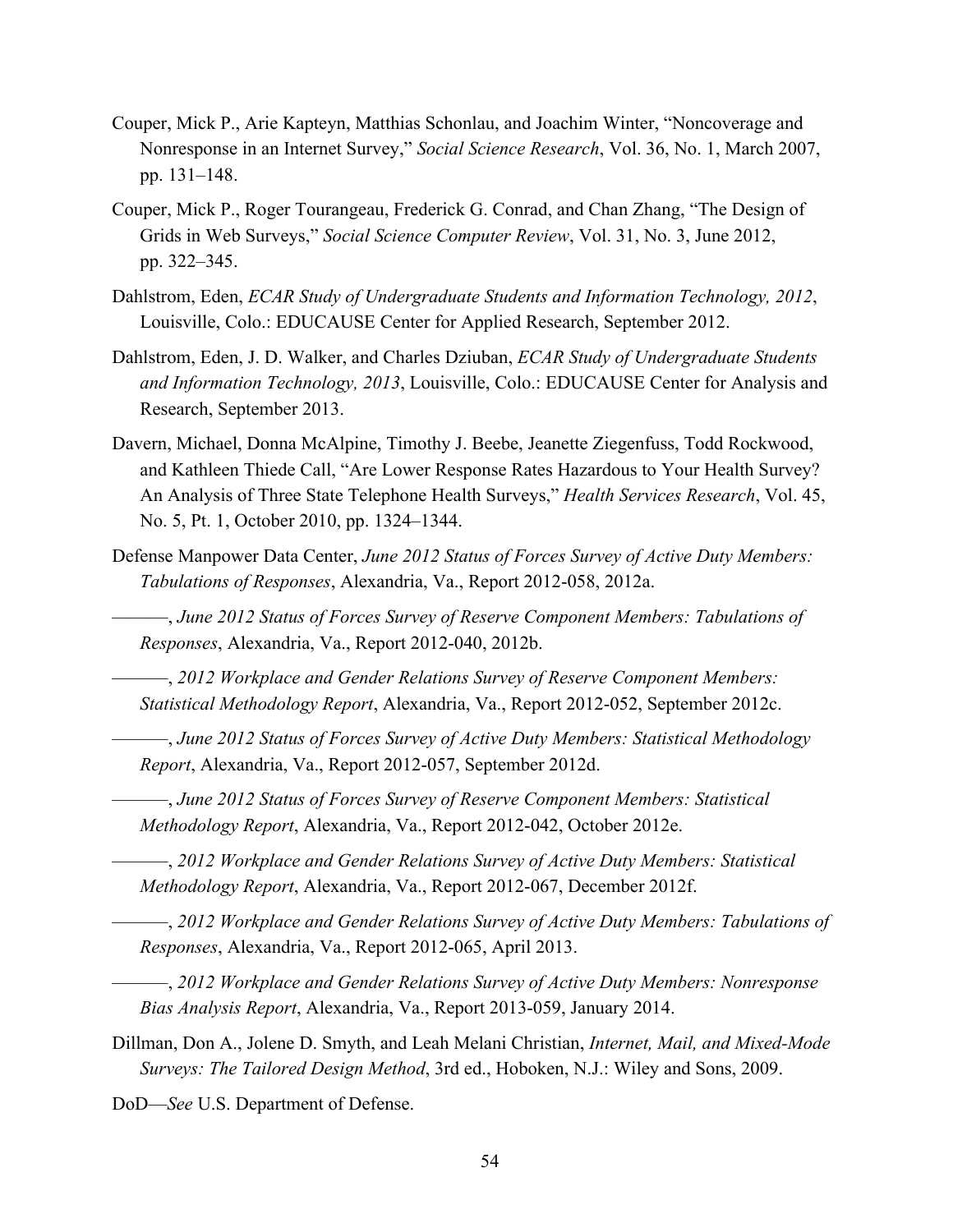- Couper, Mick P., Arie Kapteyn, Matthias Schonlau, and Joachim Winter, "Noncoverage and Nonresponse in an Internet Survey," *Social Science Research*, Vol. 36, No. 1, March 2007, pp. 131–148.
- Couper, Mick P., Roger Tourangeau, Frederick G. Conrad, and Chan Zhang, "The Design of Grids in Web Surveys," *Social Science Computer Review*, Vol. 31, No. 3, June 2012, pp. 322–345.
- Dahlstrom, Eden, *ECAR Study of Undergraduate Students and Information Technology, 2012*, Louisville, Colo.: EDUCAUSE Center for Applied Research, September 2012.
- Dahlstrom, Eden, J. D. Walker, and Charles Dziuban, *ECAR Study of Undergraduate Students and Information Technology, 2013*, Louisville, Colo.: EDUCAUSE Center for Analysis and Research, September 2013.
- Davern, Michael, Donna McAlpine, Timothy J. Beebe, Jeanette Ziegenfuss, Todd Rockwood, and Kathleen Thiede Call, "Are Lower Response Rates Hazardous to Your Health Survey? An Analysis of Three State Telephone Health Surveys," *Health Services Research*, Vol. 45, No. 5, Pt. 1, October 2010, pp. 1324–1344.
- Defense Manpower Data Center, *June 2012 Status of Forces Survey of Active Duty Members: Tabulations of Responses*, Alexandria, Va., Report 2012-058, 2012a.
- ———, *June 2012 Status of Forces Survey of Reserve Component Members: Tabulations of Responses*, Alexandria, Va., Report 2012-040, 2012b.
- ———, *2012 Workplace and Gender Relations Survey of Reserve Component Members: Statistical Methodology Report*, Alexandria, Va., Report 2012-052, September 2012c.
- ———, *June 2012 Status of Forces Survey of Active Duty Members: Statistical Methodology Report*, Alexandria, Va., Report 2012-057, September 2012d.
- ———, *June 2012 Status of Forces Survey of Reserve Component Members: Statistical Methodology Report*, Alexandria, Va., Report 2012-042, October 2012e.
- ———, *2012 Workplace and Gender Relations Survey of Active Duty Members: Statistical Methodology Report*, Alexandria, Va., Report 2012-067, December 2012f.
	- ———, *2012 Workplace and Gender Relations Survey of Active Duty Members: Tabulations of Responses*, Alexandria, Va., Report 2012-065, April 2013.
- ———, *2012 Workplace and Gender Relations Survey of Active Duty Members: Nonresponse Bias Analysis Report*, Alexandria, Va., Report 2013-059, January 2014.
- Dillman, Don A., Jolene D. Smyth, and Leah Melani Christian, *Internet, Mail, and Mixed-Mode Surveys: The Tailored Design Method*, 3rd ed., Hoboken, N.J.: Wiley and Sons, 2009.
- DoD—*See* U.S. Department of Defense.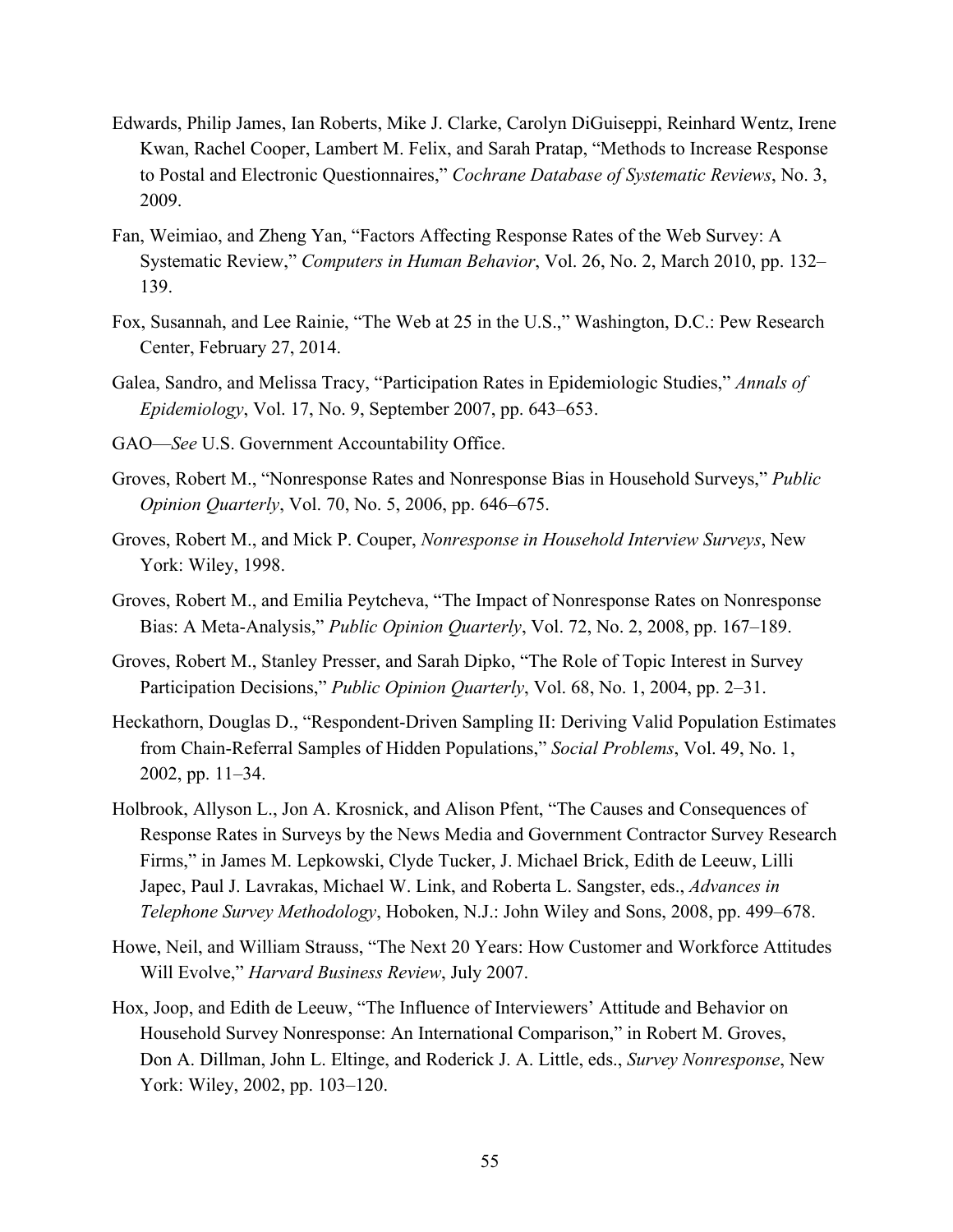- Edwards, Philip James, Ian Roberts, Mike J. Clarke, Carolyn DiGuiseppi, Reinhard Wentz, Irene Kwan, Rachel Cooper, Lambert M. Felix, and Sarah Pratap, "Methods to Increase Response to Postal and Electronic Questionnaires," *Cochrane Database of Systematic Reviews*, No. 3, 2009.
- Fan, Weimiao, and Zheng Yan, "Factors Affecting Response Rates of the Web Survey: A Systematic Review," *Computers in Human Behavior*, Vol. 26, No. 2, March 2010, pp. 132– 139.
- Fox, Susannah, and Lee Rainie, "The Web at 25 in the U.S.," Washington, D.C.: Pew Research Center, February 27, 2014.
- Galea, Sandro, and Melissa Tracy, "Participation Rates in Epidemiologic Studies," *Annals of Epidemiology*, Vol. 17, No. 9, September 2007, pp. 643–653.
- GAO—*See* U.S. Government Accountability Office.
- Groves, Robert M., "Nonresponse Rates and Nonresponse Bias in Household Surveys," *Public Opinion Quarterly*, Vol. 70, No. 5, 2006, pp. 646–675.
- Groves, Robert M., and Mick P. Couper, *Nonresponse in Household Interview Surveys*, New York: Wiley, 1998.
- Groves, Robert M., and Emilia Peytcheva, "The Impact of Nonresponse Rates on Nonresponse Bias: A Meta-Analysis," *Public Opinion Quarterly*, Vol. 72, No. 2, 2008, pp. 167–189.
- Groves, Robert M., Stanley Presser, and Sarah Dipko, "The Role of Topic Interest in Survey Participation Decisions," *Public Opinion Quarterly*, Vol. 68, No. 1, 2004, pp. 2–31.
- Heckathorn, Douglas D., "Respondent-Driven Sampling II: Deriving Valid Population Estimates from Chain-Referral Samples of Hidden Populations," *Social Problems*, Vol. 49, No. 1, 2002, pp. 11–34.
- Holbrook, Allyson L., Jon A. Krosnick, and Alison Pfent, "The Causes and Consequences of Response Rates in Surveys by the News Media and Government Contractor Survey Research Firms," in James M. Lepkowski, Clyde Tucker, J. Michael Brick, Edith de Leeuw, Lilli Japec, Paul J. Lavrakas, Michael W. Link, and Roberta L. Sangster, eds., *Advances in Telephone Survey Methodology*, Hoboken, N.J.: John Wiley and Sons, 2008, pp. 499–678.
- Howe, Neil, and William Strauss, "The Next 20 Years: How Customer and Workforce Attitudes Will Evolve," *Harvard Business Review*, July 2007.
- Hox, Joop, and Edith de Leeuw, "The Influence of Interviewers' Attitude and Behavior on Household Survey Nonresponse: An International Comparison," in Robert M. Groves, Don A. Dillman, John L. Eltinge, and Roderick J. A. Little, eds., *Survey Nonresponse*, New York: Wiley, 2002, pp. 103–120.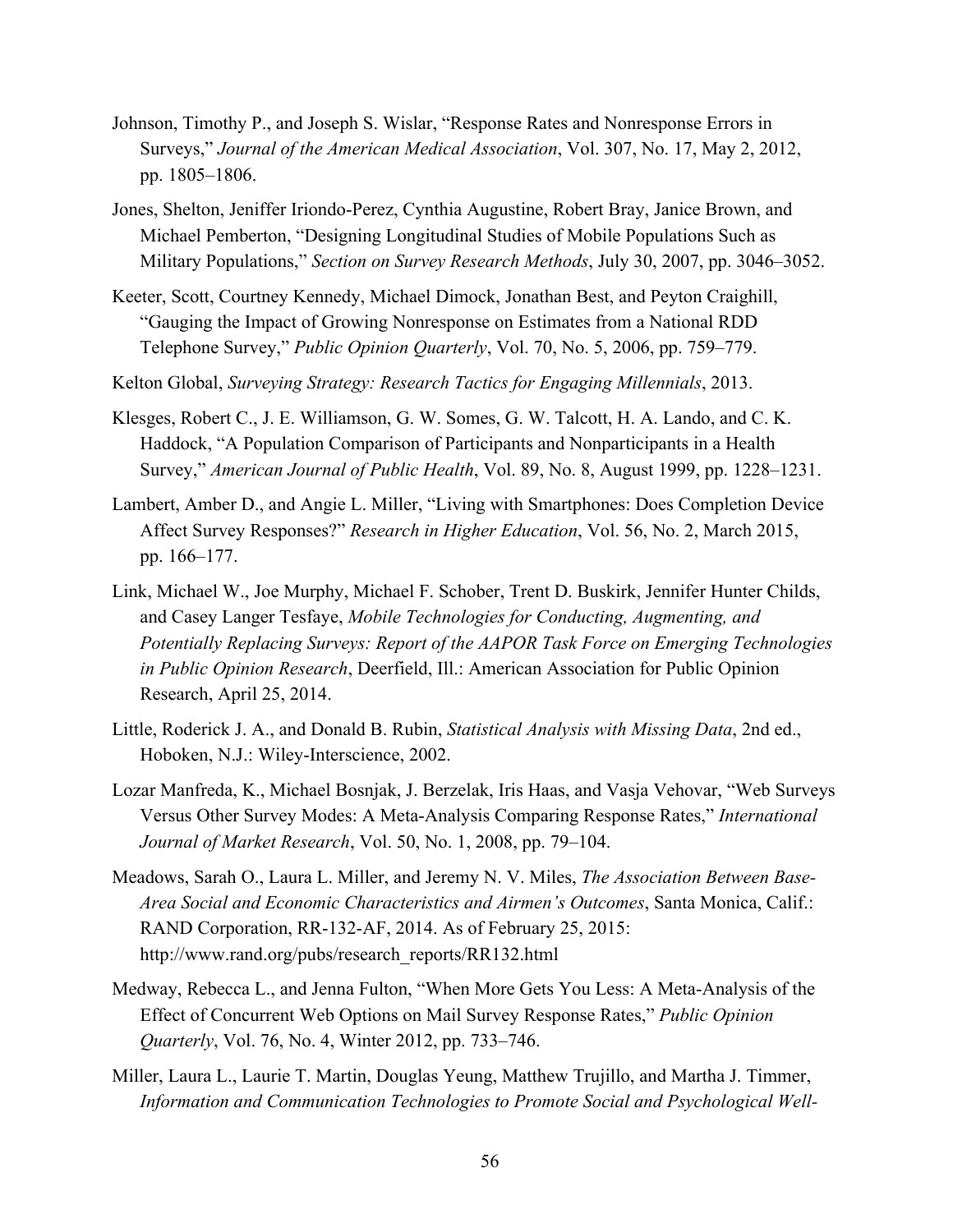- Johnson, Timothy P., and Joseph S. Wislar, "Response Rates and Nonresponse Errors in Surveys," *Journal of the American Medical Association*, Vol. 307, No. 17, May 2, 2012, pp. 1805–1806.
- Jones, Shelton, Jeniffer Iriondo-Perez, Cynthia Augustine, Robert Bray, Janice Brown, and Michael Pemberton, "Designing Longitudinal Studies of Mobile Populations Such as Military Populations," *Section on Survey Research Methods*, July 30, 2007, pp. 3046–3052.
- Keeter, Scott, Courtney Kennedy, Michael Dimock, Jonathan Best, and Peyton Craighill, "Gauging the Impact of Growing Nonresponse on Estimates from a National RDD Telephone Survey," *Public Opinion Quarterly*, Vol. 70, No. 5, 2006, pp. 759–779.
- Kelton Global, *Surveying Strategy: Research Tactics for Engaging Millennials*, 2013.
- Klesges, Robert C., J. E. Williamson, G. W. Somes, G. W. Talcott, H. A. Lando, and C. K. Haddock, "A Population Comparison of Participants and Nonparticipants in a Health Survey," *American Journal of Public Health*, Vol. 89, No. 8, August 1999, pp. 1228–1231.
- Lambert, Amber D., and Angie L. Miller, "Living with Smartphones: Does Completion Device Affect Survey Responses?" *Research in Higher Education*, Vol. 56, No. 2, March 2015, pp. 166–177.
- Link, Michael W., Joe Murphy, Michael F. Schober, Trent D. Buskirk, Jennifer Hunter Childs, and Casey Langer Tesfaye, *Mobile Technologies for Conducting, Augmenting, and Potentially Replacing Surveys: Report of the AAPOR Task Force on Emerging Technologies in Public Opinion Research*, Deerfield, Ill.: American Association for Public Opinion Research, April 25, 2014.
- Little, Roderick J. A., and Donald B. Rubin, *Statistical Analysis with Missing Data*, 2nd ed., Hoboken, N.J.: Wiley-Interscience, 2002.
- Lozar Manfreda, K., Michael Bosnjak, J. Berzelak, Iris Haas, and Vasja Vehovar, "Web Surveys Versus Other Survey Modes: A Meta-Analysis Comparing Response Rates," *International Journal of Market Research*, Vol. 50, No. 1, 2008, pp. 79–104.
- Meadows, Sarah O., Laura L. Miller, and Jeremy N. V. Miles, *The Association Between Base-Area Social and Economic Characteristics and Airmen's Outcomes*, Santa Monica, Calif.: RAND Corporation, RR-132-AF, 2014. As of February 25, 2015: [http://www.rand.org/pubs/research\\_reports/RR132.html](http://www.rand.org/pubs/research_reports/RR132.html)
- Medway, Rebecca L., and Jenna Fulton, "When More Gets You Less: A Meta-Analysis of the Effect of Concurrent Web Options on Mail Survey Response Rates," *Public Opinion Quarterly*, Vol. 76, No. 4, Winter 2012, pp. 733–746.
- Miller, Laura L., Laurie T. Martin, Douglas Yeung, Matthew Trujillo, and Martha J. Timmer, *Information and Communication Technologies to Promote Social and Psychological Well-*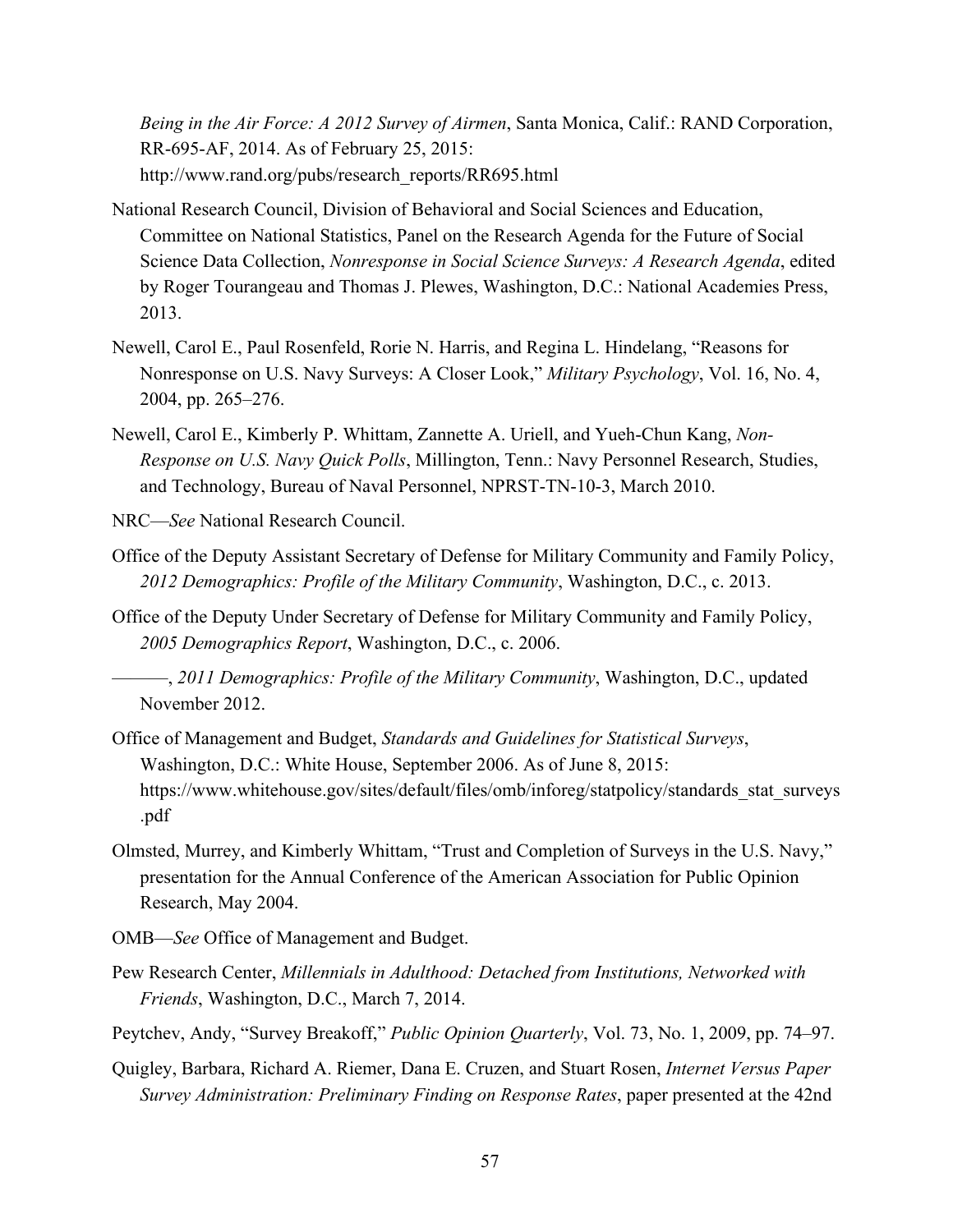*Being in the Air Force: A 2012 Survey of Airmen*, Santa Monica, Calif.: RAND Corporation, RR-695-AF, 2014. As of February 25, 2015: [http://www.rand.org/pubs/research\\_reports/RR695.html](http://www.rand.org/pubs/research_reports/RR695.html) 

- National Research Council, Division of Behavioral and Social Sciences and Education, Committee on National Statistics, Panel on the Research Agenda for the Future of Social Science Data Collection, *Nonresponse in Social Science Surveys: A Research Agenda*, edited by Roger Tourangeau and Thomas J. Plewes, Washington, D.C.: National Academies Press, 2013.
- Newell, Carol E., Paul Rosenfeld, Rorie N. Harris, and Regina L. Hindelang, "Reasons for Nonresponse on U.S. Navy Surveys: A Closer Look," *Military Psychology*, Vol. 16, No. 4, 2004, pp. 265–276.
- Newell, Carol E., Kimberly P. Whittam, Zannette A. Uriell, and Yueh-Chun Kang, *Non-Response on U.S. Navy Quick Polls*, Millington, Tenn.: Navy Personnel Research, Studies, and Technology, Bureau of Naval Personnel, NPRST-TN-10-3, March 2010.

NRC—*See* National Research Council.

- Office of the Deputy Assistant Secretary of Defense for Military Community and Family Policy, *2012 Demographics: Profile of the Military Community*, Washington, D.C., c. 2013.
- Office of the Deputy Under Secretary of Defense for Military Community and Family Policy, *2005 Demographics Report*, Washington, D.C., c. 2006.

———, *2011 Demographics: Profile of the Military Community*, Washington, D.C., updated November 2012.

- Office of Management and Budget, *Standards and Guidelines for Statistical Surveys*, Washington, D.C.: White House, September 2006. As of June 8, 2015: [https://www.whitehouse.gov/sites/default/files/omb/inforeg/statpolicy/standards\\_stat\\_surveys](https://www.whitehouse.gov/sites/default/files/omb/inforeg/statpolicy/standards_stat_surveys.pdf) .pdf
- Olmsted, Murrey, and Kimberly Whittam, "Trust and Completion of Surveys in the U.S. Navy," presentation for the Annual Conference of the American Association for Public Opinion Research, May 2004.
- OMB—*See* Office of Management and Budget.
- Pew Research Center, *Millennials in Adulthood: Detached from Institutions, Networked with Friends*, Washington, D.C., March 7, 2014.
- Peytchev, Andy, "Survey Breakoff," *Public Opinion Quarterly*, Vol. 73, No. 1, 2009, pp. 74–97.
- Quigley, Barbara, Richard A. Riemer, Dana E. Cruzen, and Stuart Rosen, *Internet Versus Paper Survey Administration: Preliminary Finding on Response Rates*, paper presented at the 42nd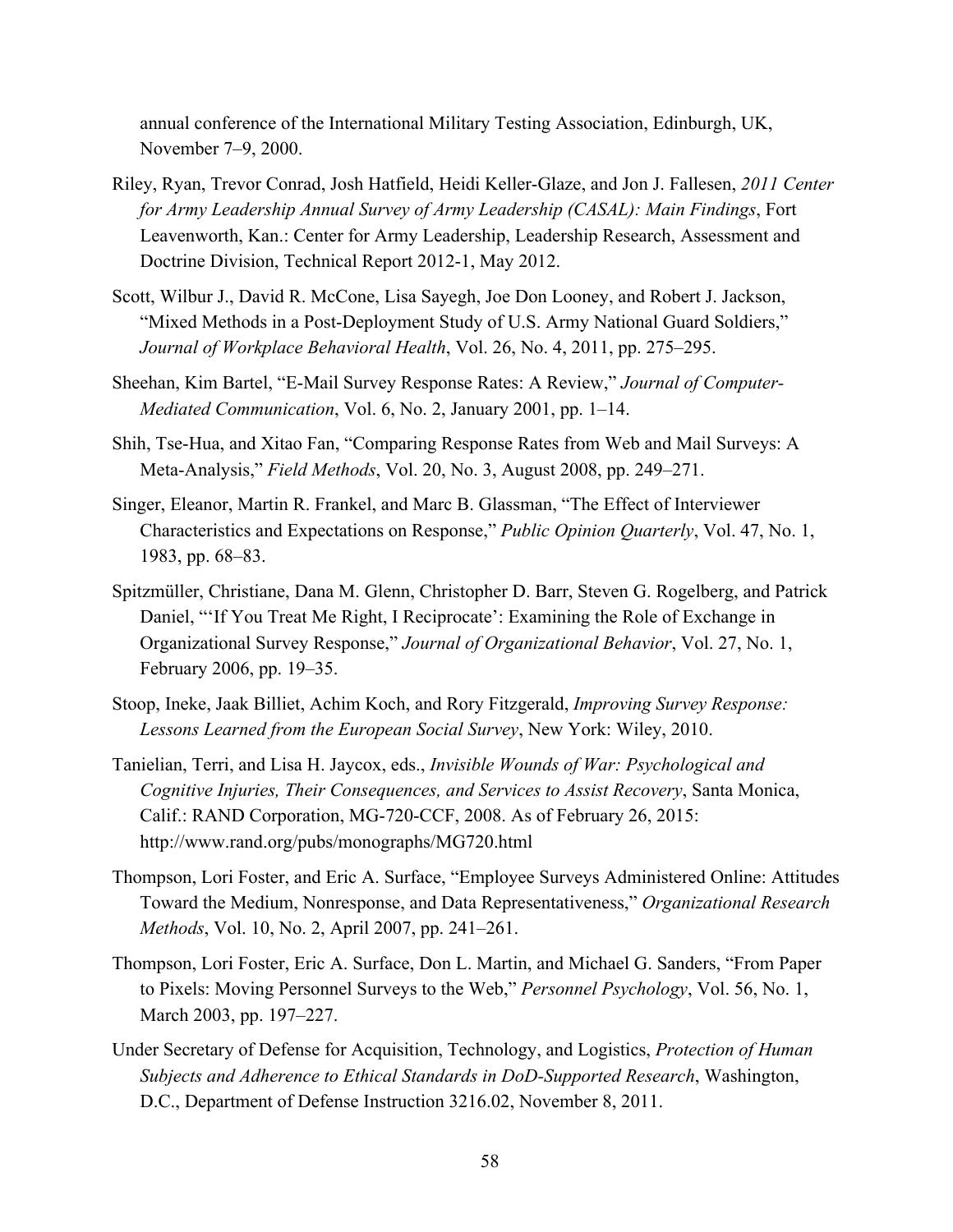annual conference of the International Military Testing Association, Edinburgh, UK, November 7–9, 2000.

- Riley, Ryan, Trevor Conrad, Josh Hatfield, Heidi Keller-Glaze, and Jon J. Fallesen, *2011 Center for Army Leadership Annual Survey of Army Leadership (CASAL): Main Findings*, Fort Leavenworth, Kan.: Center for Army Leadership, Leadership Research, Assessment and Doctrine Division, Technical Report 2012-1, May 2012.
- Scott, Wilbur J., David R. McCone, Lisa Sayegh, Joe Don Looney, and Robert J. Jackson, "Mixed Methods in a Post-Deployment Study of U.S. Army National Guard Soldiers," *Journal of Workplace Behavioral Health*, Vol. 26, No. 4, 2011, pp. 275–295.
- Sheehan, Kim Bartel, "E-Mail Survey Response Rates: A Review," *Journal of Computer-Mediated Communication*, Vol. 6, No. 2, January 2001, pp. 1–14.
- Shih, Tse-Hua, and Xitao Fan, "Comparing Response Rates from Web and Mail Surveys: A Meta-Analysis," *Field Methods*, Vol. 20, No. 3, August 2008, pp. 249–271.
- Singer, Eleanor, Martin R. Frankel, and Marc B. Glassman, "The Effect of Interviewer Characteristics and Expectations on Response," *Public Opinion Quarterly*, Vol. 47, No. 1, 1983, pp. 68–83.
- Spitzmüller, Christiane, Dana M. Glenn, Christopher D. Barr, Steven G. Rogelberg, and Patrick Daniel, "'If You Treat Me Right, I Reciprocate': Examining the Role of Exchange in Organizational Survey Response," *Journal of Organizational Behavior*, Vol. 27, No. 1, February 2006, pp. 19–35.
- Stoop, Ineke, Jaak Billiet, Achim Koch, and Rory Fitzgerald, *Improving Survey Response: Lessons Learned from the European Social Survey*, New York: Wiley, 2010.
- Tanielian, Terri, and Lisa H. Jaycox, eds., *Invisible Wounds of War: Psychological and Cognitive Injuries, Their Consequences, and Services to Assist Recovery*, Santa Monica, Calif.: RAND Corporation, MG-720-CCF, 2008. As of February 26, 2015: <http://www.rand.org/pubs/monographs/MG720.html>
- Thompson, Lori Foster, and Eric A. Surface, "Employee Surveys Administered Online: Attitudes Toward the Medium, Nonresponse, and Data Representativeness," *Organizational Research Methods*, Vol. 10, No. 2, April 2007, pp. 241–261.
- Thompson, Lori Foster, Eric A. Surface, Don L. Martin, and Michael G. Sanders, "From Paper to Pixels: Moving Personnel Surveys to the Web," *Personnel Psychology*, Vol. 56, No. 1, March 2003, pp. 197–227.
- Under Secretary of Defense for Acquisition, Technology, and Logistics, *Protection of Human Subjects and Adherence to Ethical Standards in DoD-Supported Research*, Washington, D.C., Department of Defense Instruction 3216.02, November 8, 2011.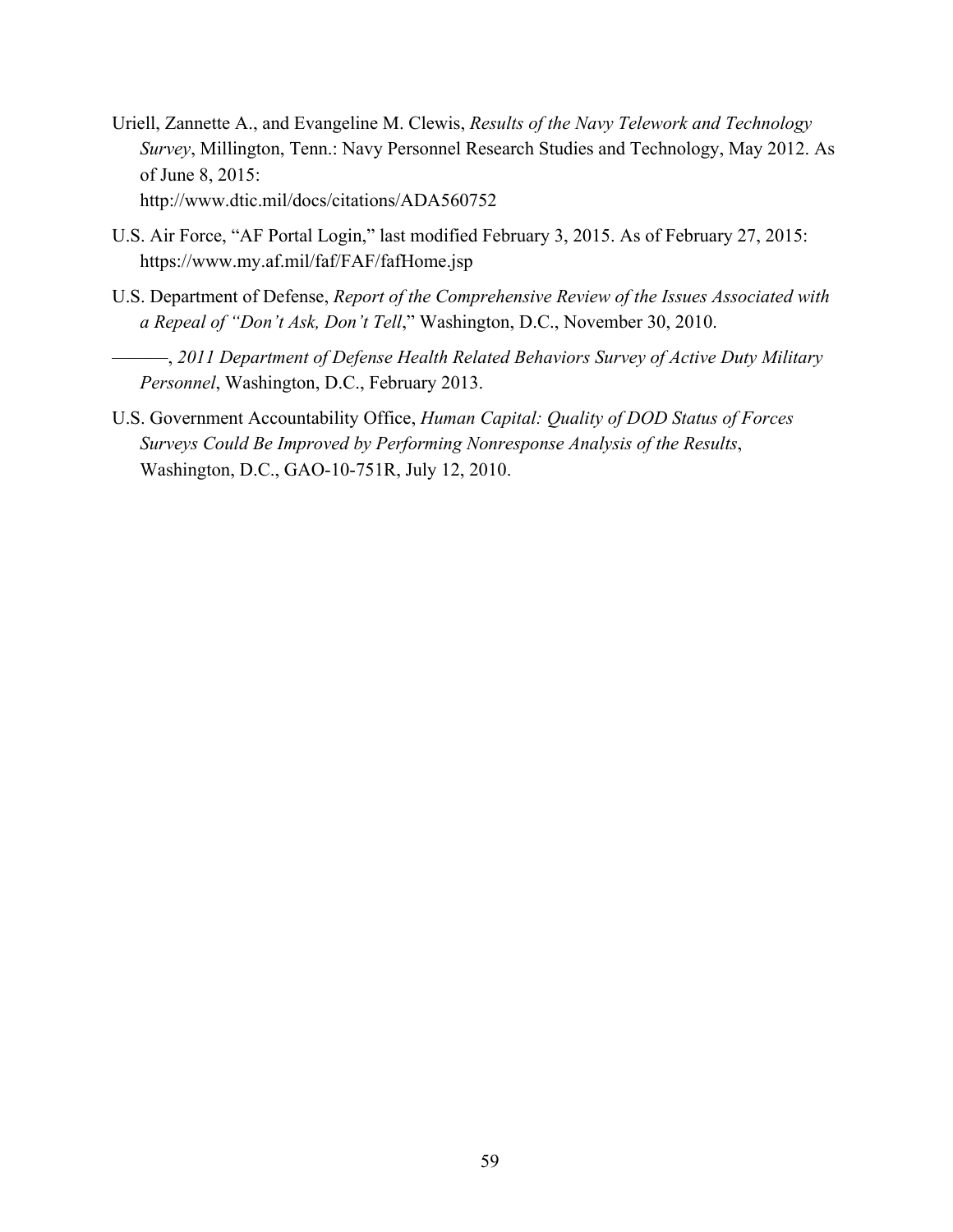Uriell, Zannette A., and Evangeline M. Clewis, *Results of the Navy Telework and Technology Survey*, Millington, Tenn.: Navy Personnel Research Studies and Technology, May 2012. As of June 8, 2015:

<http://www.dtic.mil/docs/citations/ADA560752>

- U.S. Air Force, "AF Portal Login," last modified February 3, 2015. As of February 27, 2015: <https://www.my.af.mil/faf/FAF/fafHome.jsp>
- U.S. Department of Defense, *Report of the Comprehensive Review of the Issues Associated with a Repeal of "Don't Ask, Don't Tell*," Washington, D.C., November 30, 2010.
- ———, *2011 Department of Defense Health Related Behaviors Survey of Active Duty Military Personnel*, Washington, D.C., February 2013.
- U.S. Government Accountability Office, *Human Capital: Quality of DOD Status of Forces Surveys Could Be Improved by Performing Nonresponse Analysis of the Results*, Washington, D.C., GAO-10-751R, July 12, 2010.